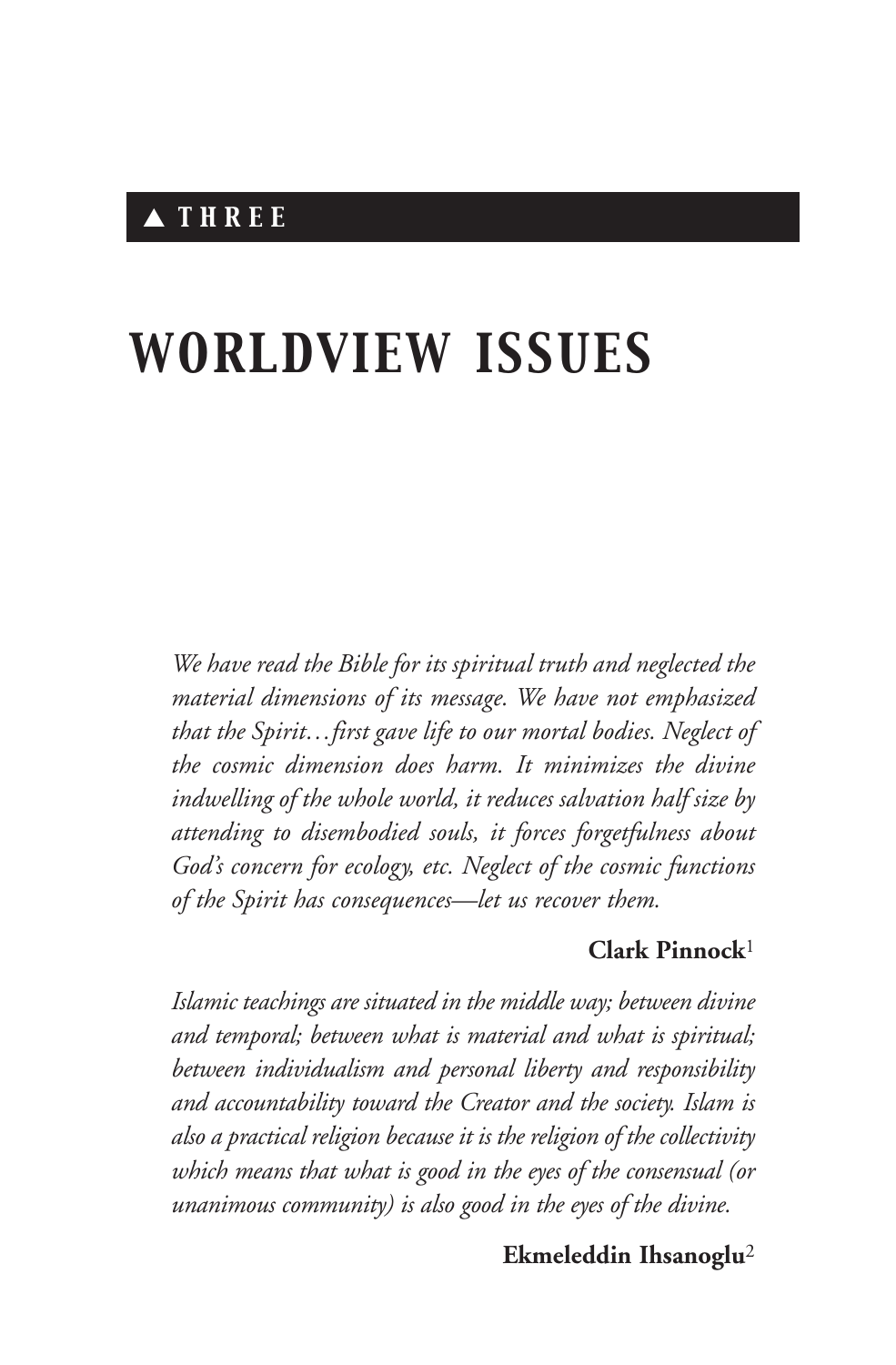# *WORLDVIEW ISSUES*

*We have read the Bible for its spiritual truth and neglected the material dimensions of its message. We have not emphasized that the Spirit…first gave life to our mortal bodies. Neglect of the cosmic dimension does harm. It minimizes the divine indwelling of the whole world, it reduces salvation half size by attending to disembodied souls, it forces forgetfulness about God's concern for ecology, etc. Neglect of the cosmic functions of the Spirit has consequences—let us recover them.*

## **Clark Pinnock**<sup>1</sup>

*Islamic teachings are situated in the middle way; between divine and temporal; between what is material and what is spiritual; between individualism and personal liberty and responsibility and accountability toward the Creator and the society. Islam is also a practical religion because it is the religion of the collectivity which means that what is good in the eyes of the consensual (or unanimous community) is also good in the eyes of the divine.*

## **Ekmeleddin Ihsanoglu**<sup>2</sup>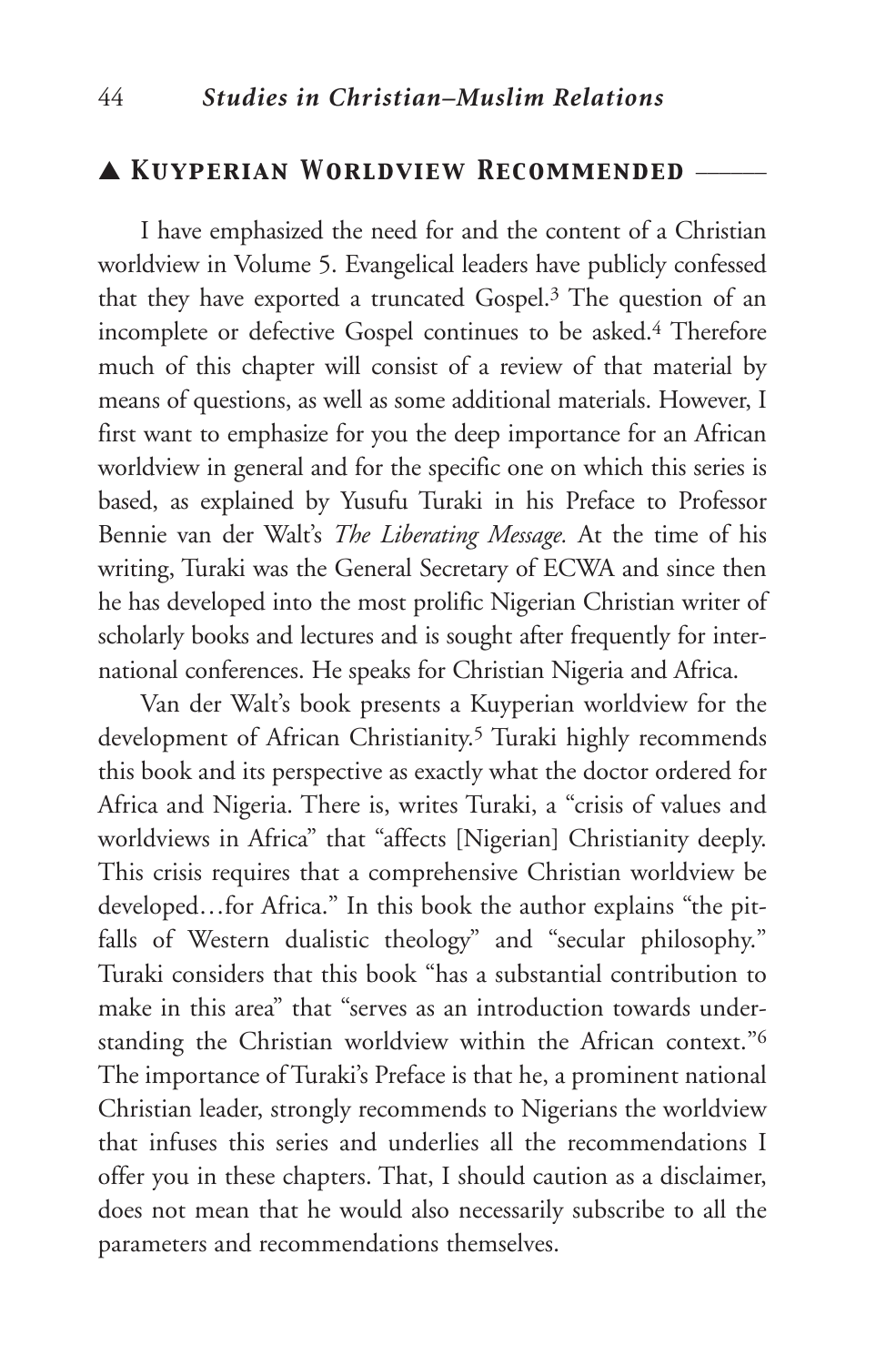## ▲ *Kuyperian Worldview Recommended* \_\_\_\_\_\_

I have emphasized the need for and the content of a Christian worldview in Volume 5. Evangelical leaders have publicly confessed that they have exported a truncated Gospel.3 The question of an incomplete or defective Gospel continues to be asked.4 Therefore much of this chapter will consist of a review of that material by means of questions, as well as some additional materials. However, I first want to emphasize for you the deep importance for an African worldview in general and for the specific one on which this series is based, as explained by Yusufu Turaki in his Preface to Professor Bennie van der Walt's *The Liberating Message.* At the time of his writing, Turaki was the General Secretary of ECWA and since then he has developed into the most prolific Nigerian Christian writer of scholarly books and lectures and is sought after frequently for international conferences. He speaks for Christian Nigeria and Africa.

Van der Walt's book presents a Kuyperian worldview for the development of African Christianity.<sup>5</sup> Turaki highly recommends this book and its perspective as exactly what the doctor ordered for Africa and Nigeria. There is, writes Turaki, a "crisis of values and worldviews in Africa" that "affects [Nigerian] Christianity deeply. This crisis requires that a comprehensive Christian worldview be developed…for Africa." In this book the author explains "the pitfalls of Western dualistic theology" and "secular philosophy." Turaki considers that this book "has a substantial contribution to make in this area" that "serves as an introduction towards understanding the Christian worldview within the African context."6 The importance of Turaki's Preface is that he, a prominent national Christian leader, strongly recommends to Nigerians the worldview that infuses this series and underlies all the recommendations I offer you in these chapters. That, I should caution as a disclaimer, does not mean that he would also necessarily subscribe to all the parameters and recommendations themselves.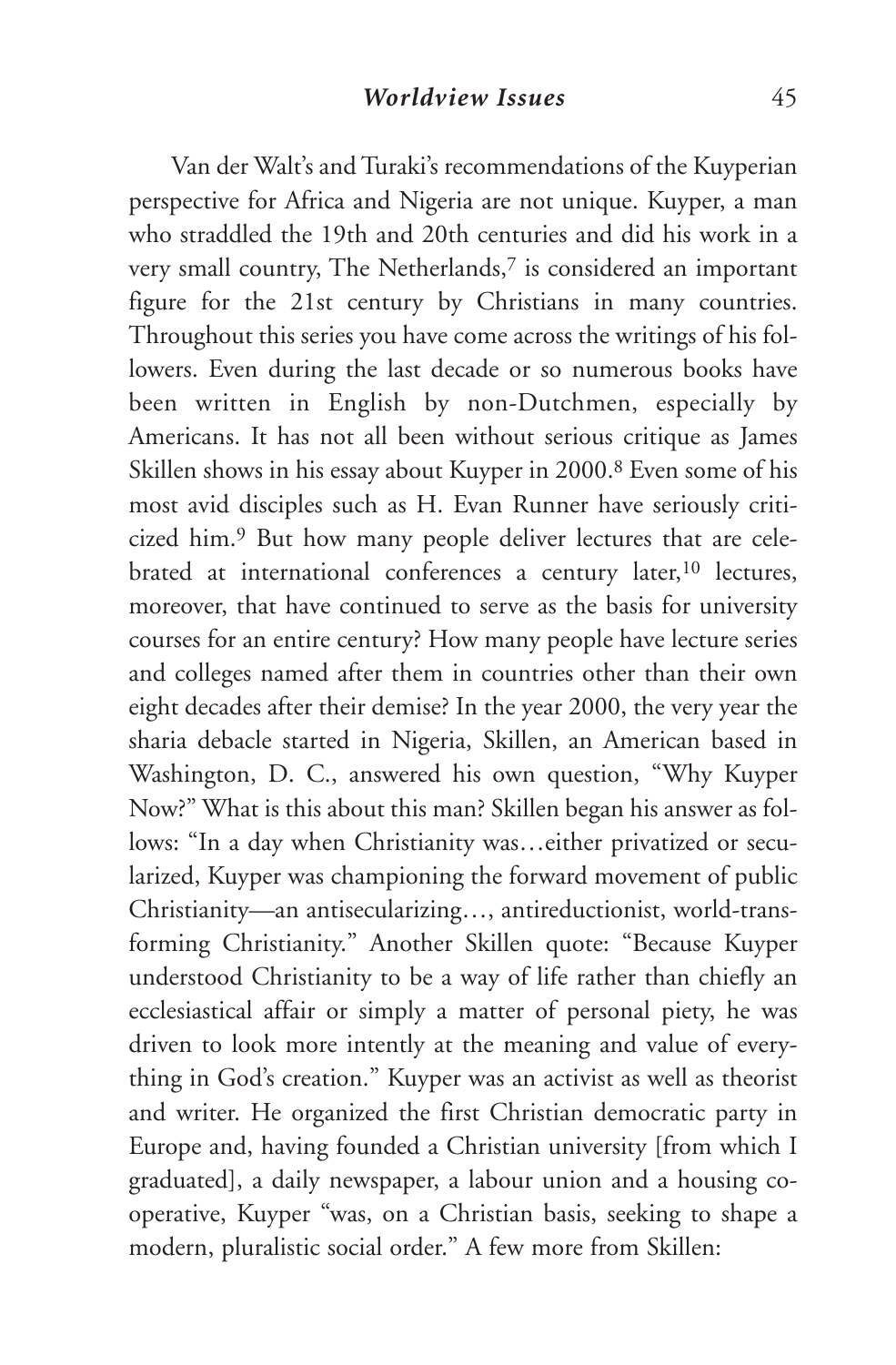Van der Walt's and Turaki's recommendations of the Kuyperian perspective for Africa and Nigeria are not unique. Kuyper, a man who straddled the 19th and 20th centuries and did his work in a very small country, The Netherlands,<sup>7</sup> is considered an important figure for the 21st century by Christians in many countries. Throughout this series you have come across the writings of his followers. Even during the last decade or so numerous books have been written in English by non-Dutchmen, especially by Americans. It has not all been without serious critique as James Skillen shows in his essay about Kuyper in 2000.8 Even some of his most avid disciples such as H. Evan Runner have seriously criticized him.9 But how many people deliver lectures that are celebrated at international conferences a century later,10 lectures, moreover, that have continued to serve as the basis for university courses for an entire century? How many people have lecture series and colleges named after them in countries other than their own eight decades after their demise? In the year 2000, the very year the sharia debacle started in Nigeria, Skillen, an American based in Washington, D. C., answered his own question, "Why Kuyper Now?" What is this about this man? Skillen began his answer as follows: "In a day when Christianity was…either privatized or secularized, Kuyper was championing the forward movement of public Christianity—an antisecularizing…, antireductionist, world-transforming Christianity." Another Skillen quote: "Because Kuyper understood Christianity to be a way of life rather than chiefly an ecclesiastical affair or simply a matter of personal piety, he was driven to look more intently at the meaning and value of everything in God's creation." Kuyper was an activist as well as theorist and writer. He organized the first Christian democratic party in Europe and, having founded a Christian university [from which I graduated], a daily newspaper, a labour union and a housing cooperative, Kuyper "was, on a Christian basis, seeking to shape a modern, pluralistic social order." A few more from Skillen: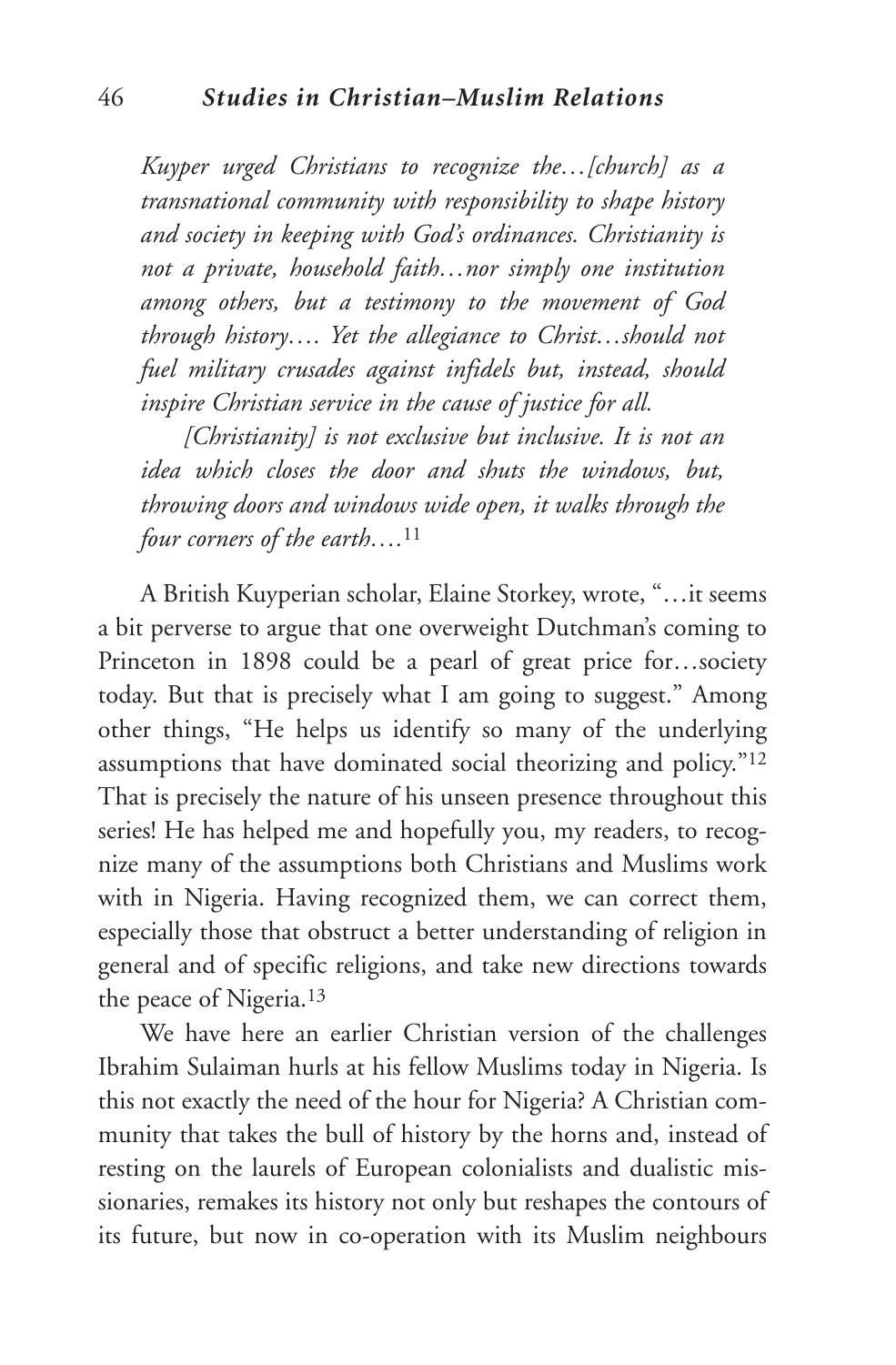*Kuyper urged Christians to recognize the…[church] as a transnational community with responsibility to shape history and society in keeping with God's ordinances. Christianity is not a private, household faith…nor simply one institution among others, but a testimony to the movement of God through history…. Yet the allegiance to Christ…should not fuel military crusades against infidels but, instead, should inspire Christian service in the cause of justice for all.*

*[Christianity] is not exclusive but inclusive. It is not an idea which closes the door and shuts the windows, but, throwing doors and windows wide open, it walks through the four corners of the earth….*<sup>11</sup>

A British Kuyperian scholar, Elaine Storkey, wrote, "…it seems a bit perverse to argue that one overweight Dutchman's coming to Princeton in 1898 could be a pearl of great price for…society today. But that is precisely what I am going to suggest." Among other things, "He helps us identify so many of the underlying assumptions that have dominated social theorizing and policy."12 That is precisely the nature of his unseen presence throughout this series! He has helped me and hopefully you, my readers, to recognize many of the assumptions both Christians and Muslims work with in Nigeria. Having recognized them, we can correct them, especially those that obstruct a better understanding of religion in general and of specific religions, and take new directions towards the peace of Nigeria.13

We have here an earlier Christian version of the challenges Ibrahim Sulaiman hurls at his fellow Muslims today in Nigeria. Is this not exactly the need of the hour for Nigeria? A Christian community that takes the bull of history by the horns and, instead of resting on the laurels of European colonialists and dualistic missionaries, remakes its history not only but reshapes the contours of its future, but now in co-operation with its Muslim neighbours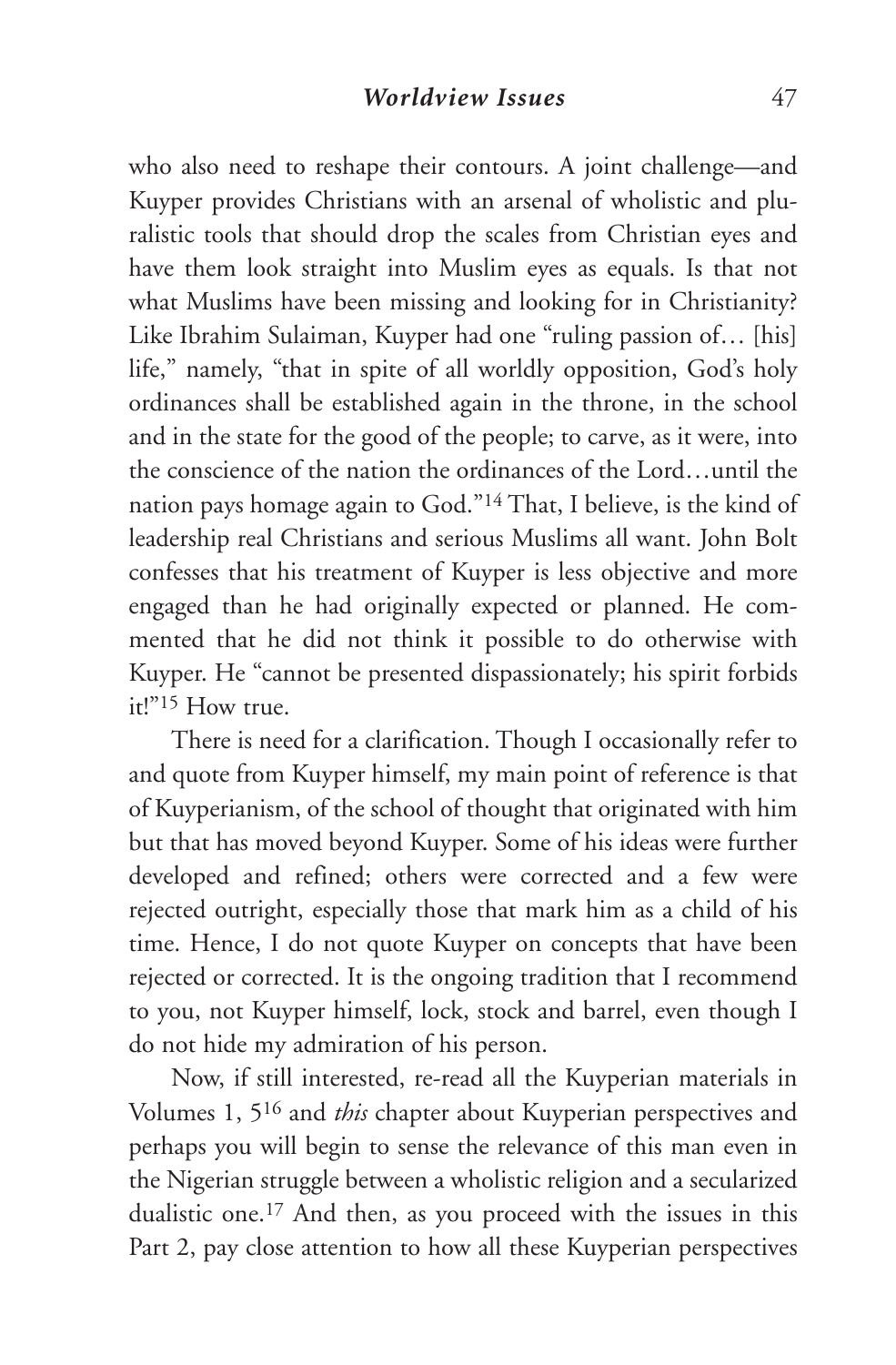who also need to reshape their contours. A joint challenge—and Kuyper provides Christians with an arsenal of wholistic and pluralistic tools that should drop the scales from Christian eyes and have them look straight into Muslim eyes as equals. Is that not what Muslims have been missing and looking for in Christianity? Like Ibrahim Sulaiman, Kuyper had one "ruling passion of… [his] life," namely, "that in spite of all worldly opposition, God's holy ordinances shall be established again in the throne, in the school and in the state for the good of the people; to carve, as it were, into the conscience of the nation the ordinances of the Lord…until the nation pays homage again to God."14 That, I believe, is the kind of leadership real Christians and serious Muslims all want. John Bolt confesses that his treatment of Kuyper is less objective and more engaged than he had originally expected or planned. He commented that he did not think it possible to do otherwise with Kuyper. He "cannot be presented dispassionately; his spirit forbids it!"15 How true.

There is need for a clarification. Though I occasionally refer to and quote from Kuyper himself, my main point of reference is that of Kuyperianism, of the school of thought that originated with him but that has moved beyond Kuyper. Some of his ideas were further developed and refined; others were corrected and a few were rejected outright, especially those that mark him as a child of his time. Hence, I do not quote Kuyper on concepts that have been rejected or corrected. It is the ongoing tradition that I recommend to you, not Kuyper himself, lock, stock and barrel, even though I do not hide my admiration of his person.

Now, if still interested, re-read all the Kuyperian materials in Volumes 1, 516 and *this* chapter about Kuyperian perspectives and perhaps you will begin to sense the relevance of this man even in the Nigerian struggle between a wholistic religion and a secularized dualistic one.17 And then, as you proceed with the issues in this Part 2, pay close attention to how all these Kuyperian perspectives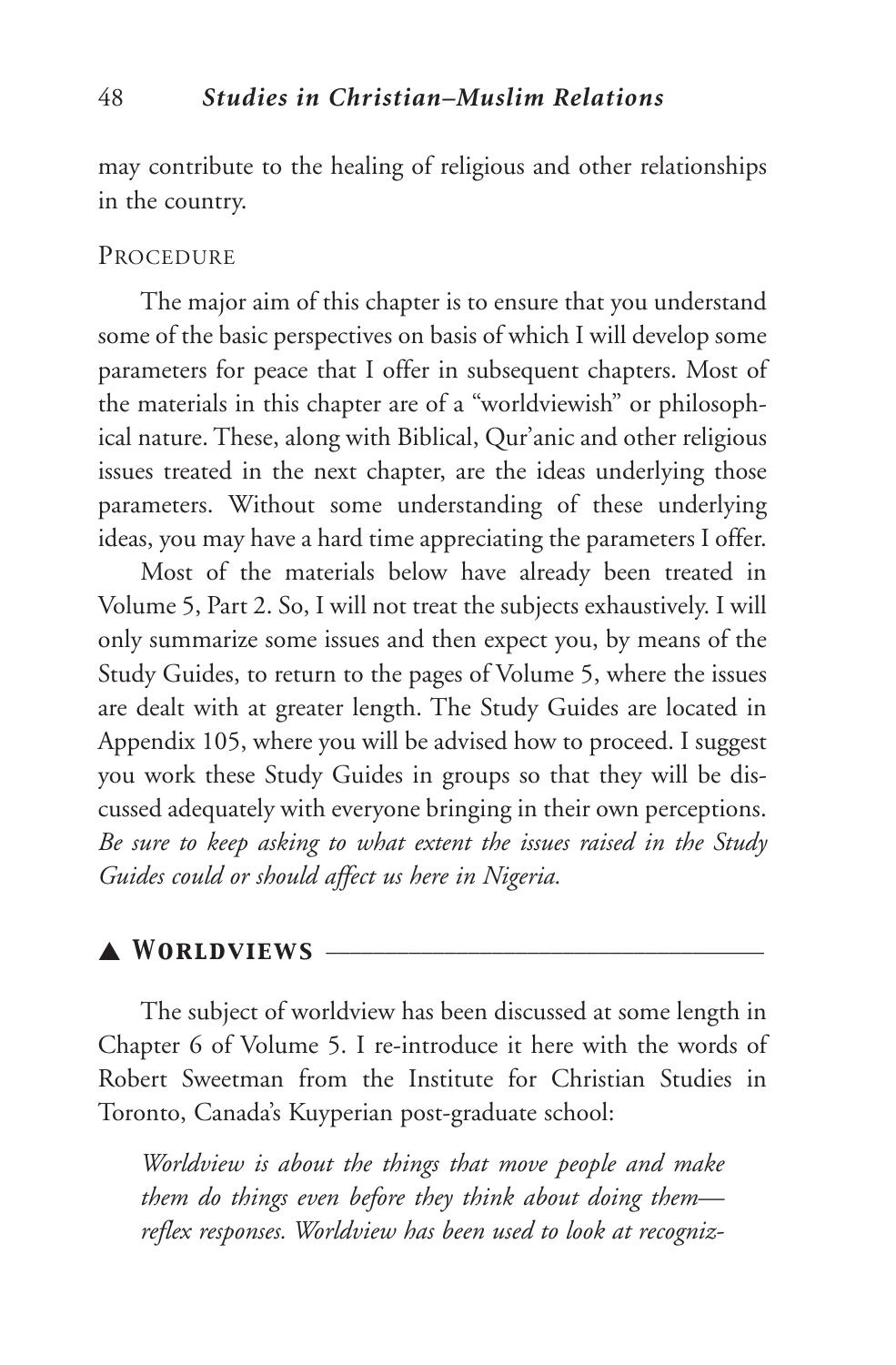may contribute to the healing of religious and other relationships in the country.

#### PROCEDURE

The major aim of this chapter is to ensure that you understand some of the basic perspectives on basis of which I will develop some parameters for peace that I offer in subsequent chapters. Most of the materials in this chapter are of a "worldviewish" or philosophical nature. These, along with Biblical, Qur'anic and other religious issues treated in the next chapter, are the ideas underlying those parameters. Without some understanding of these underlying ideas, you may have a hard time appreciating the parameters I offer.

Most of the materials below have already been treated in Volume 5, Part 2. So, I will not treat the subjects exhaustively. I will only summarize some issues and then expect you, by means of the Study Guides, to return to the pages of Volume 5, where the issues are dealt with at greater length. The Study Guides are located in Appendix 105, where you will be advised how to proceed. I suggest you work these Study Guides in groups so that they will be discussed adequately with everyone bringing in their own perceptions. *Be sure to keep asking to what extent the issues raised in the Study Guides could or should affect us here in Nigeria.*

## ▲ *Worldviews* \_\_\_\_\_\_\_\_\_\_\_\_\_\_\_\_\_\_\_\_\_\_\_\_\_\_\_\_\_\_\_\_\_\_\_\_\_

The subject of worldview has been discussed at some length in Chapter 6 of Volume 5. I re-introduce it here with the words of Robert Sweetman from the Institute for Christian Studies in Toronto, Canada's Kuyperian post-graduate school:

*Worldview is about the things that move people and make them do things even before they think about doing them reflex responses. Worldview has been used to look at recogniz-*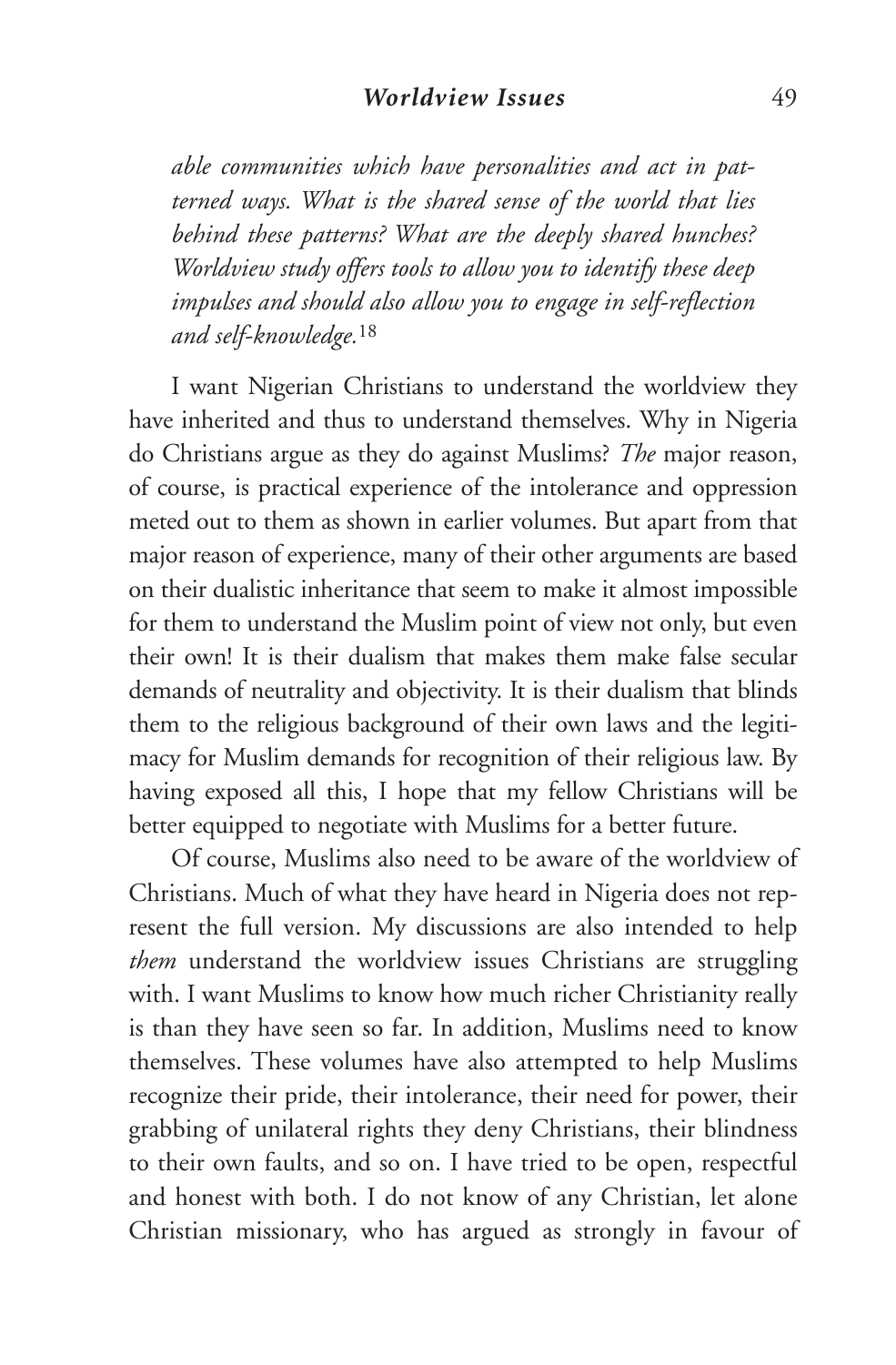*able communities which have personalities and act in patterned ways. What is the shared sense of the world that lies behind these patterns? What are the deeply shared hunches? Worldview study offers tools to allow you to identify these deep impulses and should also allow you to engage in self-reflection and self-knowledge.*<sup>18</sup>

I want Nigerian Christians to understand the worldview they have inherited and thus to understand themselves. Why in Nigeria do Christians argue as they do against Muslims? *The* major reason, of course, is practical experience of the intolerance and oppression meted out to them as shown in earlier volumes. But apart from that major reason of experience, many of their other arguments are based on their dualistic inheritance that seem to make it almost impossible for them to understand the Muslim point of view not only, but even their own! It is their dualism that makes them make false secular demands of neutrality and objectivity. It is their dualism that blinds them to the religious background of their own laws and the legitimacy for Muslim demands for recognition of their religious law. By having exposed all this, I hope that my fellow Christians will be better equipped to negotiate with Muslims for a better future.

Of course, Muslims also need to be aware of the worldview of Christians. Much of what they have heard in Nigeria does not represent the full version. My discussions are also intended to help *them* understand the worldview issues Christians are struggling with. I want Muslims to know how much richer Christianity really is than they have seen so far. In addition, Muslims need to know themselves. These volumes have also attempted to help Muslims recognize their pride, their intolerance, their need for power, their grabbing of unilateral rights they deny Christians, their blindness to their own faults, and so on. I have tried to be open, respectful and honest with both. I do not know of any Christian, let alone Christian missionary, who has argued as strongly in favour of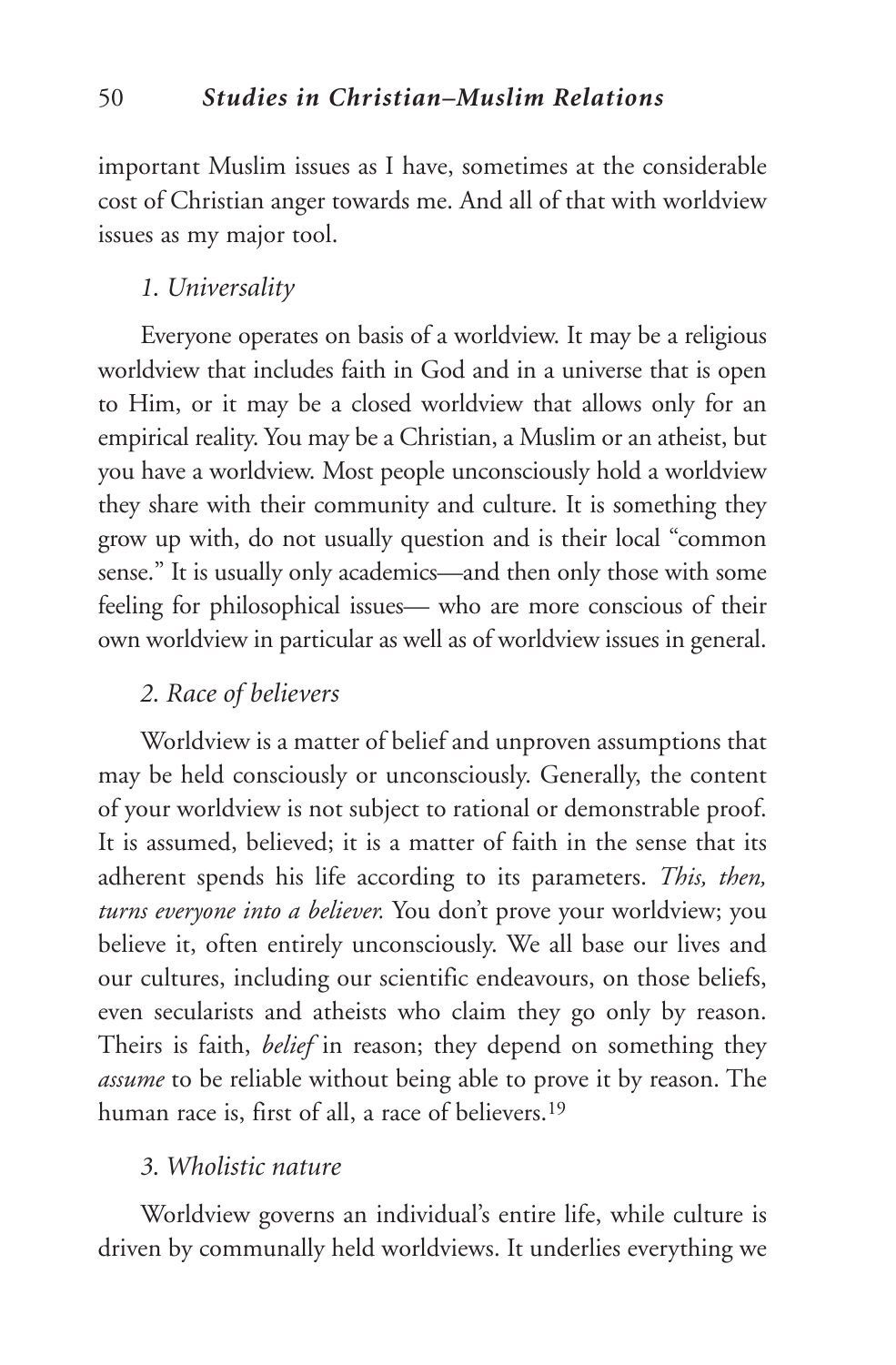important Muslim issues as I have, sometimes at the considerable cost of Christian anger towards me. And all of that with worldview issues as my major tool.

## *1. Universality*

Everyone operates on basis of a worldview. It may be a religious worldview that includes faith in God and in a universe that is open to Him, or it may be a closed worldview that allows only for an empirical reality. You may be a Christian, a Muslim or an atheist, but you have a worldview. Most people unconsciously hold a worldview they share with their community and culture. It is something they grow up with, do not usually question and is their local "common sense." It is usually only academics—and then only those with some feeling for philosophical issues— who are more conscious of their own worldview in particular as well as of worldview issues in general.

## *2. Race of believers*

Worldview is a matter of belief and unproven assumptions that may be held consciously or unconsciously. Generally, the content of your worldview is not subject to rational or demonstrable proof. It is assumed, believed; it is a matter of faith in the sense that its adherent spends his life according to its parameters. *This, then, turns everyone into a believer.* You don't prove your worldview; you believe it, often entirely unconsciously. We all base our lives and our cultures, including our scientific endeavours, on those beliefs, even secularists and atheists who claim they go only by reason. Theirs is faith, *belief* in reason; they depend on something they *assume* to be reliable without being able to prove it by reason. The human race is, first of all, a race of believers.19

## *3. Wholistic nature*

Worldview governs an individual's entire life, while culture is driven by communally held worldviews. It underlies everything we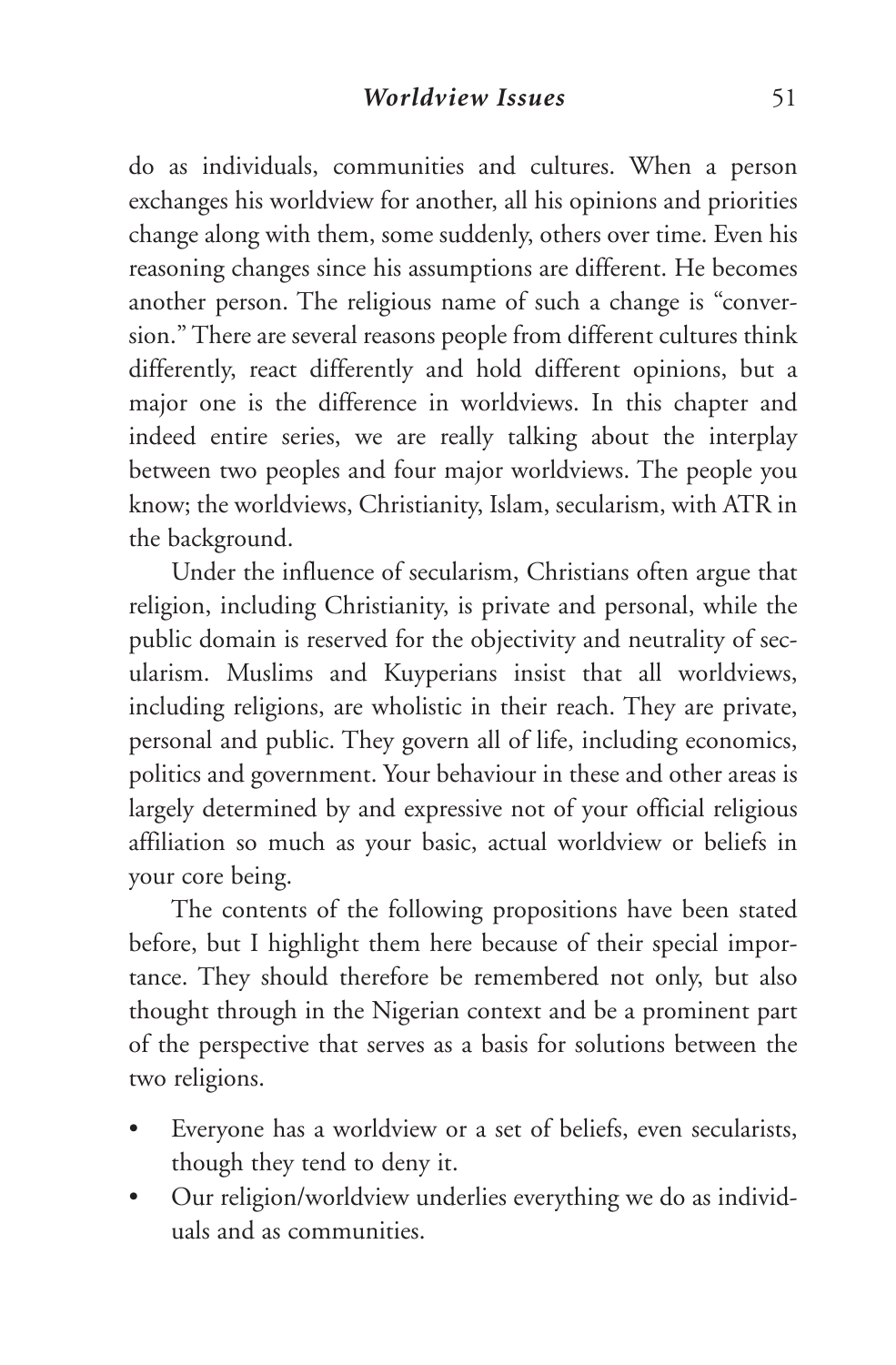do as individuals, communities and cultures. When a person exchanges his worldview for another, all his opinions and priorities change along with them, some suddenly, others over time. Even his reasoning changes since his assumptions are different. He becomes another person. The religious name of such a change is "conversion." There are several reasons people from different cultures think differently, react differently and hold different opinions, but a major one is the difference in worldviews. In this chapter and indeed entire series, we are really talking about the interplay between two peoples and four major worldviews. The people you know; the worldviews, Christianity, Islam, secularism, with ATR in the background.

Under the influence of secularism, Christians often argue that religion, including Christianity, is private and personal, while the public domain is reserved for the objectivity and neutrality of secularism. Muslims and Kuyperians insist that all worldviews, including religions, are wholistic in their reach. They are private, personal and public. They govern all of life, including economics, politics and government. Your behaviour in these and other areas is largely determined by and expressive not of your official religious affiliation so much as your basic, actual worldview or beliefs in your core being.

The contents of the following propositions have been stated before, but I highlight them here because of their special importance. They should therefore be remembered not only, but also thought through in the Nigerian context and be a prominent part of the perspective that serves as a basis for solutions between the two religions.

- Everyone has a worldview or a set of beliefs, even secularists, though they tend to deny it.
- Our religion/worldview underlies everything we do as individuals and as communities.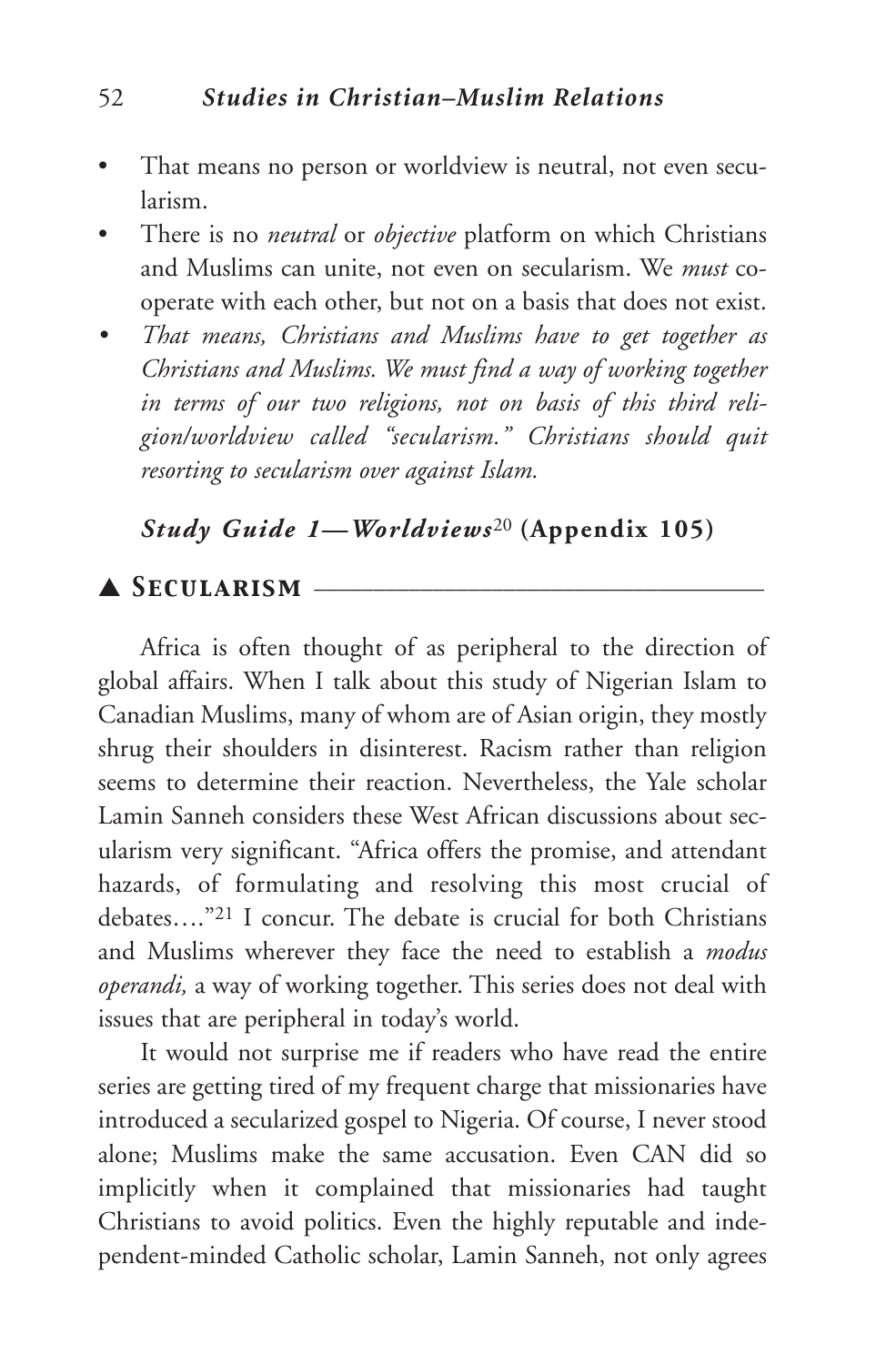- That means no person or worldview is neutral, not even secularism.
- There is no *neutral* or *objective* platform on which Christians and Muslims can unite, not even on secularism. We *must* cooperate with each other, but not on a basis that does not exist.
- *• That means, Christians and Muslims have to get together as Christians and Muslims. We must find a way of working together in terms of our two religions, not on basis of this third religion/worldview called "secularism." Christians should quit resorting to secularism over against Islam.*

## *Study Guide 1—Worldviews*<sup>20</sup> **(Appendix 105)**

## ▲ *Secularism* \_\_\_\_\_\_\_\_\_\_\_\_\_\_\_\_\_\_\_\_\_\_\_\_\_\_\_\_\_\_\_\_\_\_\_\_\_\_

Africa is often thought of as peripheral to the direction of global affairs. When I talk about this study of Nigerian Islam to Canadian Muslims, many of whom are of Asian origin, they mostly shrug their shoulders in disinterest. Racism rather than religion seems to determine their reaction. Nevertheless, the Yale scholar Lamin Sanneh considers these West African discussions about secularism very significant. "Africa offers the promise, and attendant hazards, of formulating and resolving this most crucial of debates…."21 I concur. The debate is crucial for both Christians and Muslims wherever they face the need to establish a *modus operandi,* a way of working together. This series does not deal with issues that are peripheral in today's world.

It would not surprise me if readers who have read the entire series are getting tired of my frequent charge that missionaries have introduced a secularized gospel to Nigeria. Of course, I never stood alone; Muslims make the same accusation. Even CAN did so implicitly when it complained that missionaries had taught Christians to avoid politics. Even the highly reputable and independent-minded Catholic scholar, Lamin Sanneh, not only agrees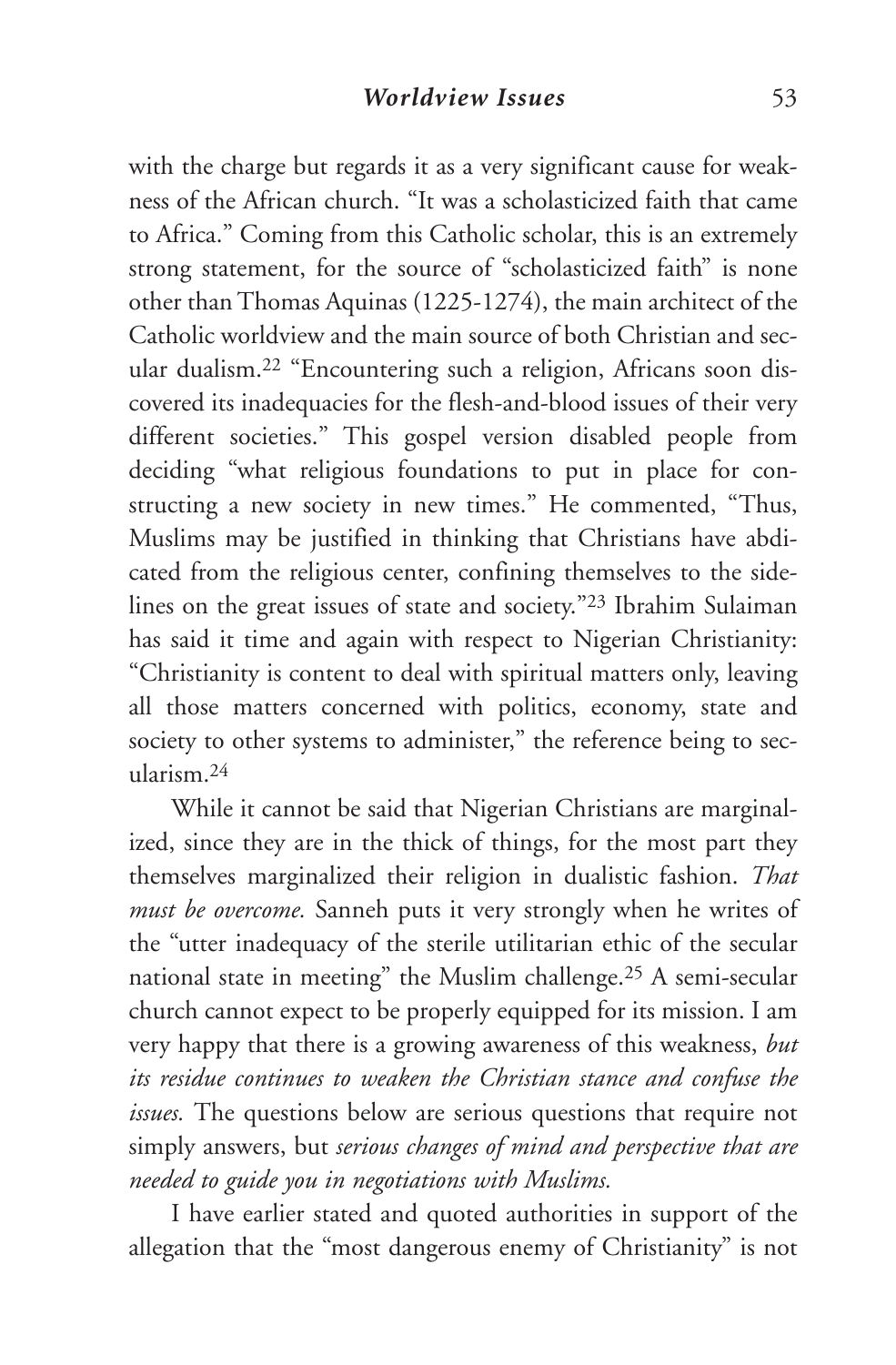with the charge but regards it as a very significant cause for weakness of the African church. "It was a scholasticized faith that came to Africa." Coming from this Catholic scholar, this is an extremely strong statement, for the source of "scholasticized faith" is none other than Thomas Aquinas (1225-1274), the main architect of the Catholic worldview and the main source of both Christian and secular dualism.22 "Encountering such a religion, Africans soon discovered its inadequacies for the flesh-and-blood issues of their very different societies." This gospel version disabled people from deciding "what religious foundations to put in place for constructing a new society in new times." He commented, "Thus, Muslims may be justified in thinking that Christians have abdicated from the religious center, confining themselves to the sidelines on the great issues of state and society."23 Ibrahim Sulaiman has said it time and again with respect to Nigerian Christianity: "Christianity is content to deal with spiritual matters only, leaving all those matters concerned with politics, economy, state and society to other systems to administer," the reference being to secularism.24

While it cannot be said that Nigerian Christians are marginalized, since they are in the thick of things, for the most part they themselves marginalized their religion in dualistic fashion. *That must be overcome.* Sanneh puts it very strongly when he writes of the "utter inadequacy of the sterile utilitarian ethic of the secular national state in meeting" the Muslim challenge.25 A semi-secular church cannot expect to be properly equipped for its mission. I am very happy that there is a growing awareness of this weakness, *but its residue continues to weaken the Christian stance and confuse the issues.* The questions below are serious questions that require not simply answers, but *serious changes of mind and perspective that are needed to guide you in negotiations with Muslims.*

I have earlier stated and quoted authorities in support of the allegation that the "most dangerous enemy of Christianity" is not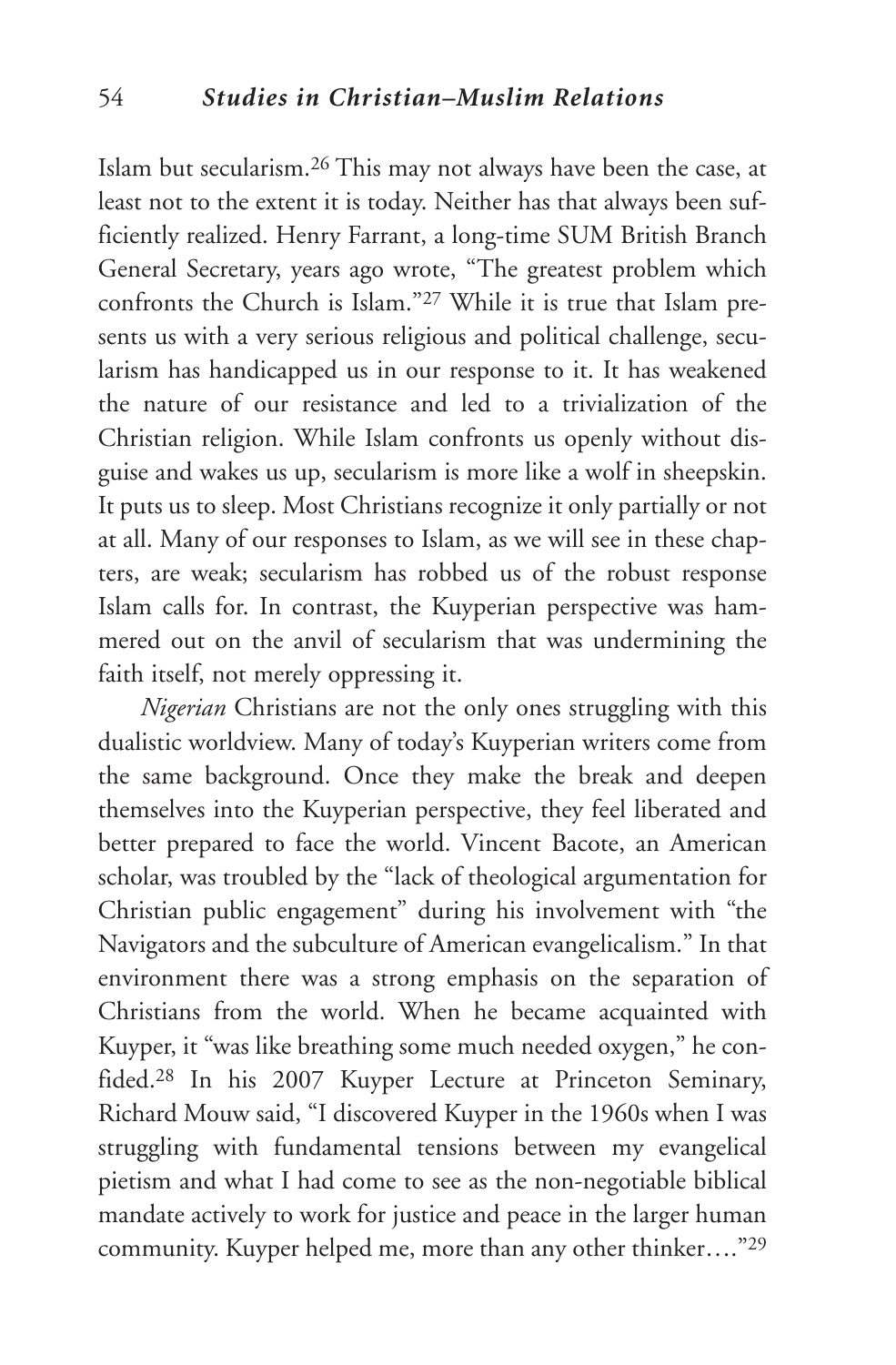Islam but secularism.26 This may not always have been the case, at least not to the extent it is today. Neither has that always been sufficiently realized. Henry Farrant, a long-time SUM British Branch General Secretary, years ago wrote, "The greatest problem which confronts the Church is Islam."27 While it is true that Islam presents us with a very serious religious and political challenge, secularism has handicapped us in our response to it. It has weakened the nature of our resistance and led to a trivialization of the Christian religion. While Islam confronts us openly without disguise and wakes us up, secularism is more like a wolf in sheepskin. It puts us to sleep. Most Christians recognize it only partially or not at all. Many of our responses to Islam, as we will see in these chapters, are weak; secularism has robbed us of the robust response Islam calls for. In contrast, the Kuyperian perspective was hammered out on the anvil of secularism that was undermining the faith itself, not merely oppressing it.

*Nigerian* Christians are not the only ones struggling with this dualistic worldview. Many of today's Kuyperian writers come from the same background. Once they make the break and deepen themselves into the Kuyperian perspective, they feel liberated and better prepared to face the world. Vincent Bacote, an American scholar, was troubled by the "lack of theological argumentation for Christian public engagement" during his involvement with "the Navigators and the subculture of American evangelicalism." In that environment there was a strong emphasis on the separation of Christians from the world. When he became acquainted with Kuyper, it "was like breathing some much needed oxygen," he confided.28 In his 2007 Kuyper Lecture at Princeton Seminary, Richard Mouw said, "I discovered Kuyper in the 1960s when I was struggling with fundamental tensions between my evangelical pietism and what I had come to see as the non-negotiable biblical mandate actively to work for justice and peace in the larger human community. Kuyper helped me, more than any other thinker…."29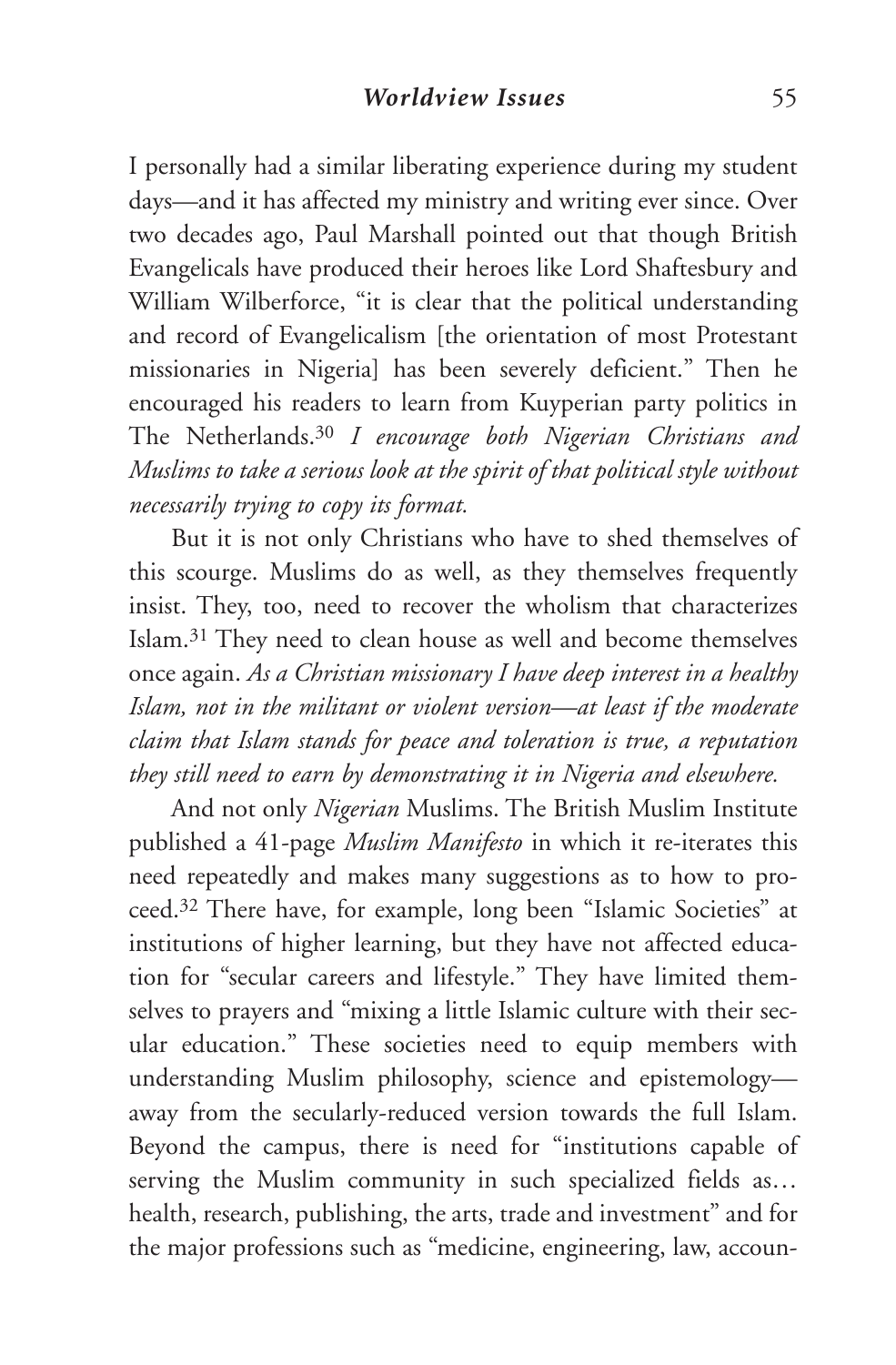I personally had a similar liberating experience during my student days—and it has affected my ministry and writing ever since. Over two decades ago, Paul Marshall pointed out that though British Evangelicals have produced their heroes like Lord Shaftesbury and William Wilberforce, "it is clear that the political understanding and record of Evangelicalism [the orientation of most Protestant missionaries in Nigeria] has been severely deficient." Then he encouraged his readers to learn from Kuyperian party politics in The Netherlands.30 *I encourage both Nigerian Christians and Muslims to take a serious look at the spirit of that political style without necessarily trying to copy its format.*

But it is not only Christians who have to shed themselves of this scourge. Muslims do as well, as they themselves frequently insist. They, too, need to recover the wholism that characterizes Islam.31 They need to clean house as well and become themselves once again. *As a Christian missionary I have deep interest in a healthy Islam, not in the militant or violent version—at least if the moderate claim that Islam stands for peace and toleration is true, a reputation they still need to earn by demonstrating it in Nigeria and elsewhere.*

And not only *Nigerian* Muslims. The British Muslim Institute published a 41-page *Muslim Manifesto* in which it re-iterates this need repeatedly and makes many suggestions as to how to proceed.32 There have, for example, long been "Islamic Societies" at institutions of higher learning, but they have not affected education for "secular careers and lifestyle." They have limited themselves to prayers and "mixing a little Islamic culture with their secular education." These societies need to equip members with understanding Muslim philosophy, science and epistemology away from the secularly-reduced version towards the full Islam. Beyond the campus, there is need for "institutions capable of serving the Muslim community in such specialized fields as… health, research, publishing, the arts, trade and investment" and for the major professions such as "medicine, engineering, law, accoun-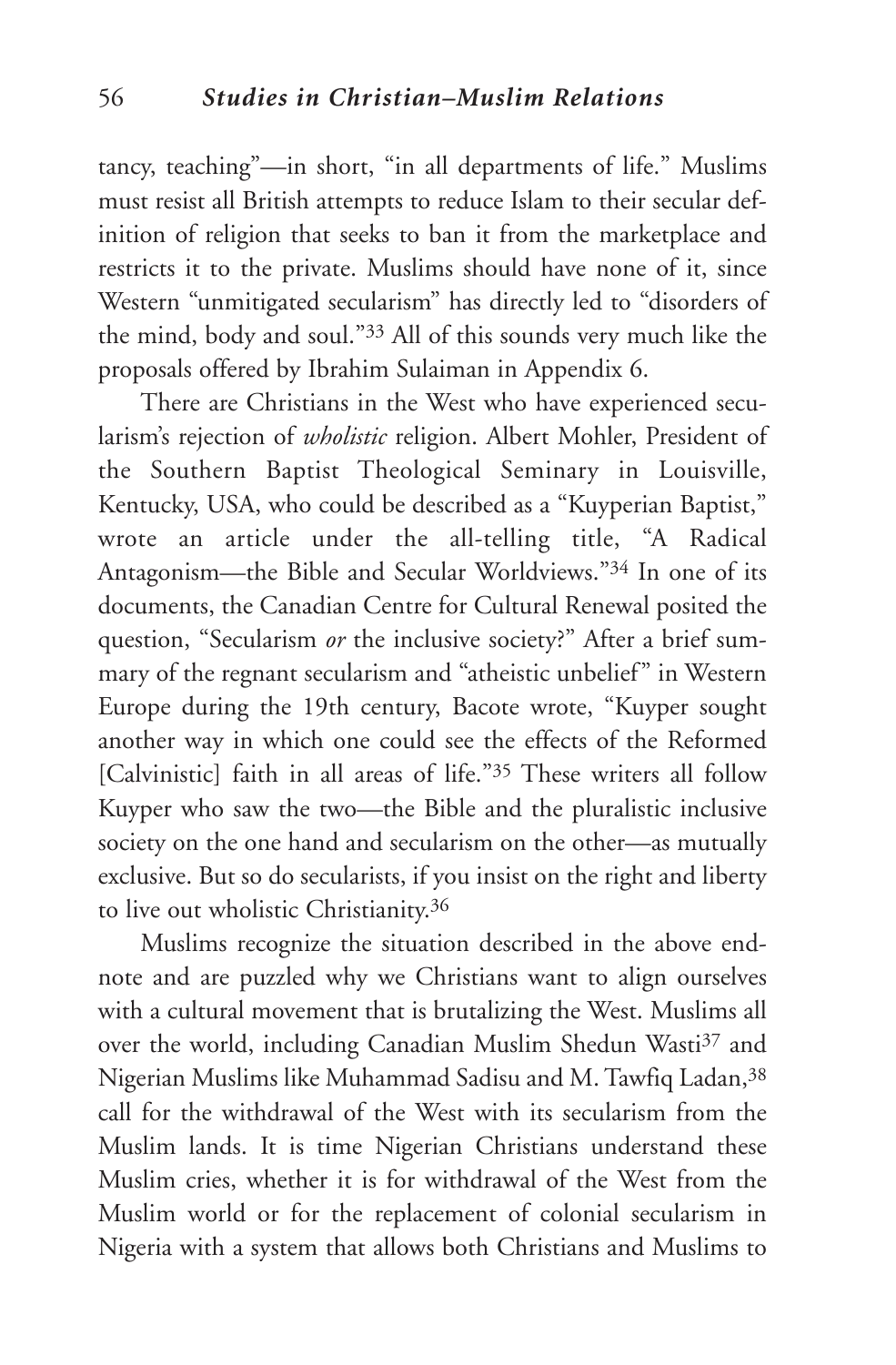tancy, teaching"—in short, "in all departments of life." Muslims must resist all British attempts to reduce Islam to their secular definition of religion that seeks to ban it from the marketplace and restricts it to the private. Muslims should have none of it, since Western "unmitigated secularism" has directly led to "disorders of the mind, body and soul."33 All of this sounds very much like the proposals offered by Ibrahim Sulaiman in Appendix 6.

There are Christians in the West who have experienced secularism's rejection of *wholistic* religion. Albert Mohler, President of the Southern Baptist Theological Seminary in Louisville, Kentucky, USA, who could be described as a "Kuyperian Baptist," wrote an article under the all-telling title, "A Radical Antagonism—the Bible and Secular Worldviews."34 In one of its documents, the Canadian Centre for Cultural Renewal posited the question, "Secularism *or* the inclusive society?" After a brief summary of the regnant secularism and "atheistic unbelief" in Western Europe during the 19th century, Bacote wrote, "Kuyper sought another way in which one could see the effects of the Reformed [Calvinistic] faith in all areas of life."35 These writers all follow Kuyper who saw the two—the Bible and the pluralistic inclusive society on the one hand and secularism on the other—as mutually exclusive. But so do secularists, if you insist on the right and liberty to live out wholistic Christianity.36

Muslims recognize the situation described in the above endnote and are puzzled why we Christians want to align ourselves with a cultural movement that is brutalizing the West. Muslims all over the world, including Canadian Muslim Shedun Wasti<sup>37</sup> and Nigerian Muslims like Muhammad Sadisu and M. Tawfiq Ladan, 38 call for the withdrawal of the West with its secularism from the Muslim lands. It is time Nigerian Christians understand these Muslim cries, whether it is for withdrawal of the West from the Muslim world or for the replacement of colonial secularism in Nigeria with a system that allows both Christians and Muslims to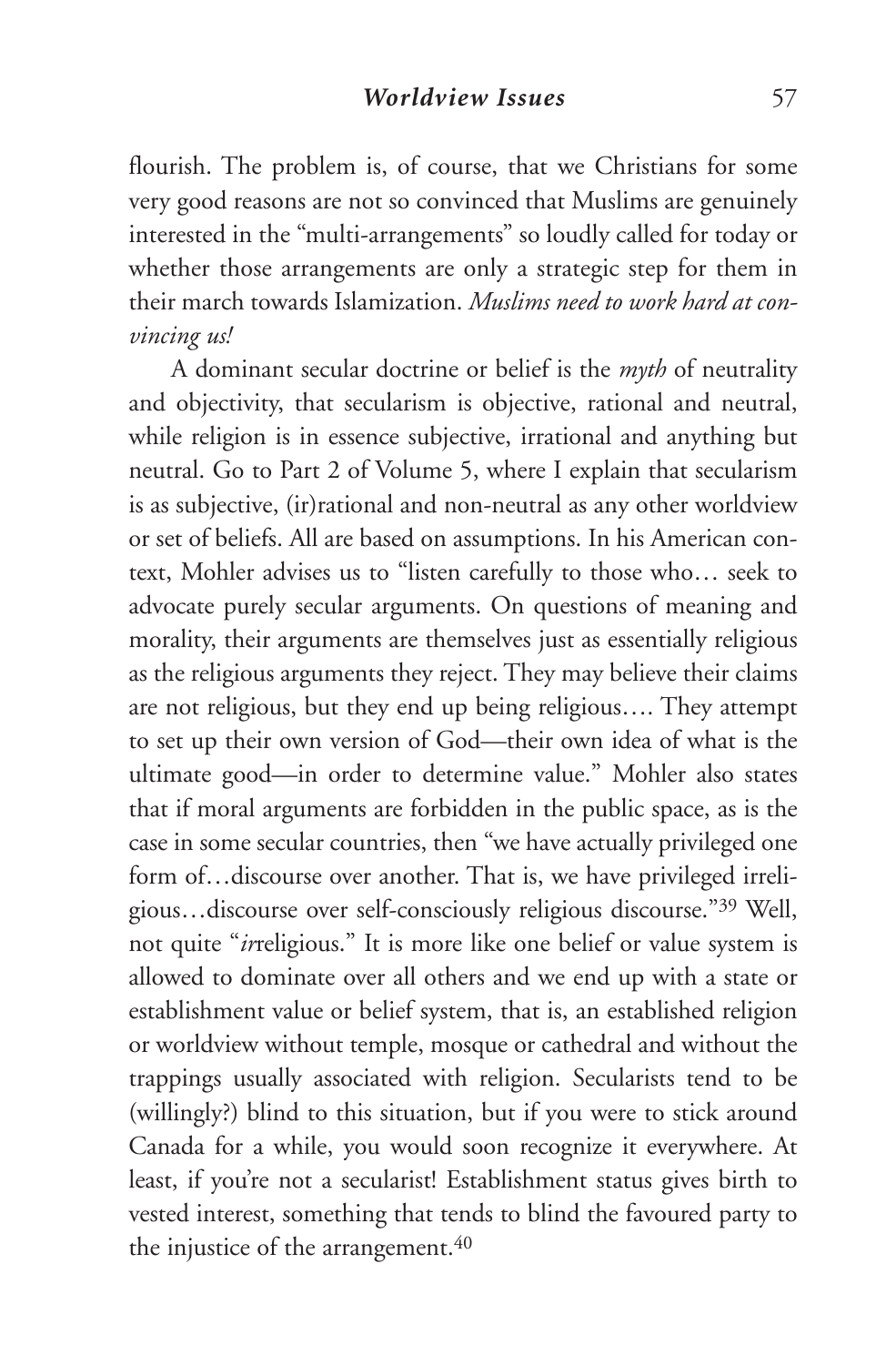flourish. The problem is, of course, that we Christians for some very good reasons are not so convinced that Muslims are genuinely interested in the "multi-arrangements" so loudly called for today or whether those arrangements are only a strategic step for them in their march towards Islamization. *Muslims need to work hard at convincing us!*

A dominant secular doctrine or belief is the *myth* of neutrality and objectivity, that secularism is objective, rational and neutral, while religion is in essence subjective, irrational and anything but neutral. Go to Part 2 of Volume 5, where I explain that secularism is as subjective, (ir)rational and non-neutral as any other worldview or set of beliefs. All are based on assumptions. In his American context, Mohler advises us to "listen carefully to those who… seek to advocate purely secular arguments. On questions of meaning and morality, their arguments are themselves just as essentially religious as the religious arguments they reject. They may believe their claims are not religious, but they end up being religious…. They attempt to set up their own version of God—their own idea of what is the ultimate good—in order to determine value." Mohler also states that if moral arguments are forbidden in the public space, as is the case in some secular countries, then "we have actually privileged one form of...discourse over another. That is, we have privileged irreligious…discourse over self-consciously religious discourse."39 Well, not quite "*ir*religious." It is more like one belief or value system is allowed to dominate over all others and we end up with a state or establishment value or belief system, that is, an established religion or worldview without temple, mosque or cathedral and without the trappings usually associated with religion. Secularists tend to be (willingly?) blind to this situation, but if you were to stick around Canada for a while, you would soon recognize it everywhere. At least, if you're not a secularist! Establishment status gives birth to vested interest, something that tends to blind the favoured party to the injustice of the arrangement.<sup>40</sup>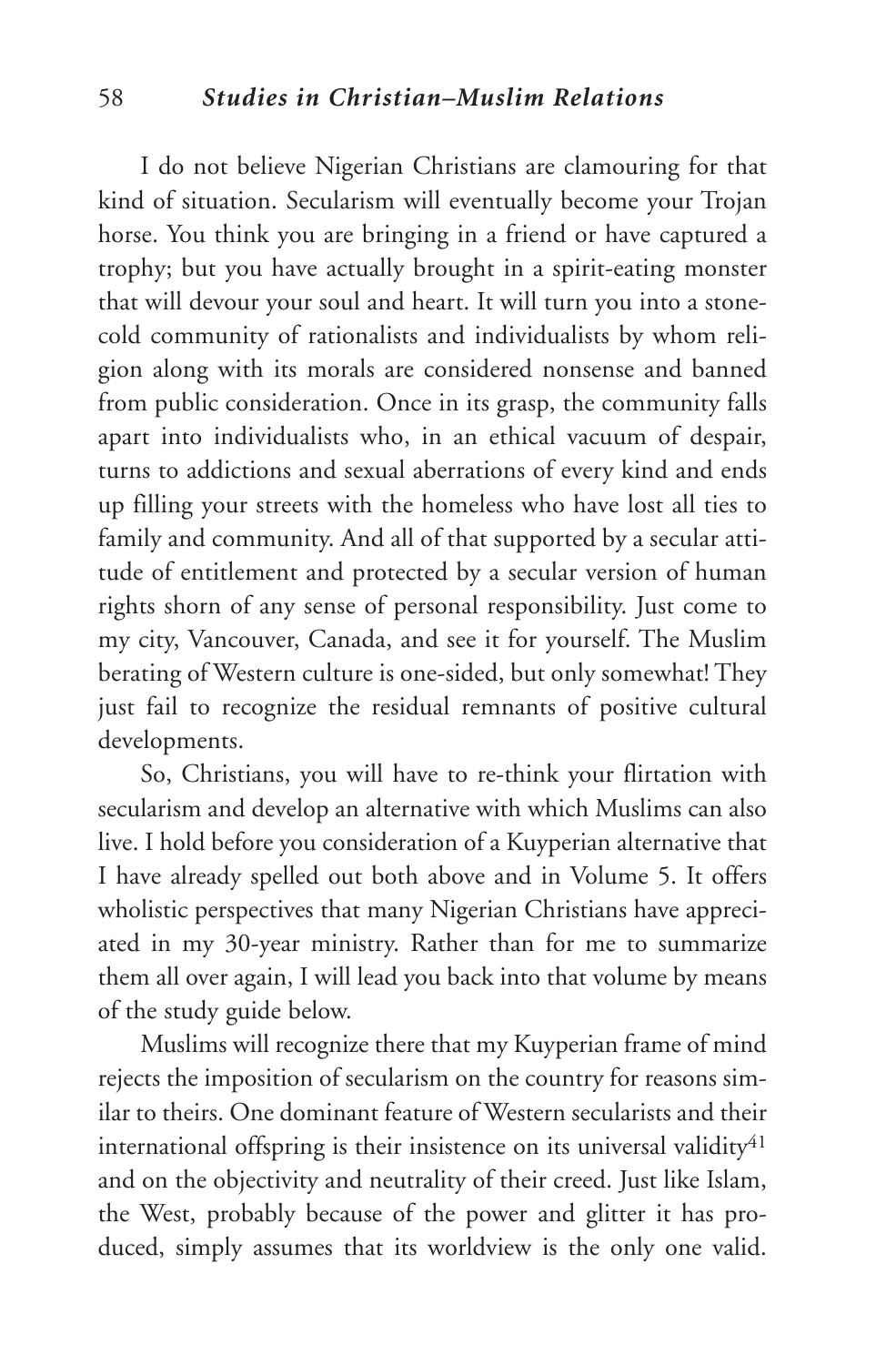### 58 *Studies in Christian–Muslim Relations*

I do not believe Nigerian Christians are clamouring for that kind of situation. Secularism will eventually become your Trojan horse. You think you are bringing in a friend or have captured a trophy; but you have actually brought in a spirit-eating monster that will devour your soul and heart. It will turn you into a stonecold community of rationalists and individualists by whom religion along with its morals are considered nonsense and banned from public consideration. Once in its grasp, the community falls apart into individualists who, in an ethical vacuum of despair, turns to addictions and sexual aberrations of every kind and ends up filling your streets with the homeless who have lost all ties to family and community. And all of that supported by a secular attitude of entitlement and protected by a secular version of human rights shorn of any sense of personal responsibility. Just come to my city, Vancouver, Canada, and see it for yourself. The Muslim berating of Western culture is one-sided, but only somewhat! They just fail to recognize the residual remnants of positive cultural developments.

So, Christians, you will have to re-think your flirtation with secularism and develop an alternative with which Muslims can also live. I hold before you consideration of a Kuyperian alternative that I have already spelled out both above and in Volume 5. It offers wholistic perspectives that many Nigerian Christians have appreciated in my 30-year ministry. Rather than for me to summarize them all over again, I will lead you back into that volume by means of the study guide below.

Muslims will recognize there that my Kuyperian frame of mind rejects the imposition of secularism on the country for reasons similar to theirs. One dominant feature of Western secularists and their international offspring is their insistence on its universal validity $41$ and on the objectivity and neutrality of their creed. Just like Islam, the West, probably because of the power and glitter it has produced, simply assumes that its worldview is the only one valid.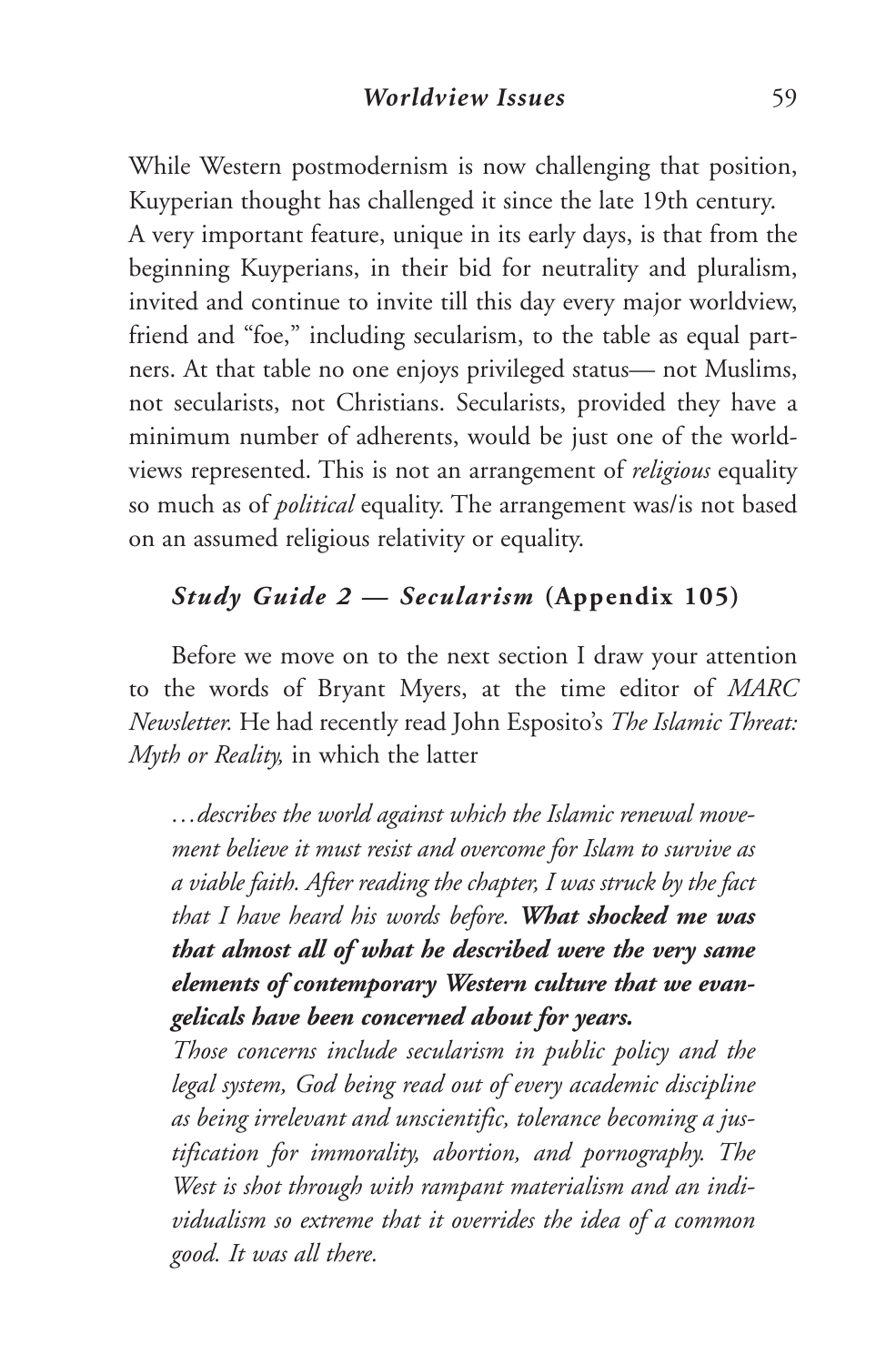While Western postmodernism is now challenging that position, Kuyperian thought has challenged it since the late 19th century. A very important feature, unique in its early days, is that from the beginning Kuyperians, in their bid for neutrality and pluralism, invited and continue to invite till this day every major worldview, friend and "foe," including secularism, to the table as equal partners. At that table no one enjoys privileged status— not Muslims, not secularists, not Christians. Secularists, provided they have a minimum number of adherents, would be just one of the worldviews represented. This is not an arrangement of *religious* equality so much as of *political* equality. The arrangement was/is not based on an assumed religious relativity or equality.

## *Study Guide 2 — Secularism* **(Appendix 105)**

Before we move on to the next section I draw your attention to the words of Bryant Myers, at the time editor of *MARC Newsletter.* He had recently read John Esposito's *The Islamic Threat: Myth or Reality,* in which the latter

*…describes the world against which the Islamic renewal movement believe it must resist and overcome for Islam to survive as a viable faith. After reading the chapter, I was struck by the fact that I have heard his words before. What shocked me was that almost all of what he described were the very same elements of contemporary Western culture that we evangelicals have been concerned about for years.*

*Those concerns include secularism in public policy and the legal system, God being read out of every academic discipline as being irrelevant and unscientific, tolerance becoming a justification for immorality, abortion, and pornography. The West is shot through with rampant materialism and an individualism so extreme that it overrides the idea of a common good. It was all there.*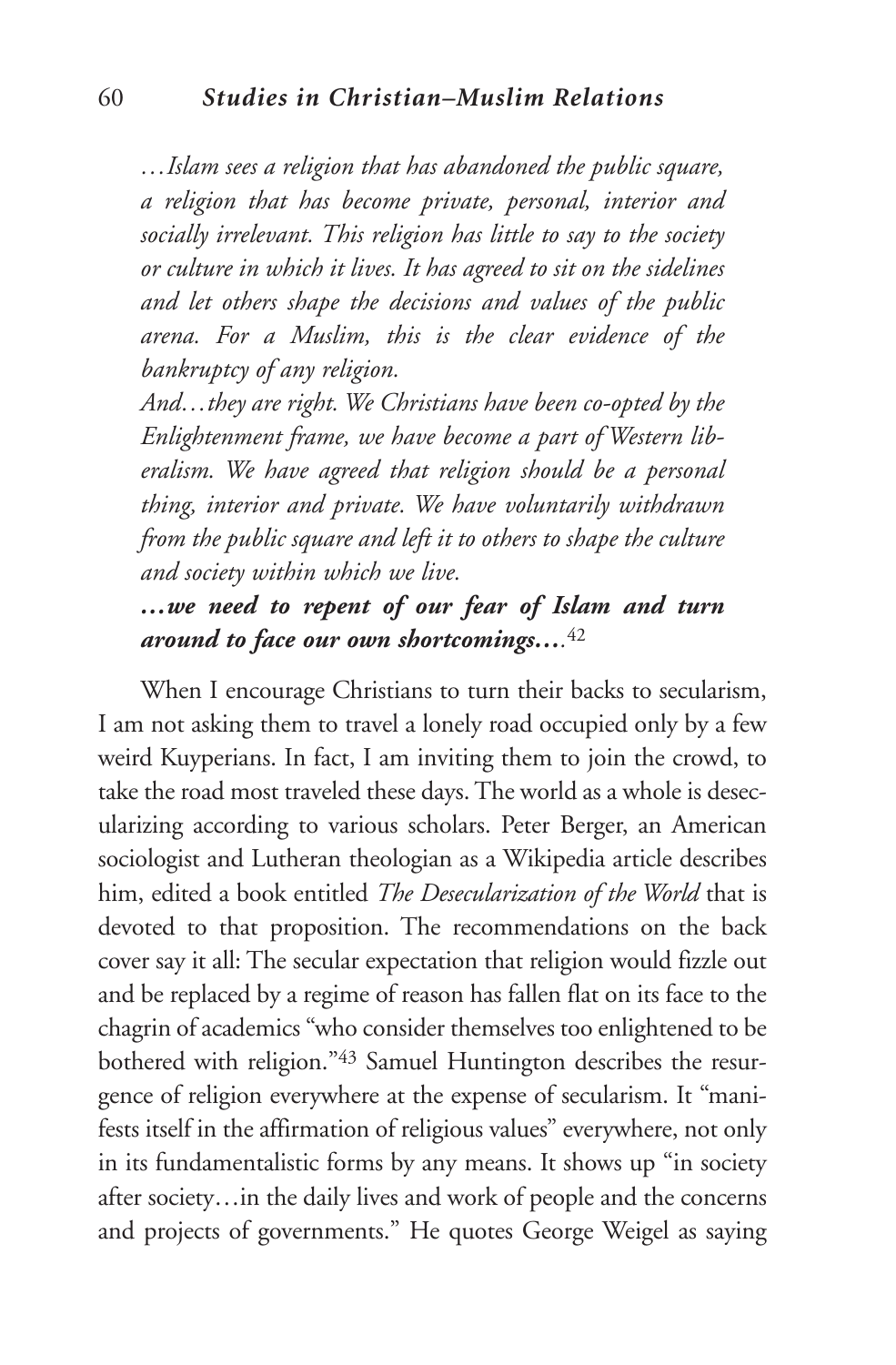*…Islam sees a religion that has abandoned the public square, a religion that has become private, personal, interior and socially irrelevant. This religion has little to say to the society or culture in which it lives. It has agreed to sit on the sidelines and let others shape the decisions and values of the public arena. For a Muslim, this is the clear evidence of the bankruptcy of any religion.*

*And…they are right. We Christians have been co-opted by the Enlightenment frame, we have become a part of Western liberalism. We have agreed that religion should be a personal thing, interior and private. We have voluntarily withdrawn from the public square and left it to others to shape the culture and society within which we live.*

# *…we need to repent of our fear of Islam and turn around to face our own shortcomings….*<sup>42</sup>

When I encourage Christians to turn their backs to secularism, I am not asking them to travel a lonely road occupied only by a few weird Kuyperians. In fact, I am inviting them to join the crowd, to take the road most traveled these days.The world as a whole is desecularizing according to various scholars. Peter Berger, an American sociologist and Lutheran theologian as a Wikipedia article describes him, edited a book entitled *The Desecularization of the World* that is devoted to that proposition. The recommendations on the back cover say it all: The secular expectation that religion would fizzle out and be replaced by a regime of reason has fallen flat on its face to the chagrin of academics "who consider themselves too enlightened to be bothered with religion."43 Samuel Huntington describes the resurgence of religion everywhere at the expense of secularism. It "manifests itself in the affirmation of religious values" everywhere, not only in its fundamentalistic forms by any means. It shows up "in society after society…in the daily lives and work of people and the concerns and projects of governments." He quotes George Weigel as saying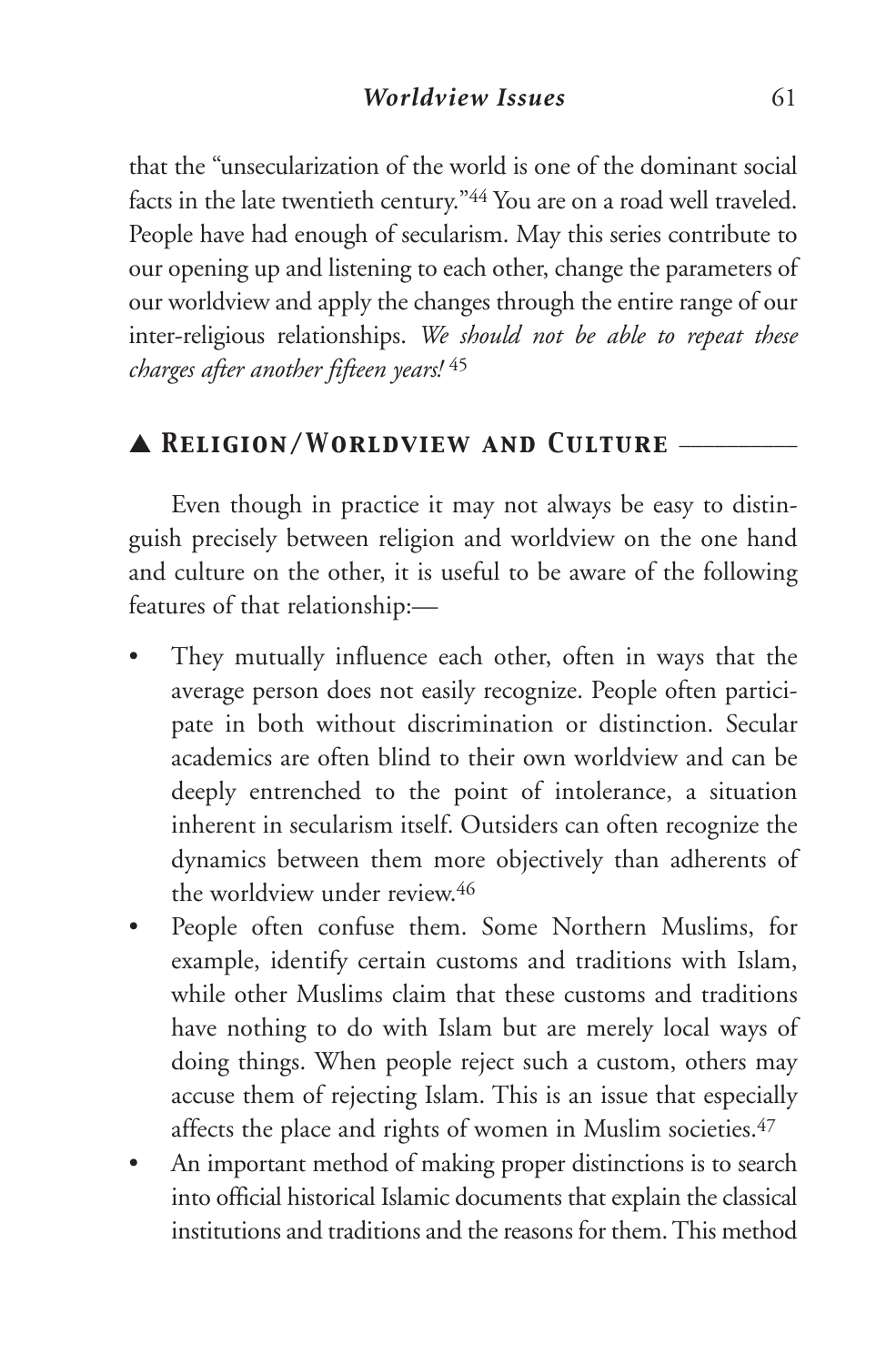that the "unsecularization of the world is one of the dominant social facts in the late twentieth century."44 You are on a road well traveled. People have had enough of secularism. May this series contribute to our opening up and listening to each other, change the parameters of our worldview and apply the changes through the entire range of our inter-religious relationships. *We should not be able to repeat these charges after another fifteen years!* <sup>45</sup>

## ▲ *Religion/Worldview and Culture* \_\_\_\_\_\_\_\_\_\_

Even though in practice it may not always be easy to distinguish precisely between religion and worldview on the one hand and culture on the other, it is useful to be aware of the following features of that relationship:—

- They mutually influence each other, often in ways that the average person does not easily recognize. People often participate in both without discrimination or distinction. Secular academics are often blind to their own worldview and can be deeply entrenched to the point of intolerance, a situation inherent in secularism itself. Outsiders can often recognize the dynamics between them more objectively than adherents of the worldview under review.46
- People often confuse them. Some Northern Muslims, for example, identify certain customs and traditions with Islam, while other Muslims claim that these customs and traditions have nothing to do with Islam but are merely local ways of doing things. When people reject such a custom, others may accuse them of rejecting Islam. This is an issue that especially affects the place and rights of women in Muslim societies.<sup>47</sup>
- An important method of making proper distinctions is to search into official historical Islamic documents that explain the classical institutions and traditions and thereasons for them.This method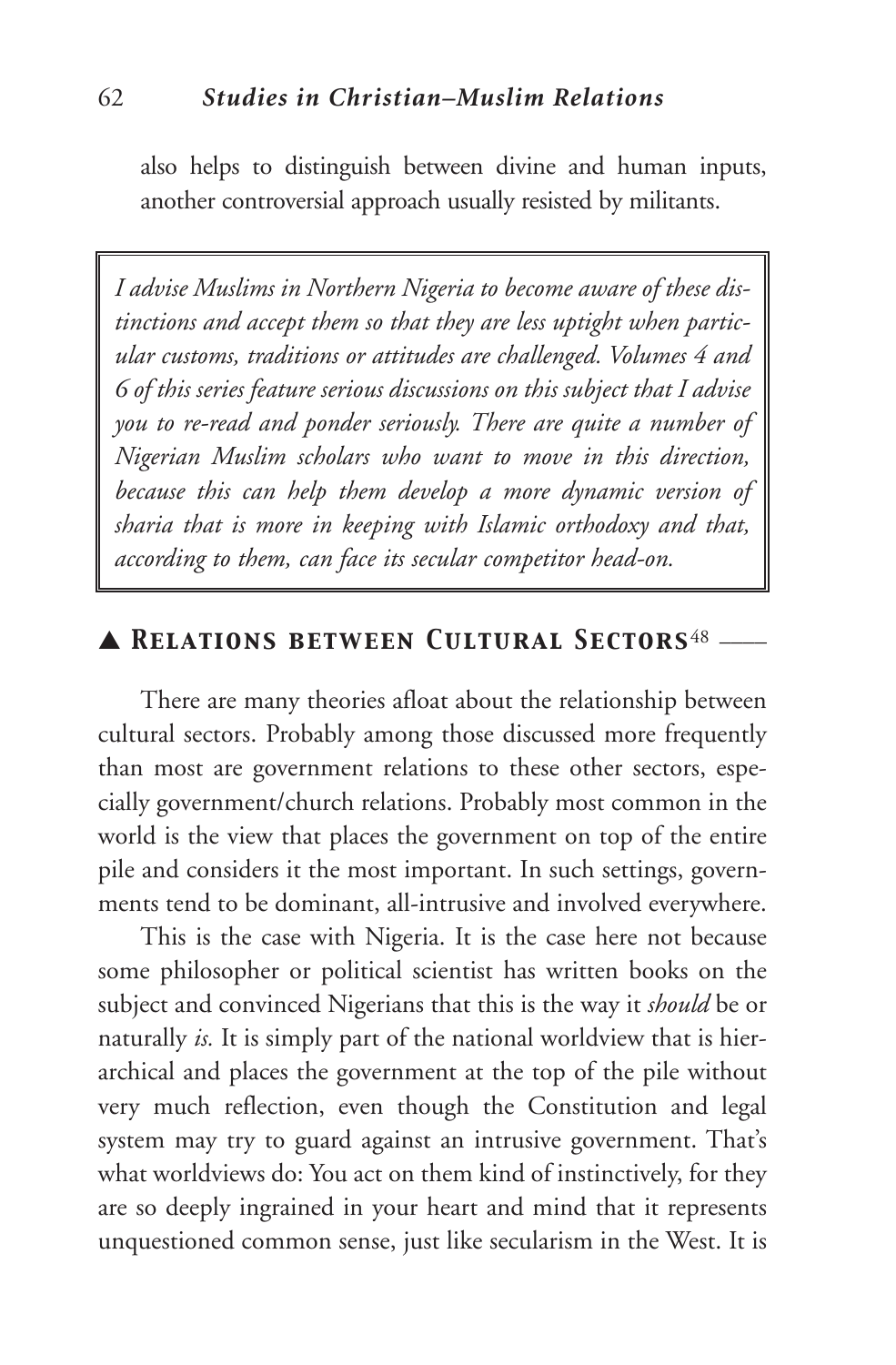also helps to distinguish between divine and human inputs, another controversial approach usually resisted by militants.

*I advise Muslims in Northern Nigeria to become aware of these distinctions and accept them so that they are less uptight when particular customs, traditions or attitudes are challenged. Volumes 4 and 6 of this series feature serious discussions on this subject that I advise you to re-read and ponder seriously. There are quite a number of Nigerian Muslim scholars who want to move in this direction, because this can help them develop a more dynamic version of sharia that is more in keeping with Islamic orthodoxy and that, according to them, can face its secular competitor head-on.*

## ▲ *Relations between Cultural Sectors*<sup>48</sup> \_\_\_\_

There are many theories afloat about the relationship between cultural sectors. Probably among those discussed more frequently than most are government relations to these other sectors, especially government/church relations. Probably most common in the world is the view that places the government on top of the entire pile and considers it the most important. In such settings, governments tend to be dominant, all-intrusive and involved everywhere.

This is the case with Nigeria. It is the case here not because some philosopher or political scientist has written books on the subject and convinced Nigerians that this is the way it *should* be or naturally *is.* It is simply part of the national worldview that is hierarchical and places the government at the top of the pile without very much reflection, even though the Constitution and legal system may try to guard against an intrusive government. That's what worldviews do: You act on them kind of instinctively, for they are so deeply ingrained in your heart and mind that it represents unquestioned common sense, just like secularism in the West. It is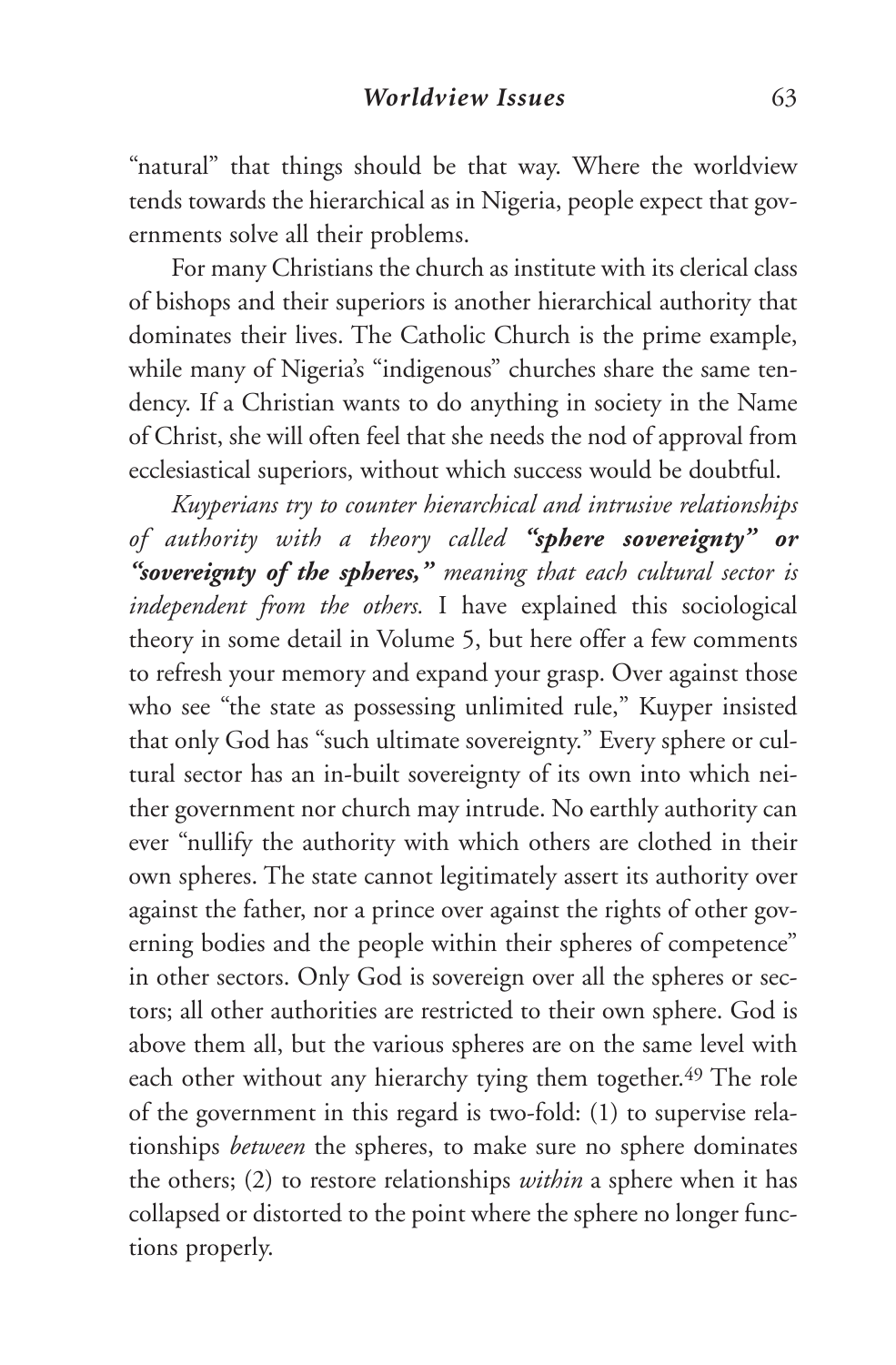"natural" that things should be that way. Where the worldview tends towards the hierarchical as in Nigeria, people expect that governments solve all their problems.

For many Christians the church as institute with its clerical class of bishops and their superiors is another hierarchical authority that dominates their lives. The Catholic Church is the prime example, while many of Nigeria's "indigenous" churches share the same tendency. If a Christian wants to do anything in society in the Name of Christ, she will often feel that she needs the nod of approval from ecclesiastical superiors, without which success would be doubtful.

*Kuyperians try to counter hierarchical and intrusive relationships of authority with a theory called "sphere sovereignty" or "sovereignty of the spheres," meaning that each cultural sector is independent from the others.* I have explained this sociological theory in some detail in Volume 5, but here offer a few comments to refresh your memory and expand your grasp. Over against those who see "the state as possessing unlimited rule," Kuyper insisted that only God has "such ultimate sovereignty." Every sphere or cultural sector has an in-built sovereignty of its own into which neither government nor church may intrude. No earthly authority can ever "nullify the authority with which others are clothed in their own spheres. The state cannot legitimately assert its authority over against the father, nor a prince over against the rights of other governing bodies and the people within their spheres of competence" in other sectors. Only God is sovereign over all the spheres or sectors; all other authorities are restricted to their own sphere. God is above them all, but the various spheres are on the same level with each other without any hierarchy tying them together.<sup>49</sup> The role of the government in this regard is two-fold: (1) to supervise relationships *between* the spheres, to make sure no sphere dominates the others; (2) to restore relationships *within* a sphere when it has collapsed or distorted to the point where the sphere no longer functions properly.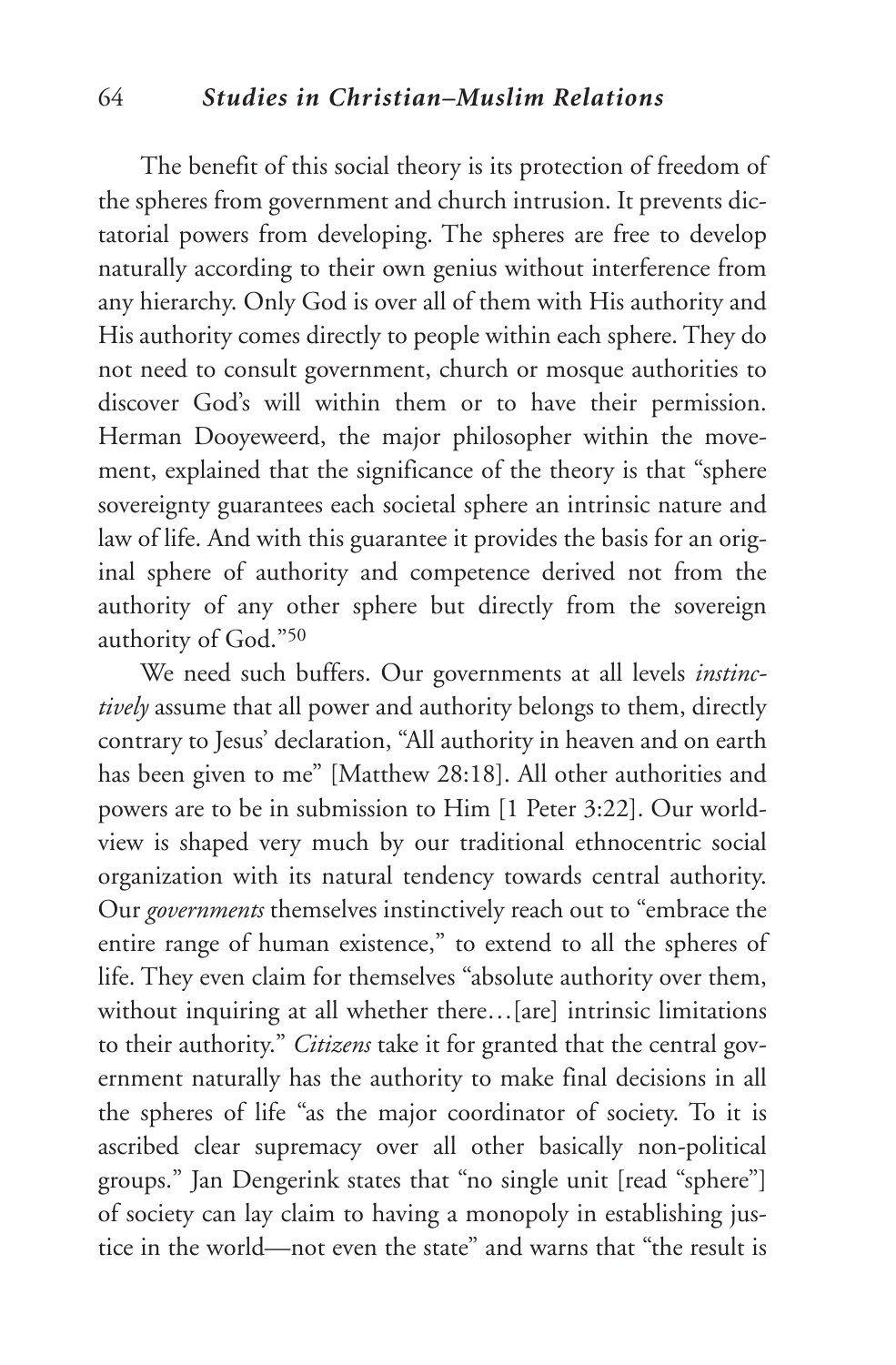### 64 *Studies in Christian–Muslim Relations*

The benefit of this social theory is its protection of freedom of the spheres from government and church intrusion. It prevents dictatorial powers from developing. The spheres are free to develop naturally according to their own genius without interference from any hierarchy. Only God is over all of them with His authority and His authority comes directly to people within each sphere. They do not need to consult government, church or mosque authorities to discover God's will within them or to have their permission. Herman Dooyeweerd, the major philosopher within the movement, explained that the significance of the theory is that "sphere sovereignty guarantees each societal sphere an intrinsic nature and law of life. And with this guarantee it provides the basis for an original sphere of authority and competence derived not from the authority of any other sphere but directly from the sovereign authority of God."50

We need such buffers. Our governments at all levels *instinctively* assume that all power and authority belongs to them, directly contrary to Jesus' declaration, "All authority in heaven and on earth has been given to me" [Matthew 28:18]. All other authorities and powers are to be in submission to Him [1 Peter 3:22]. Our worldview is shaped very much by our traditional ethnocentric social organization with its natural tendency towards central authority. Our *governments* themselves instinctively reach out to "embrace the entire range of human existence," to extend to all the spheres of life. They even claim for themselves "absolute authority over them, without inquiring at all whether there…[are] intrinsic limitations to their authority." *Citizens* take it for granted that the central government naturally has the authority to make final decisions in all the spheres of life "as the major coordinator of society. To it is ascribed clear supremacy over all other basically non-political groups." Jan Dengerink states that "no single unit [read "sphere"] of society can lay claim to having a monopoly in establishing justice in the world—not even the state" and warns that "the result is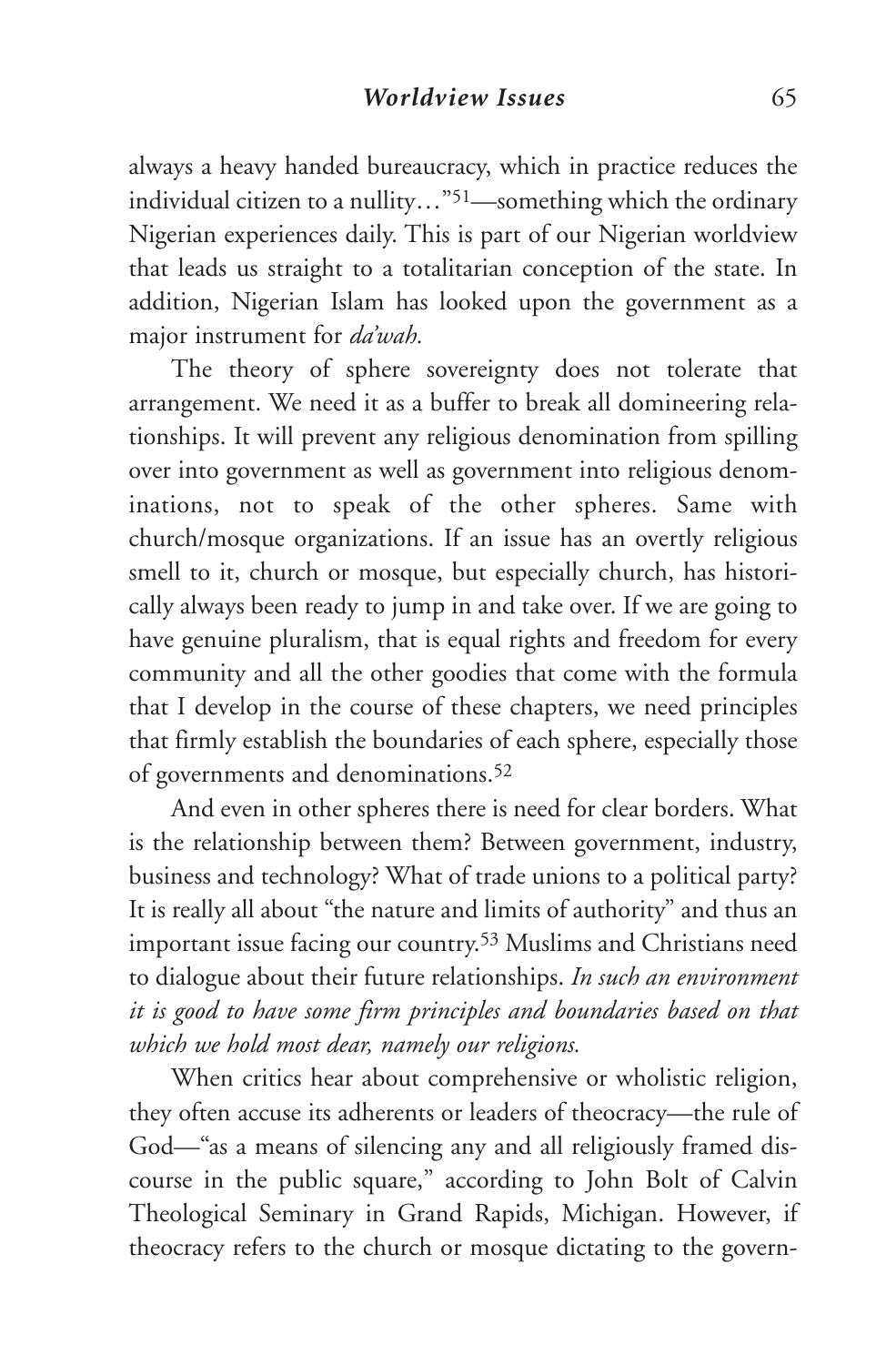always a heavy handed bureaucracy, which in practice reduces the individual citizen to a nullity…"51—something which the ordinary Nigerian experiences daily. This is part of our Nigerian worldview that leads us straight to a totalitarian conception of the state. In addition, Nigerian Islam has looked upon the government as a major instrument for *da'wah.*

The theory of sphere sovereignty does not tolerate that arrangement. We need it as a buffer to break all domineering relationships. It will prevent any religious denomination from spilling over into government as well as government into religious denominations, not to speak of the other spheres. Same with church/mosque organizations. If an issue has an overtly religious smell to it, church or mosque, but especially church, has historically always been ready to jump in and take over. If we are going to have genuine pluralism, that is equal rights and freedom for every community and all the other goodies that come with the formula that I develop in the course of these chapters, we need principles that firmly establish the boundaries of each sphere, especially those of governments and denominations.52

And even in other spheres there is need for clear borders. What is the relationship between them? Between government, industry, business and technology? What of trade unions to a political party? It is really all about "the nature and limits of authority" and thus an important issue facing our country.53 Muslims and Christians need to dialogue about their future relationships. *In such an environment it is good to have some firm principles and boundaries based on that which we hold most dear, namely our religions.*

When critics hear about comprehensive or wholistic religion, they often accuse its adherents or leaders of theocracy—the rule of God—"as a means of silencing any and all religiously framed discourse in the public square," according to John Bolt of Calvin Theological Seminary in Grand Rapids, Michigan. However, if theocracy refers to the church or mosque dictating to the govern-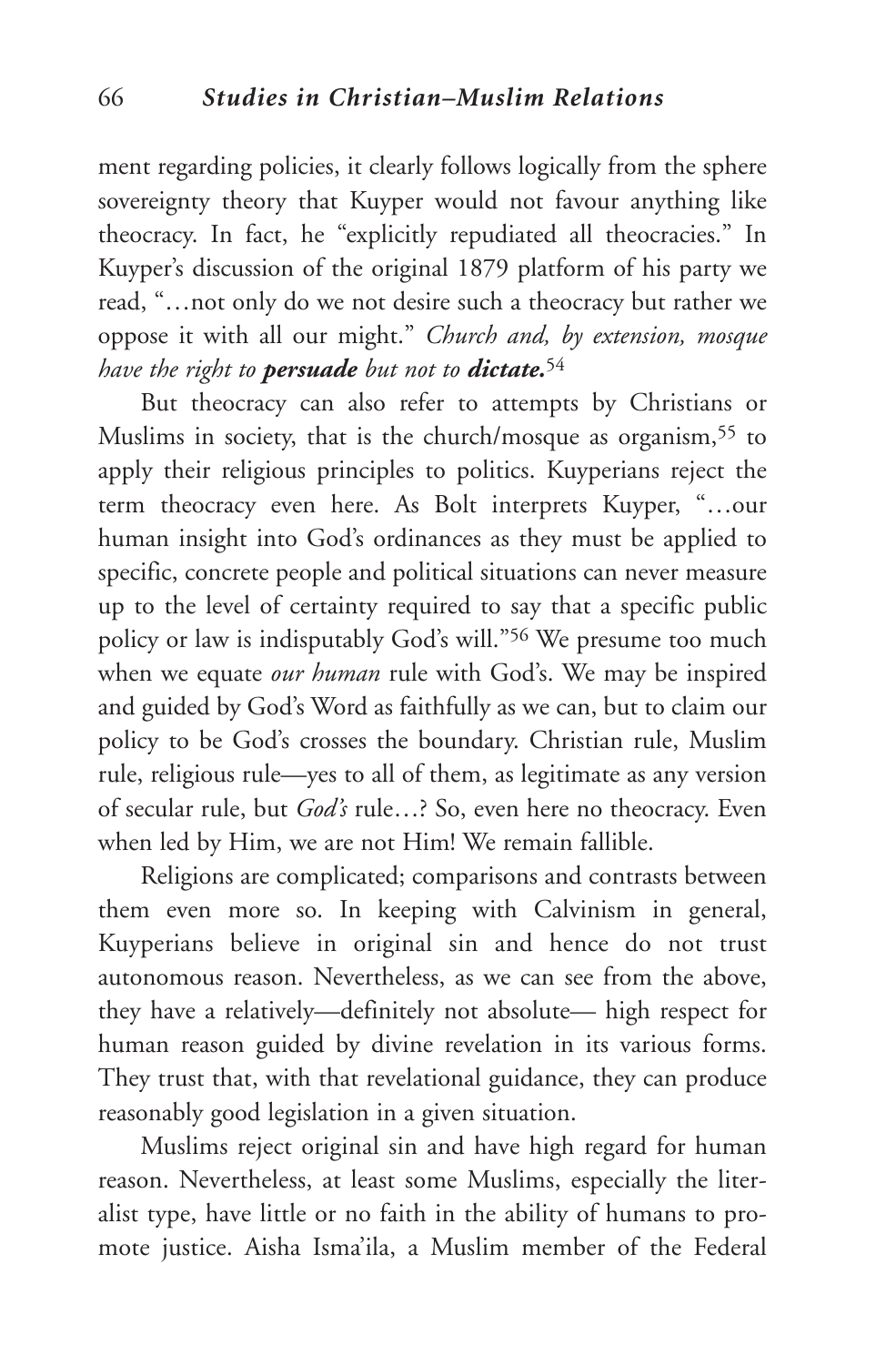ment regarding policies, it clearly follows logically from the sphere sovereignty theory that Kuyper would not favour anything like theocracy. In fact, he "explicitly repudiated all theocracies." In Kuyper's discussion of the original 1879 platform of his party we read, "…not only do we not desire such a theocracy but rather we oppose it with all our might." *Church and, by extension, mosque have the right to persuade but not to dictate.*<sup>54</sup>

But theocracy can also refer to attempts by Christians or Muslims in society, that is the church/mosque as organism,<sup>55</sup> to apply their religious principles to politics. Kuyperians reject the term theocracy even here. As Bolt interprets Kuyper, "…our human insight into God's ordinances as they must be applied to specific, concrete people and political situations can never measure up to the level of certainty required to say that a specific public policy or law is indisputably God's will."56 We presume too much when we equate *our human* rule with God's. We may be inspired and guided by God's Word as faithfully as we can, but to claim our policy to be God's crosses the boundary. Christian rule, Muslim rule, religious rule—yes to all of them, as legitimate as any version of secular rule, but *God's* rule…? So, even here no theocracy. Even when led by Him, we are not Him! We remain fallible.

Religions are complicated; comparisons and contrasts between them even more so. In keeping with Calvinism in general, Kuyperians believe in original sin and hence do not trust autonomous reason. Nevertheless, as we can see from the above, they have a relatively—definitely not absolute— high respect for human reason guided by divine revelation in its various forms. They trust that, with that revelational guidance, they can produce reasonably good legislation in a given situation.

Muslims reject original sin and have high regard for human reason. Nevertheless, at least some Muslims, especially the literalist type, have little or no faith in the ability of humans to promote justice. Aisha Isma'ila, a Muslim member of the Federal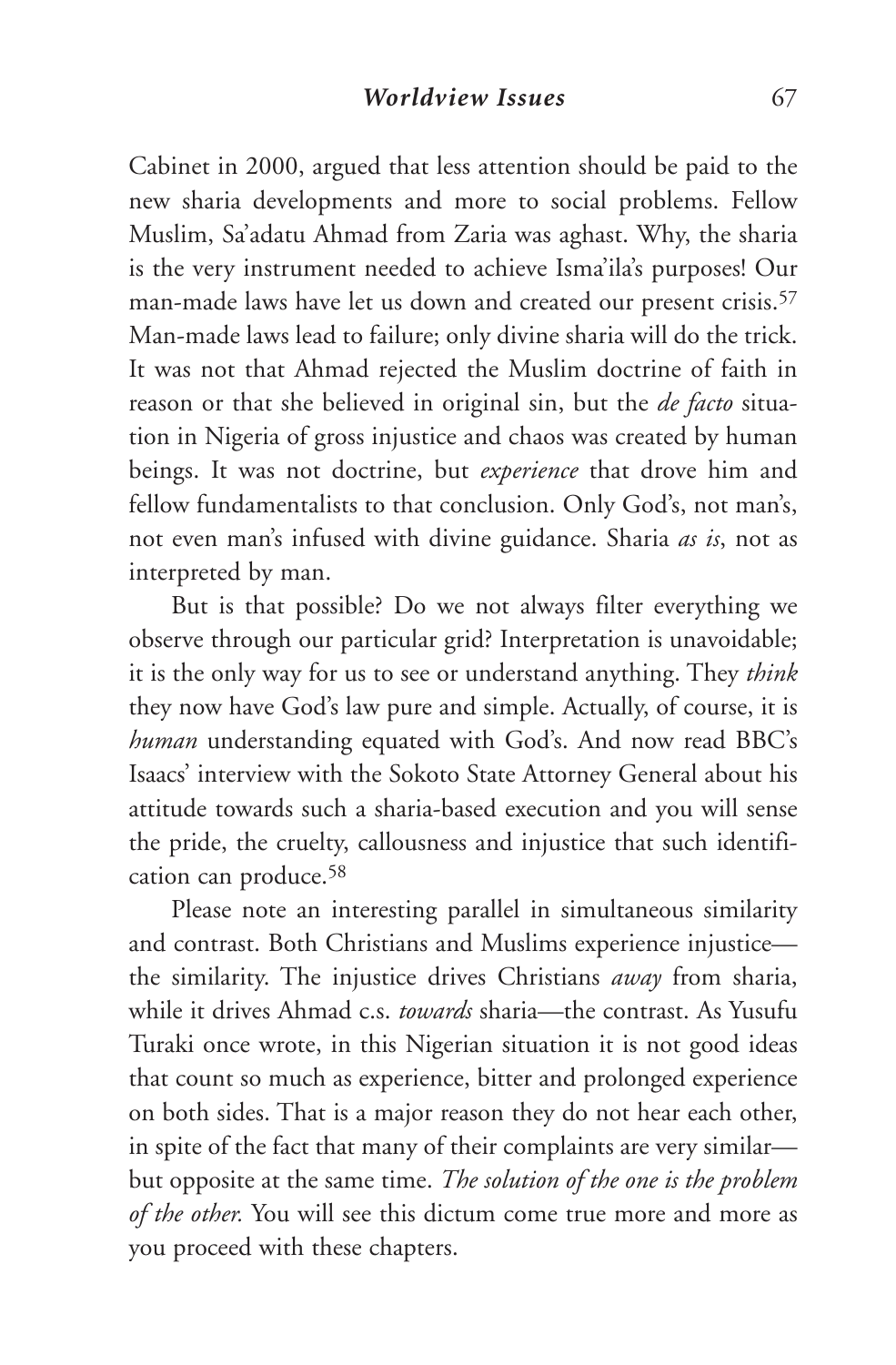Cabinet in 2000, argued that less attention should be paid to the new sharia developments and more to social problems. Fellow Muslim, Sa'adatu Ahmad from Zaria was aghast. Why, the sharia is the very instrument needed to achieve Isma'ila's purposes! Our man-made laws have let us down and created our present crisis.57 Man-made laws lead to failure; only divine sharia will do the trick. It was not that Ahmad rejected the Muslim doctrine of faith in reason or that she believed in original sin, but the *de facto* situation in Nigeria of gross injustice and chaos was created by human beings. It was not doctrine, but *experience* that drove him and fellow fundamentalists to that conclusion. Only God's, not man's, not even man's infused with divine guidance. Sharia *as is*, not as interpreted by man.

But is that possible? Do we not always filter everything we observe through our particular grid? Interpretation is unavoidable; it is the only way for us to see or understand anything. They *think* they now have God's law pure and simple. Actually, of course, it is *human* understanding equated with God's. And now read BBC's Isaacs' interview with the Sokoto State Attorney General about his attitude towards such a sharia-based execution and you will sense the pride, the cruelty, callousness and injustice that such identification can produce.58

Please note an interesting parallel in simultaneous similarity and contrast. Both Christians and Muslims experience injustice the similarity. The injustice drives Christians *away* from sharia, while it drives Ahmad c.s. *towards* sharia—the contrast. As Yusufu Turaki once wrote, in this Nigerian situation it is not good ideas that count so much as experience, bitter and prolonged experience on both sides. That is a major reason they do not hear each other, in spite of the fact that many of their complaints are very similar but opposite at the same time. *The solution of the one is the problem of the other.* You will see this dictum come true more and more as you proceed with these chapters.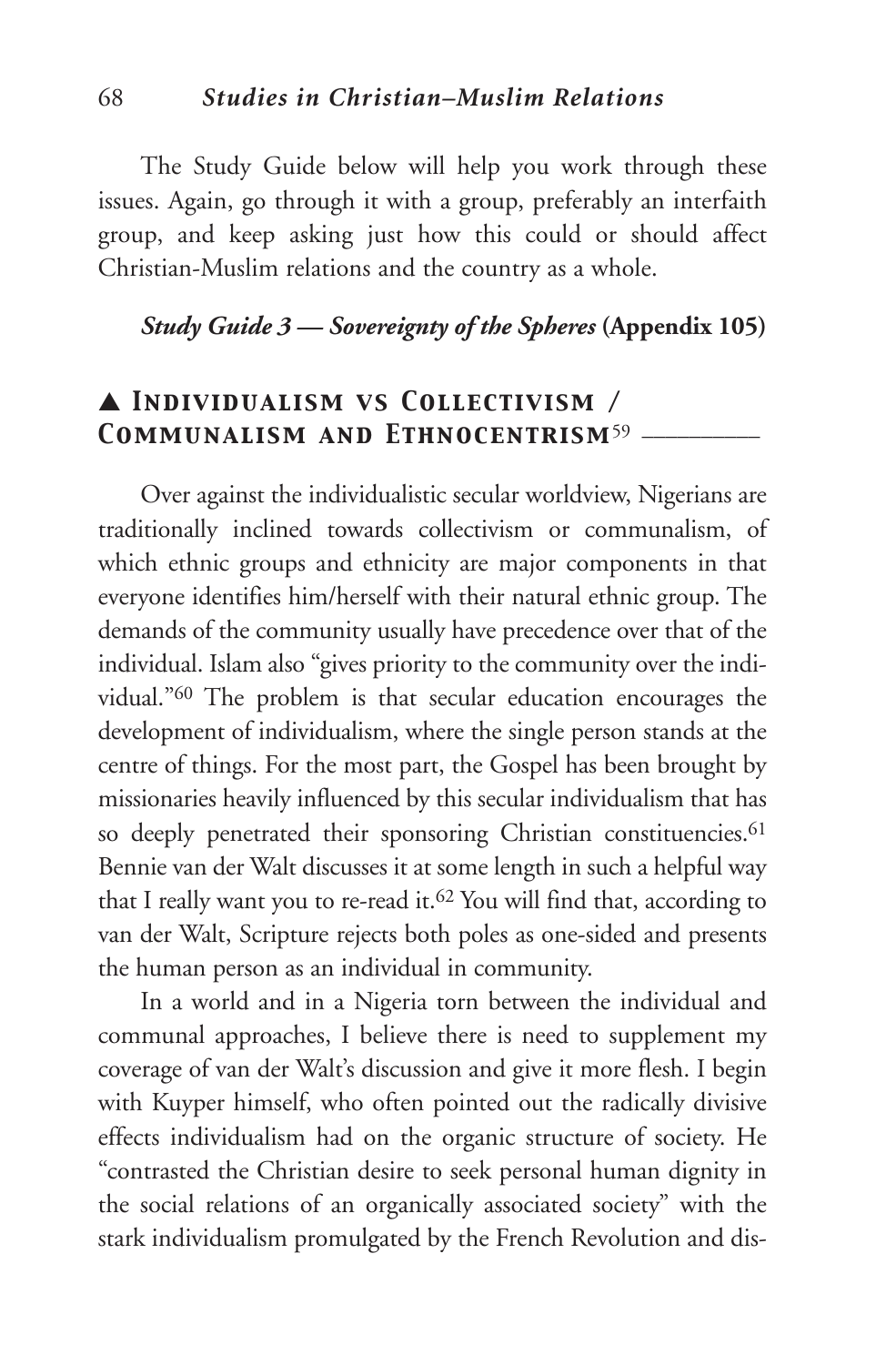The Study Guide below will help you work through these issues. Again, go through it with a group, preferably an interfaith group, and keep asking just how this could or should affect Christian-Muslim relations and the country as a whole.

## *Study Guide 3 — Sovereignty of the Spheres* **(Appendix 105)**

# ▲ *Individualism vs Collectivism / Communalism and Ethnocentrism*<sup>59</sup> \_\_\_\_\_\_\_\_\_\_

Over against the individualistic secular worldview, Nigerians are traditionally inclined towards collectivism or communalism, of which ethnic groups and ethnicity are major components in that everyone identifies him/herself with their natural ethnic group. The demands of the community usually have precedence over that of the individual. Islam also "gives priority to the community over the individual."60 The problem is that secular education encourages the development of individualism, where the single person stands at the centre of things. For the most part, the Gospel has been brought by missionaries heavily influenced by this secular individualism that has so deeply penetrated their sponsoring Christian constituencies.<sup>61</sup> Bennie van der Walt discusses it at some length in such a helpful way that I really want you to re-read it. <sup>62</sup> You will find that, according to van der Walt, Scripture rejects both poles as one-sided and presents the human person as an individual in community.

In a world and in a Nigeria torn between the individual and communal approaches, I believe there is need to supplement my coverage of van der Walt's discussion and give it more flesh. I begin with Kuyper himself, who often pointed out the radically divisive effects individualism had on the organic structure of society. He "contrasted the Christian desire to seek personal human dignity in the social relations of an organically associated society" with the stark individualism promulgated by the French Revolution and dis-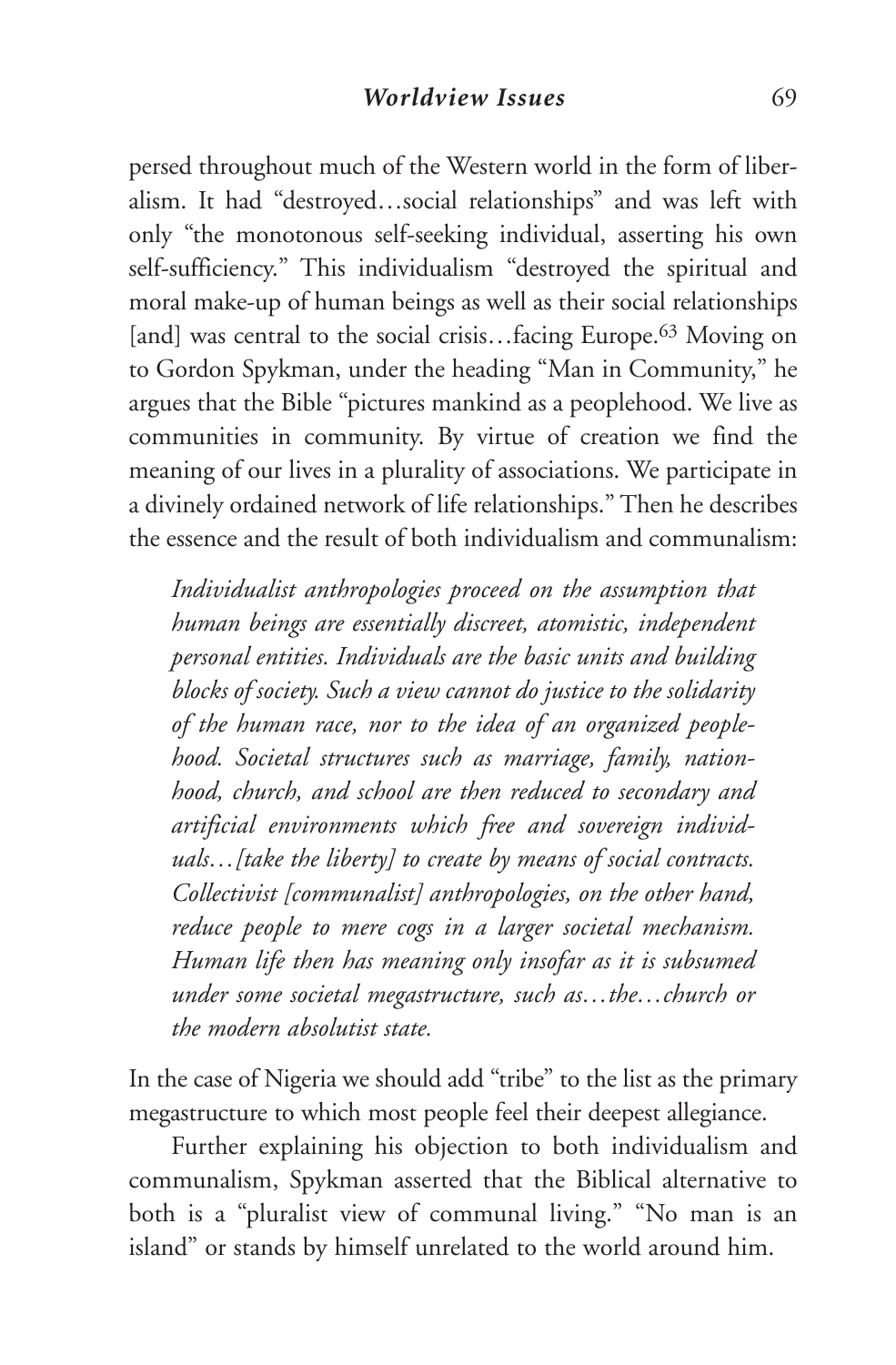persed throughout much of the Western world in the form of liberalism. It had "destroyed…social relationships" and was left with only "the monotonous self-seeking individual, asserting his own self-sufficiency." This individualism "destroyed the spiritual and moral make-up of human beings as well as their social relationships [and] was central to the social crisis...facing Europe.<sup>63</sup> Moving on to Gordon Spykman, under the heading "Man in Community," he argues that the Bible "pictures mankind as a peoplehood. We live as communities in community. By virtue of creation we find the meaning of our lives in a plurality of associations. We participate in a divinely ordained network of life relationships." Then he describes the essence and the result of both individualism and communalism:

*Individualist anthropologies proceed on the assumption that human beings are essentially discreet, atomistic, independent personal entities. Individuals are the basic units and building blocks of society. Such a view cannot do justice to the solidarity of the human race, nor to the idea of an organized peoplehood. Societal structures such as marriage, family, nationhood, church, and school are then reduced to secondary and artificial environments which free and sovereign individuals…[take the liberty] to create by means of social contracts. Collectivist [communalist] anthropologies, on the other hand, reduce people to mere cogs in a larger societal mechanism. Human life then has meaning only insofar as it is subsumed under some societal megastructure, such as…the…church or the modern absolutist state.*

In the case of Nigeria we should add "tribe" to the list as the primary megastructure to which most people feel their deepest allegiance.

Further explaining his objection to both individualism and communalism, Spykman asserted that the Biblical alternative to both is a "pluralist view of communal living." "No man is an island" or stands by himself unrelated to the world around him.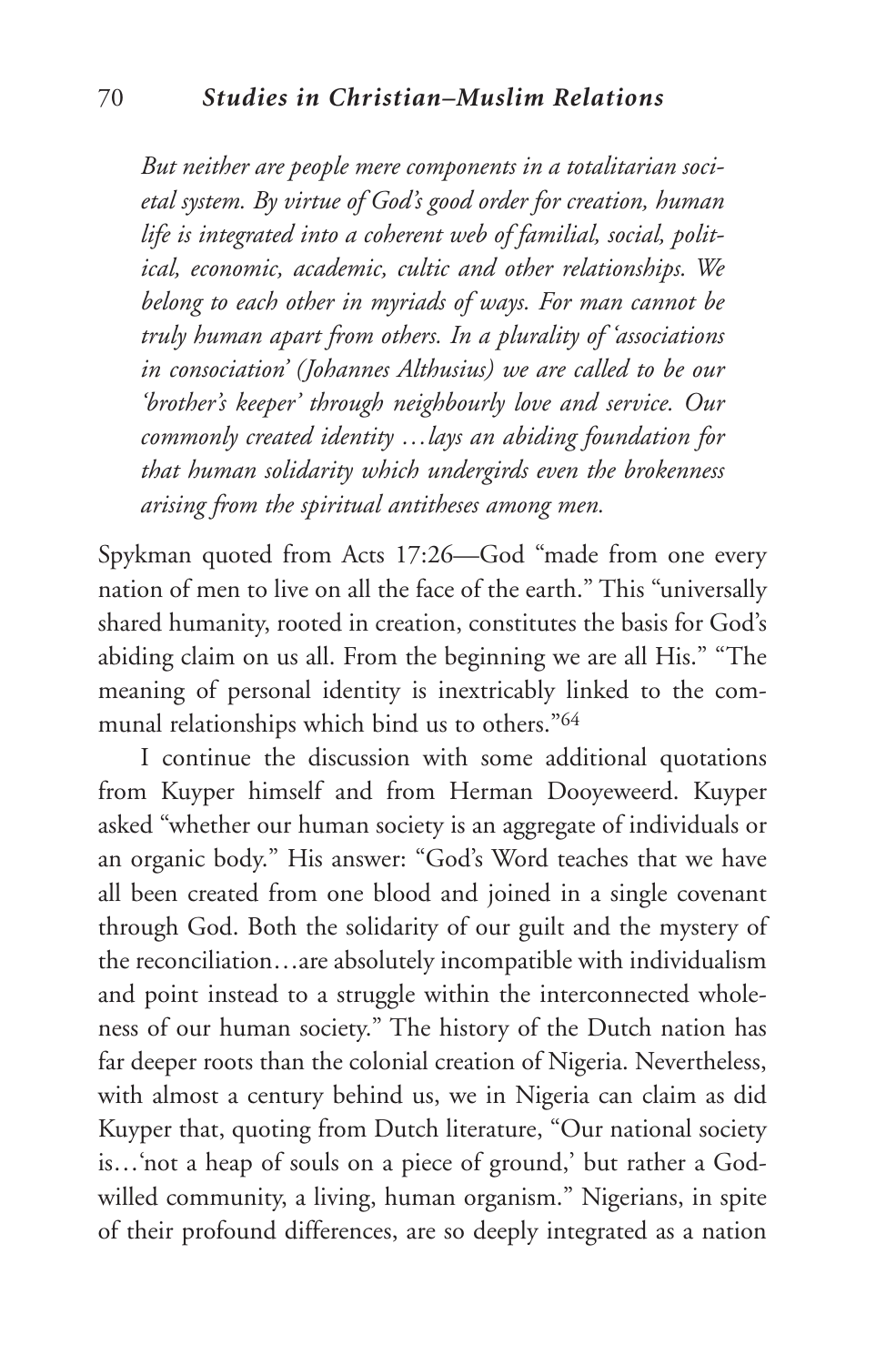*But neither are people mere components in a totalitarian societal system. By virtue of God's good order for creation, human life is integrated into a coherent web of familial, social, political, economic, academic, cultic and other relationships. We belong to each other in myriads of ways. For man cannot be truly human apart from others. In a plurality of 'associations in consociation' (Johannes Althusius) we are called to be our 'brother's keeper' through neighbourly love and service. Our commonly created identity …lays an abiding foundation for that human solidarity which undergirds even the brokenness arising from the spiritual antitheses among men.*

Spykman quoted from Acts 17:26—God "made from one every nation of men to live on all the face of the earth." This "universally shared humanity, rooted in creation, constitutes the basis for God's abiding claim on us all. From the beginning we are all His." "The meaning of personal identity is inextricably linked to the communal relationships which bind us to others."64

I continue the discussion with some additional quotations from Kuyper himself and from Herman Dooyeweerd. Kuyper asked "whether our human society is an aggregate of individuals or an organic body." His answer: "God's Word teaches that we have all been created from one blood and joined in a single covenant through God. Both the solidarity of our guilt and the mystery of the reconciliation…are absolutely incompatible with individualism and point instead to a struggle within the interconnected wholeness of our human society." The history of the Dutch nation has far deeper roots than the colonial creation of Nigeria. Nevertheless, with almost a century behind us, we in Nigeria can claim as did Kuyper that, quoting from Dutch literature, "Our national society is…'not a heap of souls on a piece of ground,' but rather a Godwilled community, a living, human organism." Nigerians, in spite of their profound differences, are so deeply integrated as a nation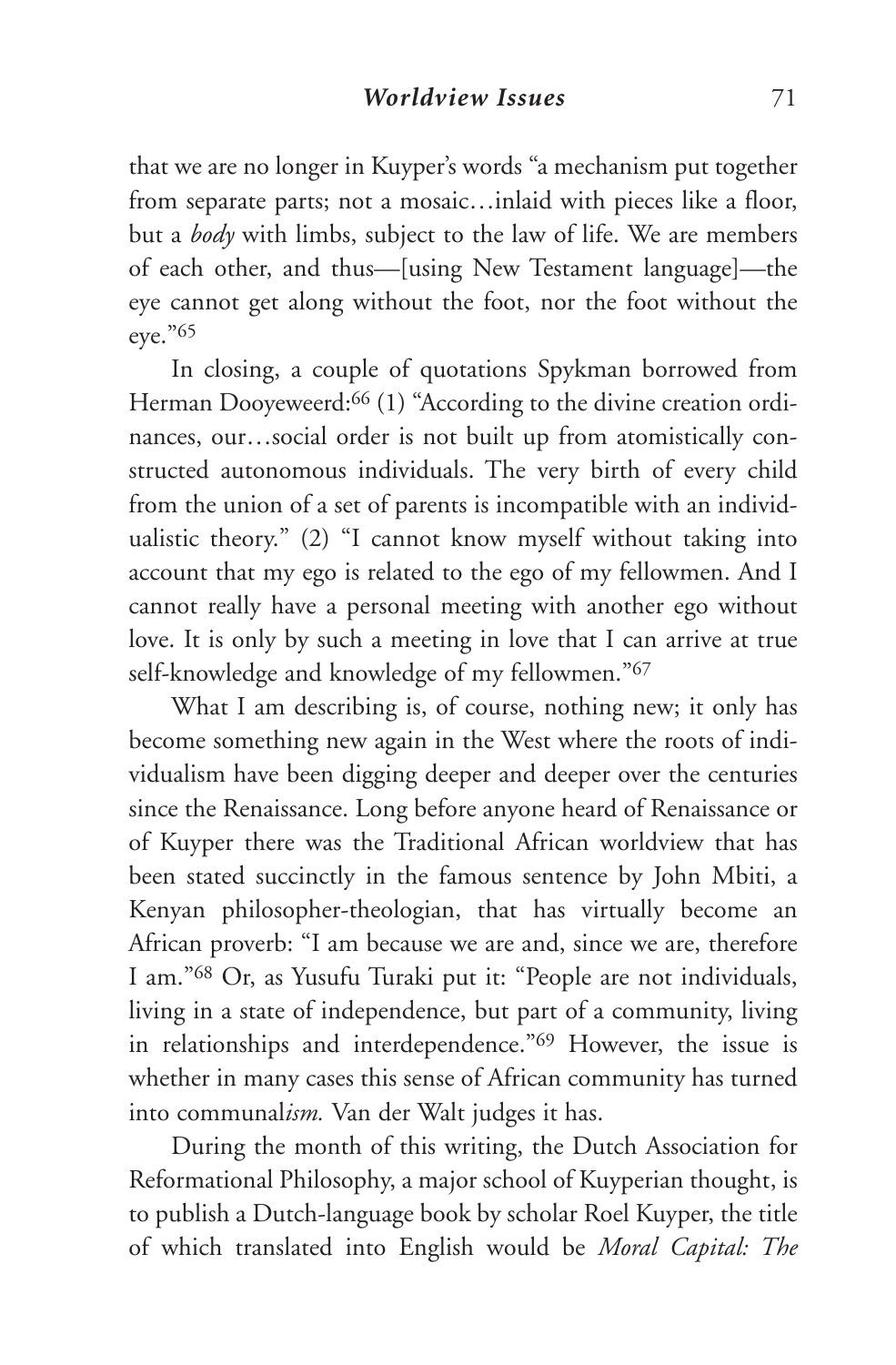that we are no longer in Kuyper's words "a mechanism put together from separate parts; not a mosaic…inlaid with pieces like a floor, but a *body* with limbs, subject to the law of life. We are members of each other, and thus—[using New Testament language]—the eye cannot get along without the foot, nor the foot without the eye."65

In closing, a couple of quotations Spykman borrowed from Herman Dooyeweerd:<sup>66</sup> (1) "According to the divine creation ordinances, our…social order is not built up from atomistically constructed autonomous individuals. The very birth of every child from the union of a set of parents is incompatible with an individualistic theory." (2) "I cannot know myself without taking into account that my ego is related to the ego of my fellowmen. And I cannot really have a personal meeting with another ego without love. It is only by such a meeting in love that I can arrive at true self-knowledge and knowledge of my fellowmen."67

What I am describing is, of course, nothing new; it only has become something new again in the West where the roots of individualism have been digging deeper and deeper over the centuries since the Renaissance. Long before anyone heard of Renaissance or of Kuyper there was the Traditional African worldview that has been stated succinctly in the famous sentence by John Mbiti, a Kenyan philosopher-theologian, that has virtually become an African proverb: "I am because we are and, since we are, therefore I am."68 Or, as Yusufu Turaki put it: "People are not individuals, living in a state of independence, but part of a community, living in relationships and interdependence."69 However, the issue is whether in many cases this sense of African community has turned into communal*ism.* Van der Walt judges it has.

During the month of this writing, the Dutch Association for Reformational Philosophy, a major school of Kuyperian thought, is to publish a Dutch-language book by scholar Roel Kuyper, the title of which translated into English would be *Moral Capital: The*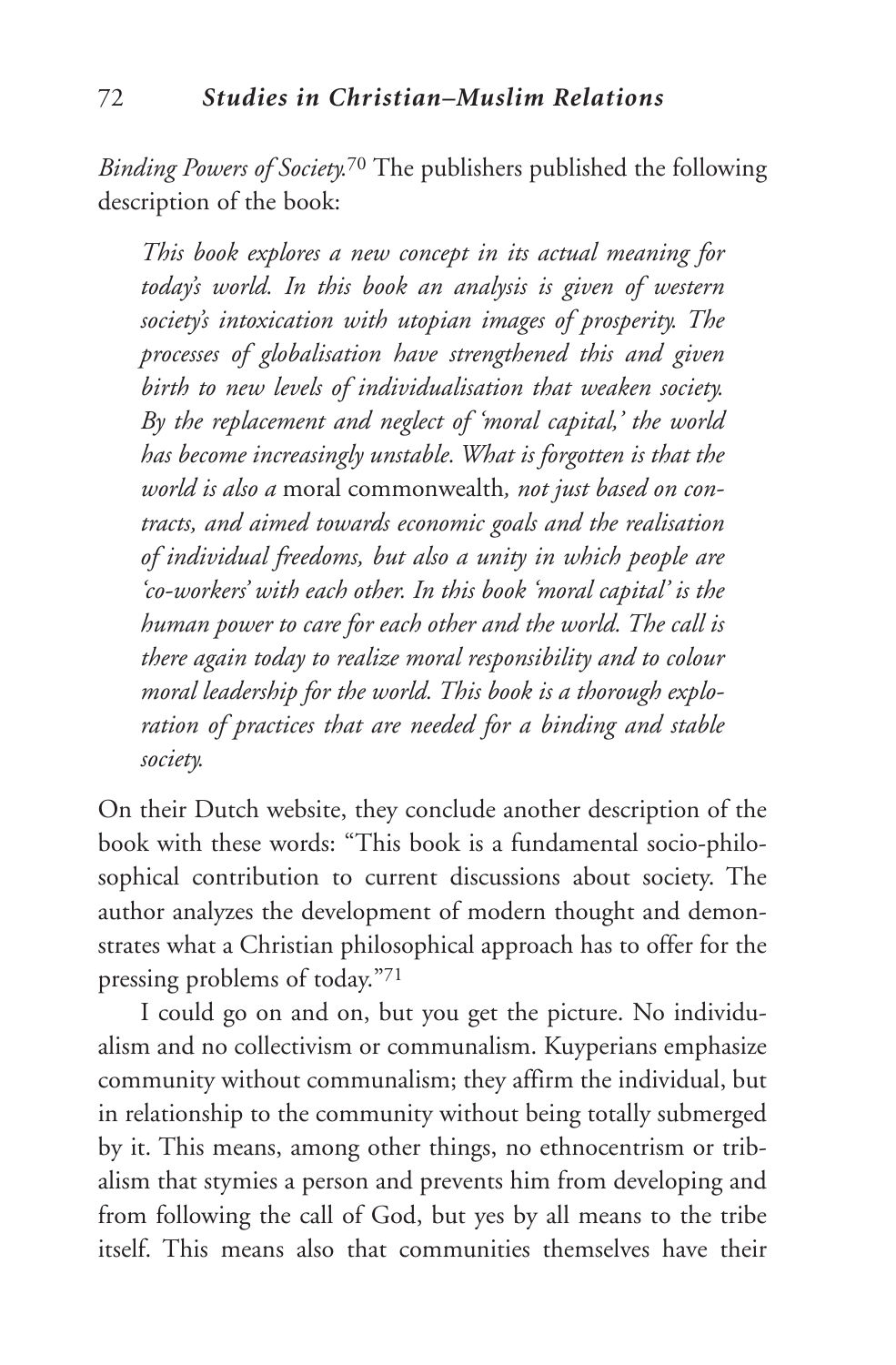*Binding Powers of Society.*<sup>70</sup> The publishers published the following description of the book:

*This book explores a new concept in its actual meaning for today's world. In this book an analysis is given of western society's intoxication with utopian images of prosperity. The processes of globalisation have strengthened this and given birth to new levels of individualisation that weaken society. By the replacement and neglect of 'moral capital,' the world has become increasingly unstable. What is forgotten is that the world is also a* moral commonwealth*, not just based on contracts, and aimed towards economic goals and the realisation of individual freedoms, but also a unity in which people are 'co-workers' with each other. In this book 'moral capital' is the human power to care for each other and the world. The call is there again today to realize moral responsibility and to colour moral leadership for the world. This book is a thorough exploration of practices that are needed for a binding and stable society.*

On their Dutch website, they conclude another description of the book with these words: "This book is a fundamental socio-philosophical contribution to current discussions about society. The author analyzes the development of modern thought and demonstrates what a Christian philosophical approach has to offer for the pressing problems of today."71

I could go on and on, but you get the picture. No individualism and no collectivism or communalism. Kuyperians emphasize community without communalism; they affirm the individual, but in relationship to the community without being totally submerged by it. This means, among other things, no ethnocentrism or tribalism that stymies a person and prevents him from developing and from following the call of God, but yes by all means to the tribe itself. This means also that communities themselves have their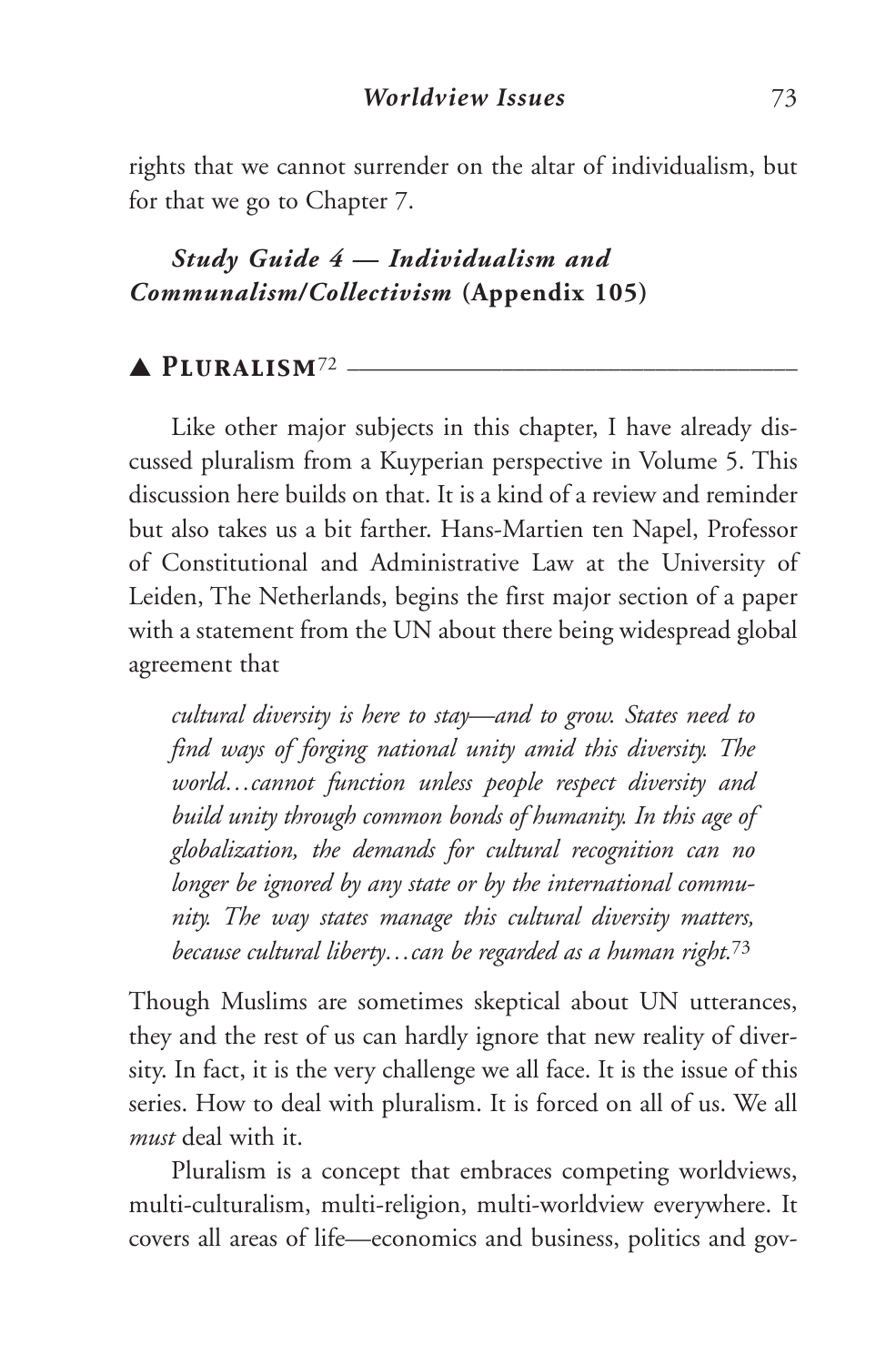rights that we cannot surrender on the altar of individualism, but for that we go to Chapter 7.

# *Study Guide 4 — Individualism and Communalism/Collectivism* **(Appendix 105)**

# ▲ *Pluralism*<sup>72</sup> \_\_\_\_\_\_\_\_\_\_\_\_\_\_\_\_\_\_\_\_\_\_\_\_\_\_\_\_\_\_\_\_\_\_\_\_\_\_

Like other major subjects in this chapter, I have already discussed pluralism from a Kuyperian perspective in Volume 5. This discussion here builds on that. It is a kind of a review and reminder but also takes us a bit farther. Hans-Martien ten Napel, Professor of Constitutional and Administrative Law at the University of Leiden, The Netherlands, begins the first major section of a paper with a statement from the UN about there being widespread global agreement that

*cultural diversity is here to stay—and to grow. States need to find ways of forging national unity amid this diversity. The world…cannot function unless people respect diversity and build unity through common bonds of humanity. In this age of globalization, the demands for cultural recognition can no longer be ignored by any state or by the international community. The way states manage this cultural diversity matters, because cultural liberty…can be regarded as a human right.* 73

Though Muslims are sometimes skeptical about UN utterances, they and the rest of us can hardly ignore that new reality of diversity. In fact, it is the very challenge we all face. It is the issue of this series. How to deal with pluralism. It is forced on all of us. We all *must* deal with it.

Pluralism is a concept that embraces competing worldviews, multi-culturalism, multi-religion, multi-worldview everywhere. It covers all areas of life—economics and business, politics and gov-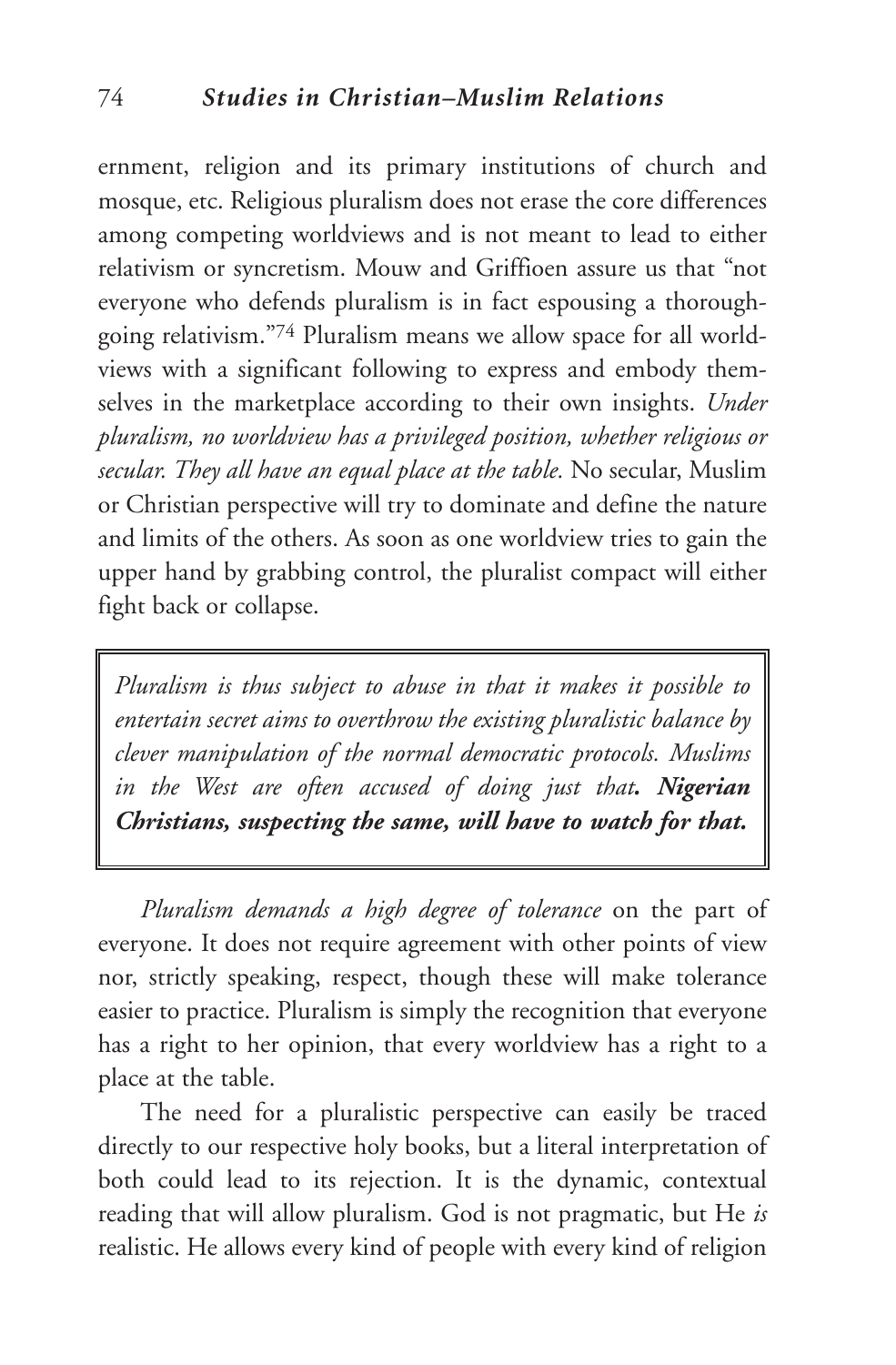ernment, religion and its primary institutions of church and mosque, etc. Religious pluralism does not erase the core differences among competing worldviews and is not meant to lead to either relativism or syncretism. Mouw and Griffioen assure us that "not everyone who defends pluralism is in fact espousing a thoroughgoing relativism."74 Pluralism means we allow space for all worldviews with a significant following to express and embody themselves in the marketplace according to their own insights. *Under pluralism, no worldview has a privileged position, whether religious or secular. They all have an equal place at the table.* No secular, Muslim or Christian perspective will try to dominate and define the nature and limits of the others. As soon as one worldview tries to gain the upper hand by grabbing control, the pluralist compact will either fight back or collapse.

*Pluralism is thus subject to abuse in that it makes it possible to entertain secret aims to overthrow the existing pluralistic balance by clever manipulation of the normal democratic protocols. Muslims in the West are often accused of doing just that. Nigerian Christians, suspecting the same, will have to watch for that.*

*Pluralism demands a high degree of tolerance* on the part of everyone. It does not require agreement with other points of view nor, strictly speaking, respect, though these will make tolerance easier to practice. Pluralism is simply the recognition that everyone has a right to her opinion, that every worldview has a right to a place at the table.

The need for a pluralistic perspective can easily be traced directly to our respective holy books, but a literal interpretation of both could lead to its rejection. It is the dynamic, contextual reading that will allow pluralism. God is not pragmatic, but He *is* realistic. He allows every kind of people with every kind of religion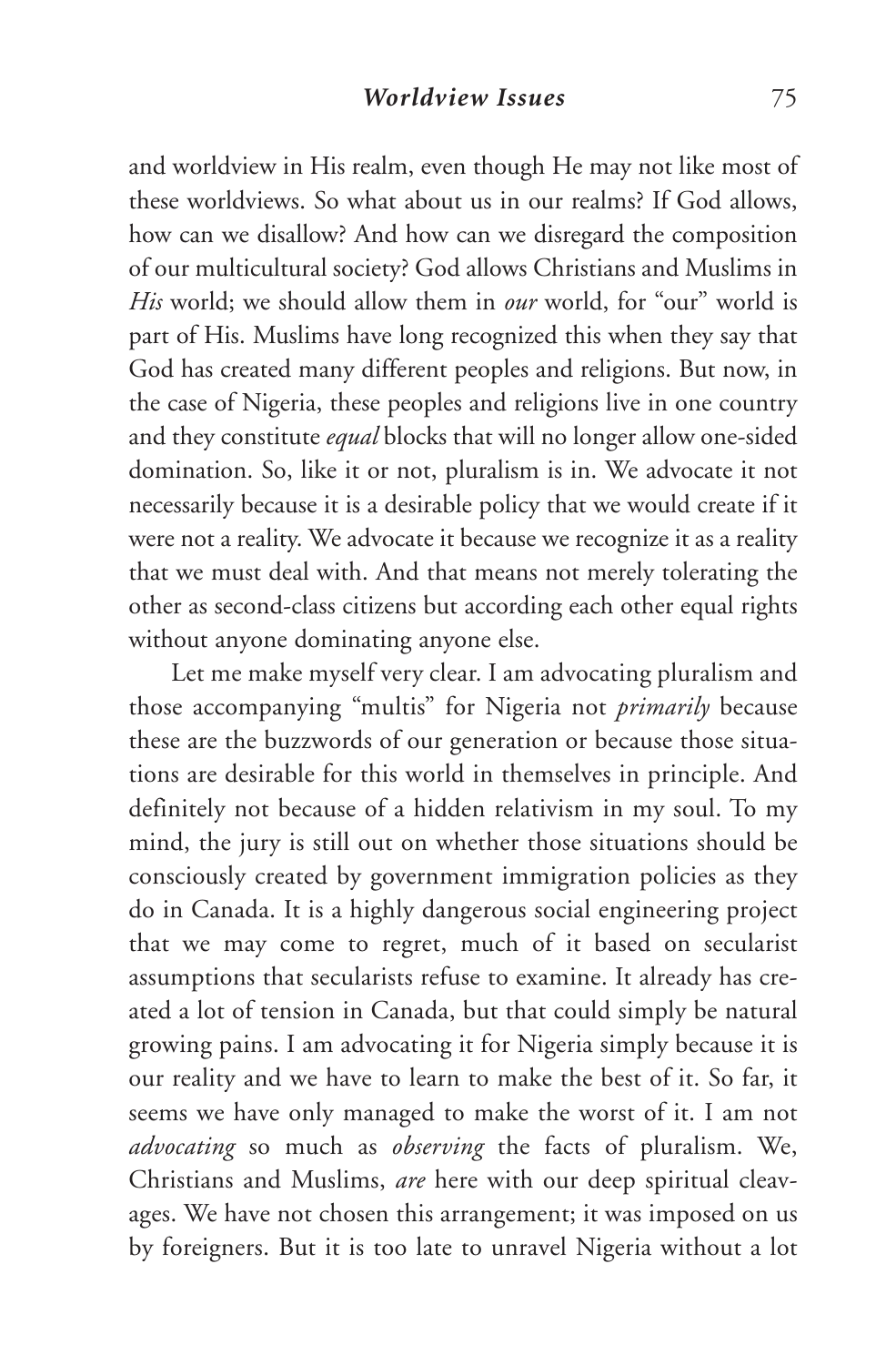and worldview in His realm, even though He may not like most of these worldviews. So what about us in our realms? If God allows, how can we disallow? And how can we disregard the composition of our multicultural society? God allows Christians and Muslims in *His* world; we should allow them in *our* world, for "our" world is part of His. Muslims have long recognized this when they say that God has created many different peoples and religions. But now, in the case of Nigeria, these peoples and religions live in one country and they constitute *equal* blocks that will no longer allow one-sided domination. So, like it or not, pluralism is in. We advocate it not necessarily because it is a desirable policy that we would create if it were not a reality. We advocate it because we recognize it as a reality that we must deal with. And that means not merely tolerating the other as second-class citizens but according each other equal rights without anyone dominating anyone else.

Let me make myself very clear. I am advocating pluralism and those accompanying "multis" for Nigeria not *primarily* because these are the buzzwords of our generation or because those situations are desirable for this world in themselves in principle. And definitely not because of a hidden relativism in my soul. To my mind, the jury is still out on whether those situations should be consciously created by government immigration policies as they do in Canada. It is a highly dangerous social engineering project that we may come to regret, much of it based on secularist assumptions that secularists refuse to examine. It already has created a lot of tension in Canada, but that could simply be natural growing pains. I am advocating it for Nigeria simply because it is our reality and we have to learn to make the best of it. So far, it seems we have only managed to make the worst of it. I am not *advocating* so much as *observing* the facts of pluralism. We, Christians and Muslims, *are* here with our deep spiritual cleavages. We have not chosen this arrangement; it was imposed on us by foreigners. But it is too late to unravel Nigeria without a lot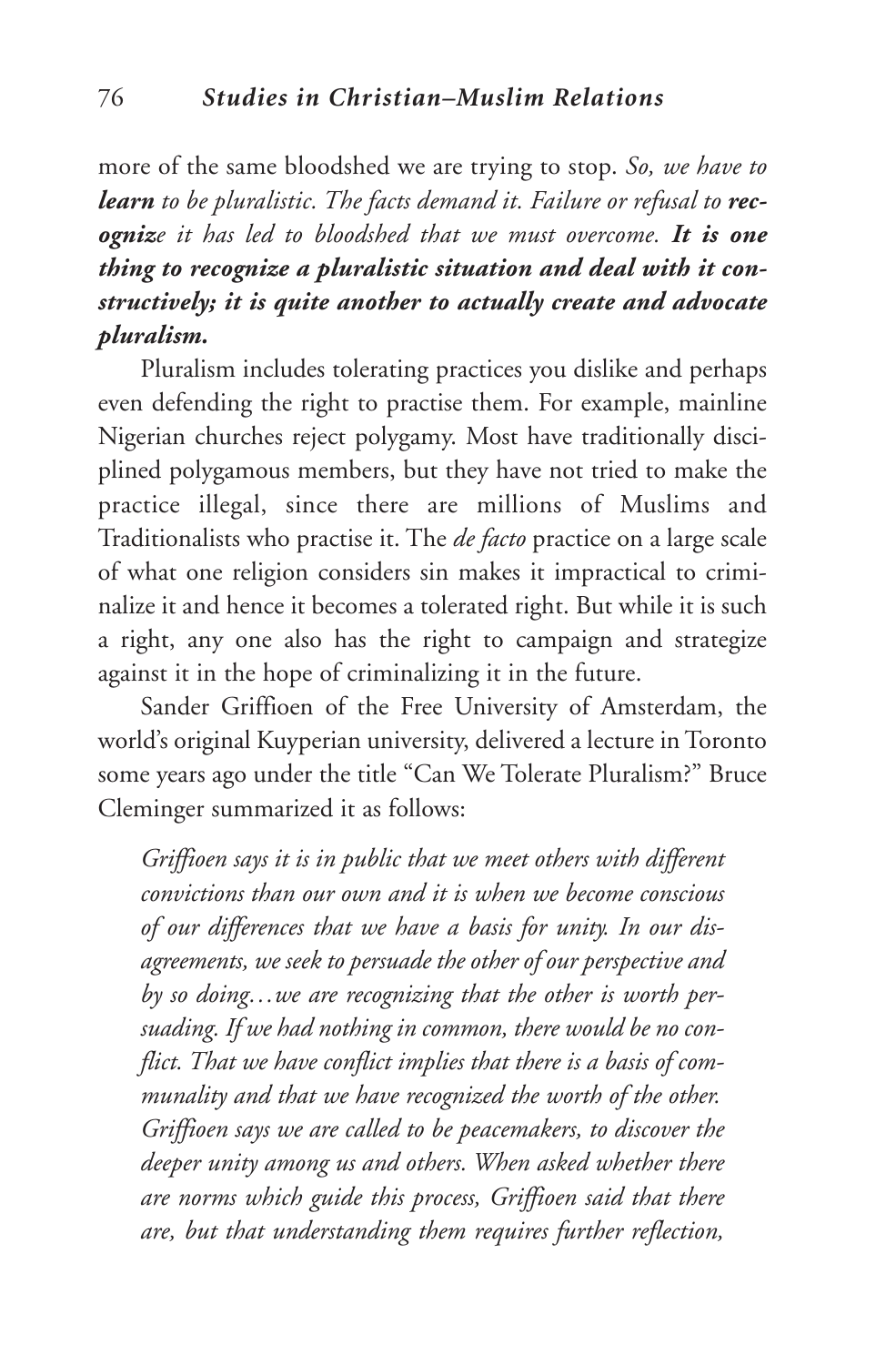more of the same bloodshed we are trying to stop. *So, we have to learn to be pluralistic. The facts demand it. Failure or refusal to recognize it has led to bloodshed that we must overcome. It is one thing to recognize a pluralistic situation and deal with it constructively; it is quite another to actually create and advocate pluralism.*

Pluralism includes tolerating practices you dislike and perhaps even defending the right to practise them. For example, mainline Nigerian churches reject polygamy. Most have traditionally disciplined polygamous members, but they have not tried to make the practice illegal, since there are millions of Muslims and Traditionalists who practise it. The *de facto* practice on a large scale of what one religion considers sin makes it impractical to criminalize it and hence it becomes a tolerated right. But while it is such a right, any one also has the right to campaign and strategize against it in the hope of criminalizing it in the future.

Sander Griffioen of the Free University of Amsterdam, the world's original Kuyperian university, delivered a lecture in Toronto some years ago under the title "Can We Tolerate Pluralism?" Bruce Cleminger summarized it as follows:

*Griffioen says it is in public that we meet others with different convictions than our own and it is when we become conscious of our differences that we have a basis for unity. In our disagreements, we seek to persuade the other of our perspective and by so doing…we are recognizing that the other is worth persuading. If we had nothing in common, there would be no conflict. That we have conflict implies that there is a basis of communality and that we have recognized the worth of the other. Griffioen says we are called to be peacemakers, to discover the deeper unity among us and others. When asked whether there are norms which guide this process, Griffioen said that there are, but that understanding them requires further reflection,*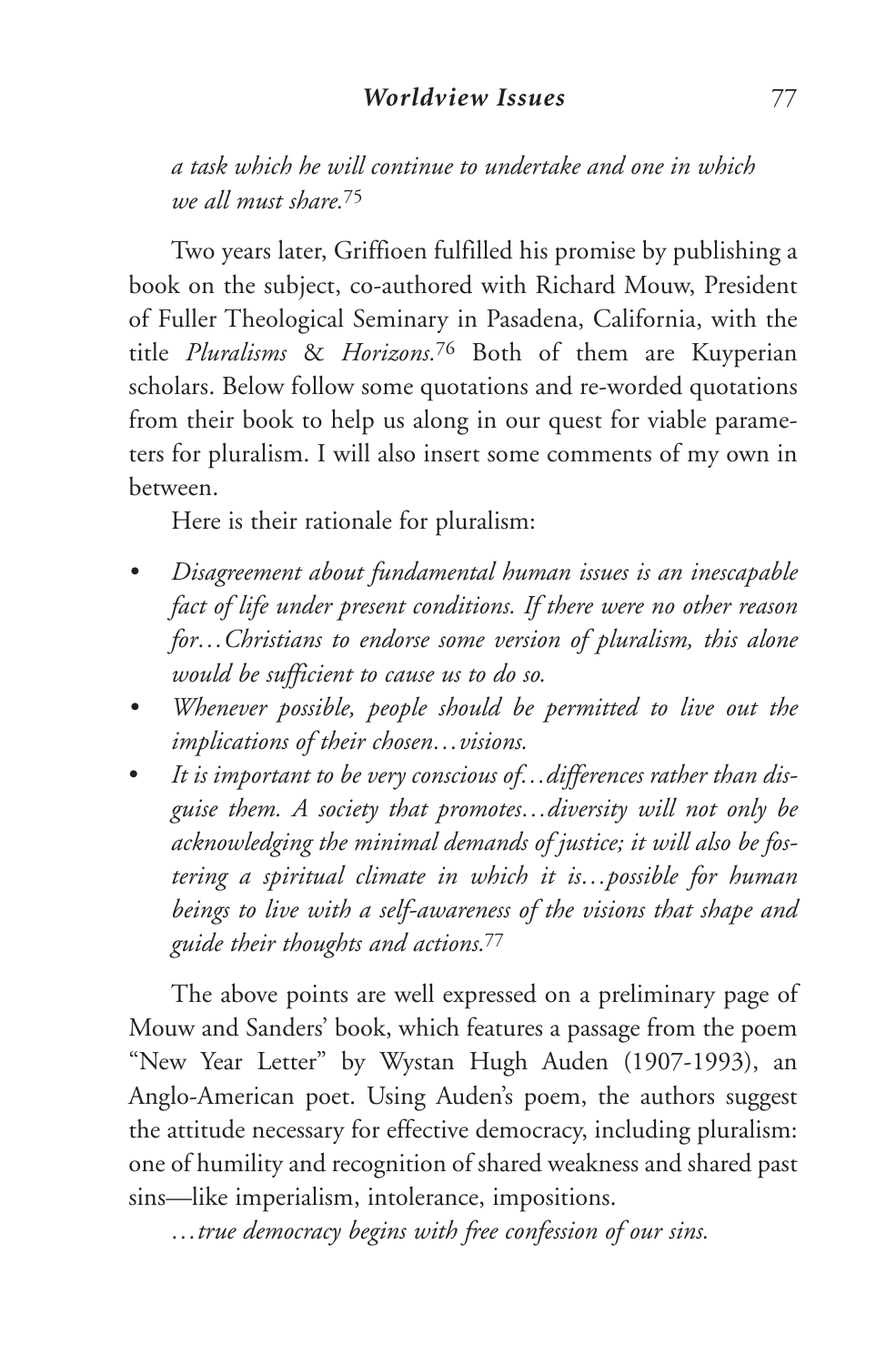*a task which he will continue to undertake and one in which we all must share.*<sup>75</sup>

Two years later, Griffioen fulfilled his promise by publishing a book on the subject, co-authored with Richard Mouw, President of Fuller Theological Seminary in Pasadena, California, with the title *Pluralisms* & *Horizons.*<sup>76</sup> Both of them are Kuyperian scholars. Below follow some quotations and re-worded quotations from their book to help us along in our quest for viable parameters for pluralism. I will also insert some comments of my own in between.

Here is their rationale for pluralism:

- *• Disagreement about fundamental human issues is an inescapable fact of life under present conditions. If there were no other reason for…Christians to endorse some version of pluralism, this alone would be sufficient to cause us to do so.*
- *• Whenever possible, people should be permitted to live out the implications of their chosen…visions.*
- *It is important to be very conscious of…differences rather than disguise them. A society that promotes…diversity will not only be acknowledging the minimal demands of justice; it will also be fostering a spiritual climate in which it is…possible for human beings to live with a self-awareness of the visions that shape and guide their thoughts and actions.*<sup>77</sup>

The above points are well expressed on a preliminary page of Mouw and Sanders' book, which features a passage from the poem "New Year Letter" by Wystan Hugh Auden (1907-1993), an Anglo-American poet. Using Auden's poem, the authors suggest the attitude necessary for effective democracy, including pluralism: one of humility and recognition of shared weakness and shared past sins—like imperialism, intolerance, impositions.

*…true democracy begins with free confession of our sins.*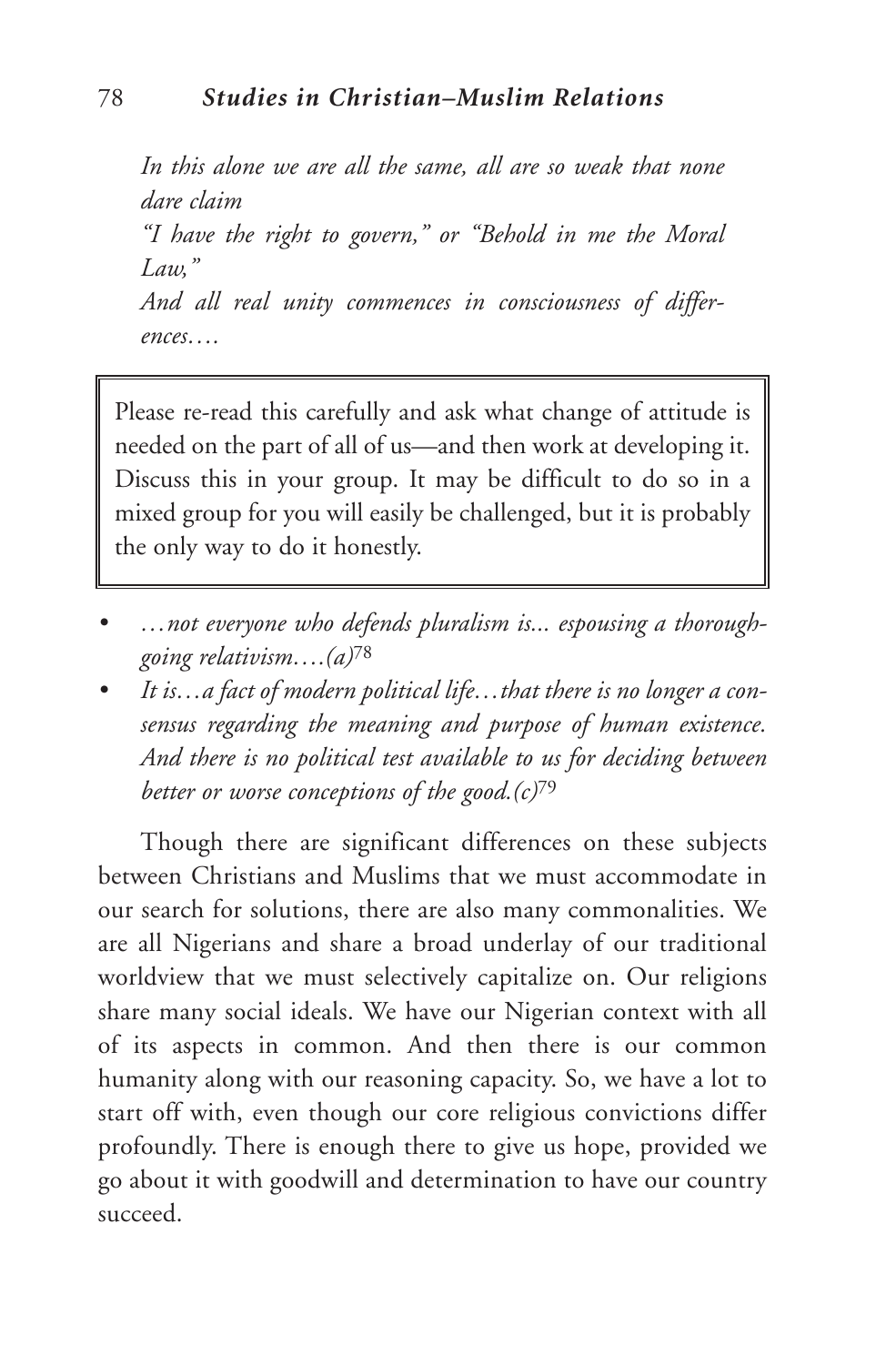*In this alone we are all the same, all are so weak that none dare claim "I have the right to govern," or "Behold in me the Moral Law," And all real unity commences in consciousness of differences….*

Please re-read this carefully and ask what change of attitude is needed on the part of all of us—and then work at developing it. Discuss this in your group. It may be difficult to do so in a mixed group for you will easily be challenged, but it is probably the only way to do it honestly.

- *• …not everyone who defends pluralism is... espousing a thoroughgoing relativism….(a)*<sup>78</sup>
- *• It is…a fact of modern political life…that there is no longer a consensus regarding the meaning and purpose of human existence. And there is no political test available to us for deciding between better or worse conceptions of the good.(c)*<sup>79</sup>

Though there are significant differences on these subjects between Christians and Muslims that we must accommodate in our search for solutions, there are also many commonalities. We are all Nigerians and share a broad underlay of our traditional worldview that we must selectively capitalize on. Our religions share many social ideals. We have our Nigerian context with all of its aspects in common. And then there is our common humanity along with our reasoning capacity. So, we have a lot to start off with, even though our core religious convictions differ profoundly. There is enough there to give us hope, provided we go about it with goodwill and determination to have our country succeed.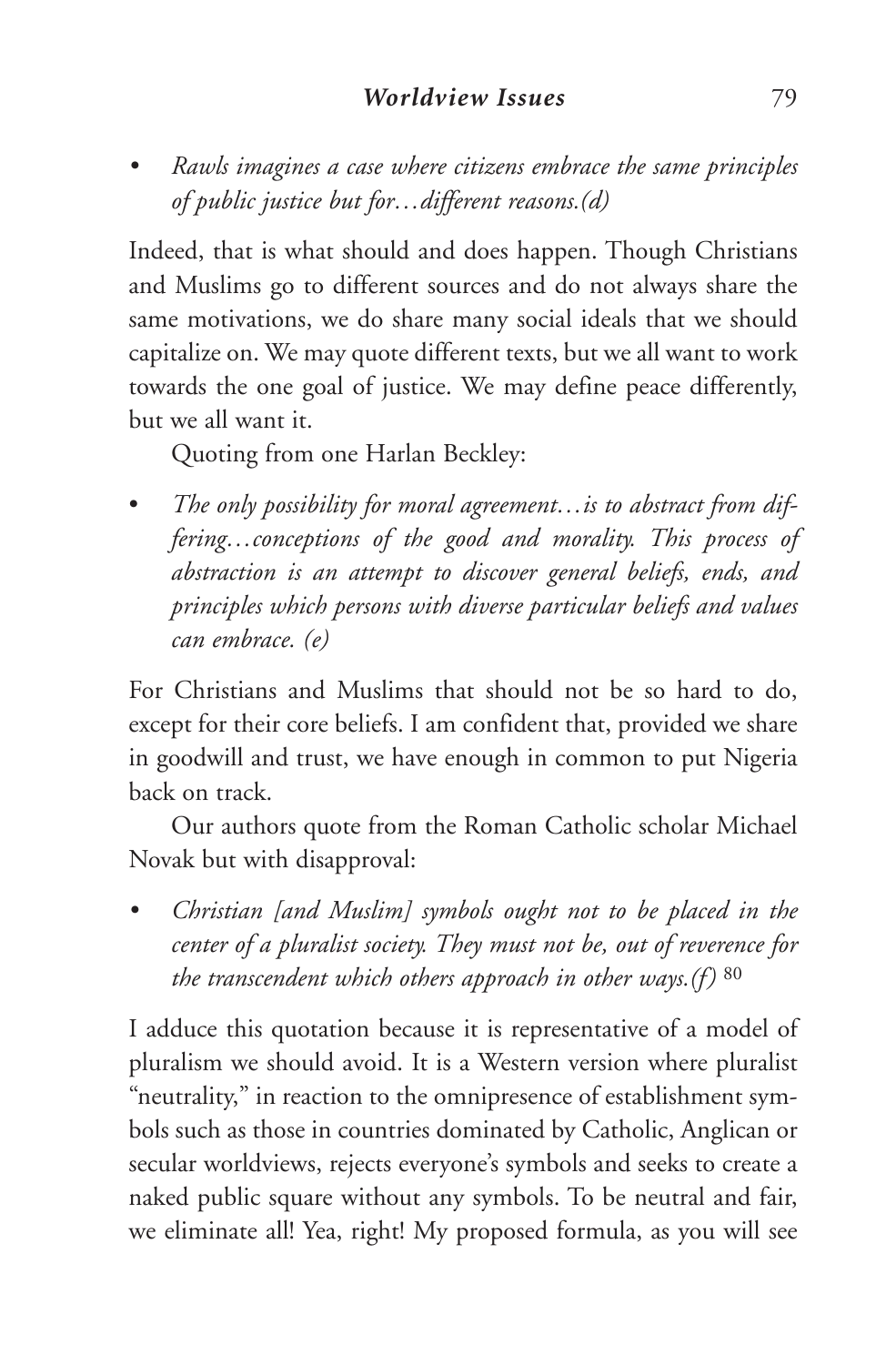*• Rawls imagines a case where citizens embrace the same principles of public justice but for…different reasons.(d)*

Indeed, that is what should and does happen. Though Christians and Muslims go to different sources and do not always share the same motivations, we do share many social ideals that we should capitalize on. We may quote different texts, but we all want to work towards the one goal of justice. We may define peace differently, but we all want it.

Quoting from one Harlan Beckley:

• *The only possibility for moral agreement…is to abstract from differing…conceptions of the good and morality. This process of abstraction is an attempt to discover general beliefs, ends, and principles which persons with diverse particular beliefs and values can embrace. (e)*

For Christians and Muslims that should not be so hard to do, except for their core beliefs. I am confident that, provided we share in goodwill and trust, we have enough in common to put Nigeria back on track.

Our authors quote from the Roman Catholic scholar Michael Novak but with disapproval:

*• Christian [and Muslim] symbols ought not to be placed in the center of a pluralist society. They must not be, out of reverence for the transcendent which others approach in other ways.(f)* <sup>80</sup>

I adduce this quotation because it is representative of a model of pluralism we should avoid. It is a Western version where pluralist "neutrality," in reaction to the omnipresence of establishment symbols such as those in countries dominated by Catholic, Anglican or secular worldviews, rejects everyone's symbols and seeks to create a naked public square without any symbols. To be neutral and fair, we eliminate all! Yea, right! My proposed formula, as you will see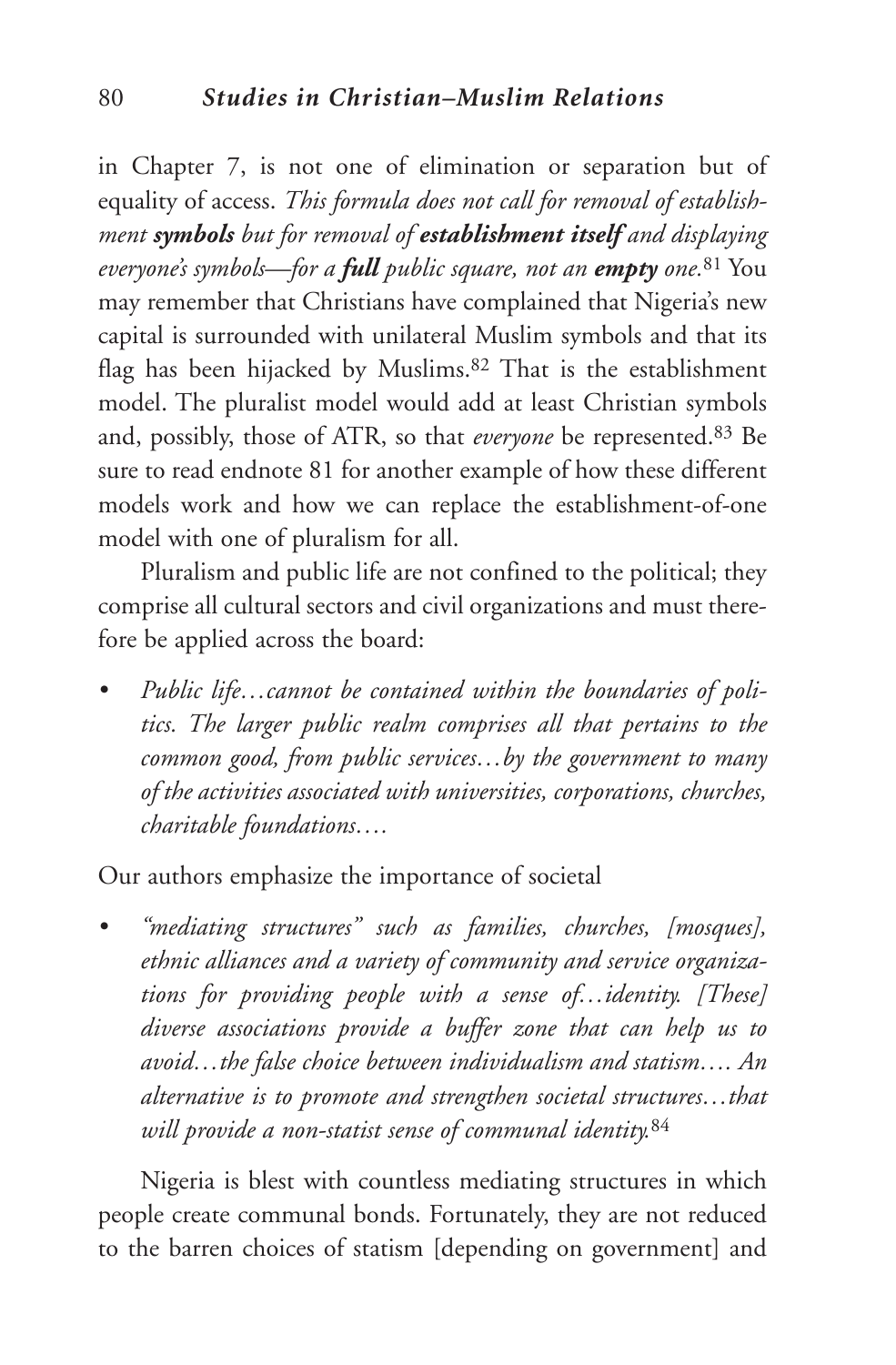in Chapter 7, is not one of elimination or separation but of equality of access. *This formula does not call for removal of establishment symbols but for removal of establishment itself and displaying everyone's symbols—for a full public square, not an empty one.*<sup>81</sup> You may remember that Christians have complained that Nigeria's new capital is surrounded with unilateral Muslim symbols and that its flag has been hijacked by Muslims.<sup>82</sup> That is the establishment model. The pluralist model would add at least Christian symbols and, possibly, those of ATR, so that *everyone* be represented.83 Be sure to read endnote 81 for another example of how these different models work and how we can replace the establishment-of-one model with one of pluralism for all.

Pluralism and public life are not confined to the political; they comprise all cultural sectors and civil organizations and must therefore be applied across the board:

*• Public life…cannot be contained within the boundaries of politics. The larger public realm comprises all that pertains to the common good, from public services…by the government to many of the activities associated with universities, corporations, churches, charitable foundations….*

Our authors emphasize the importance of societal

*• "mediating structures" such as families, churches, [mosques], ethnic alliances and a variety of community and service organizations for providing people with a sense of…identity. [These] diverse associations provide a buffer zone that can help us to avoid…the false choice between individualism and statism…. An alternative is to promote and strengthen societal structures…that will provide a non-statist sense of communal identity.*<sup>84</sup>

Nigeria is blest with countless mediating structures in which people create communal bonds. Fortunately, they are not reduced to the barren choices of statism [depending on government] and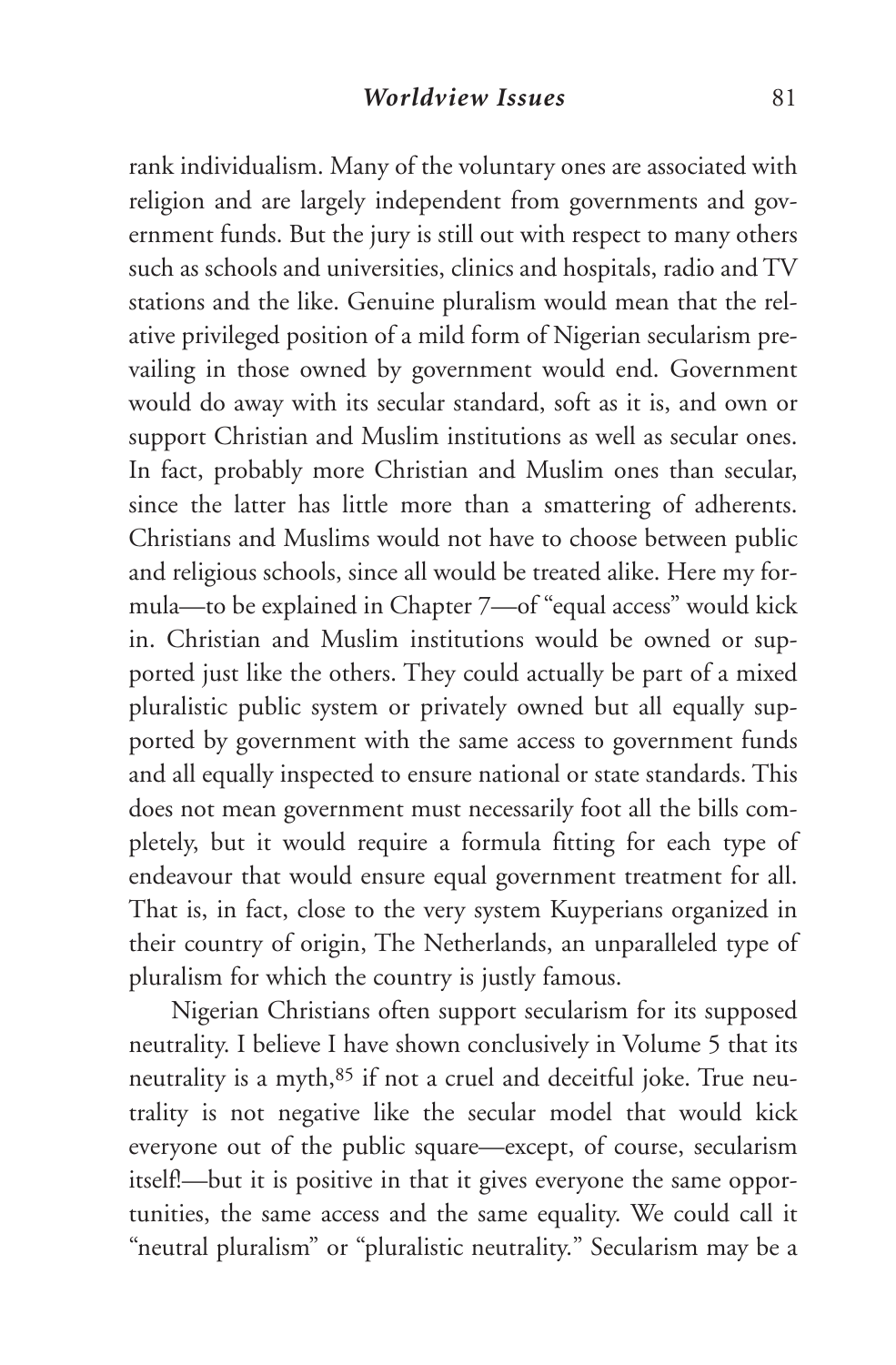rank individualism. Many of the voluntary ones are associated with religion and are largely independent from governments and government funds. But the jury is still out with respect to many others such as schools and universities, clinics and hospitals, radio and TV stations and the like. Genuine pluralism would mean that the relative privileged position of a mild form of Nigerian secularism prevailing in those owned by government would end. Government would do away with its secular standard, soft as it is, and own or support Christian and Muslim institutions as well as secular ones. In fact, probably more Christian and Muslim ones than secular, since the latter has little more than a smattering of adherents. Christians and Muslims would not have to choose between public and religious schools, since all would be treated alike. Here my formula—to be explained in Chapter 7—of "equal access" would kick in. Christian and Muslim institutions would be owned or supported just like the others. They could actually be part of a mixed pluralistic public system or privately owned but all equally supported by government with the same access to government funds and all equally inspected to ensure national or state standards. This does not mean government must necessarily foot all the bills completely, but it would require a formula fitting for each type of endeavour that would ensure equal government treatment for all. That is, in fact, close to the very system Kuyperians organized in their country of origin, The Netherlands, an unparalleled type of pluralism for which the country is justly famous.

Nigerian Christians often support secularism for its supposed neutrality. I believe I have shown conclusively in Volume 5 that its neutrality is a myth,<sup>85</sup> if not a cruel and deceitful joke. True neutrality is not negative like the secular model that would kick everyone out of the public square—except, of course, secularism itself!—but it is positive in that it gives everyone the same opportunities, the same access and the same equality. We could call it "neutral pluralism" or "pluralistic neutrality." Secularism may be a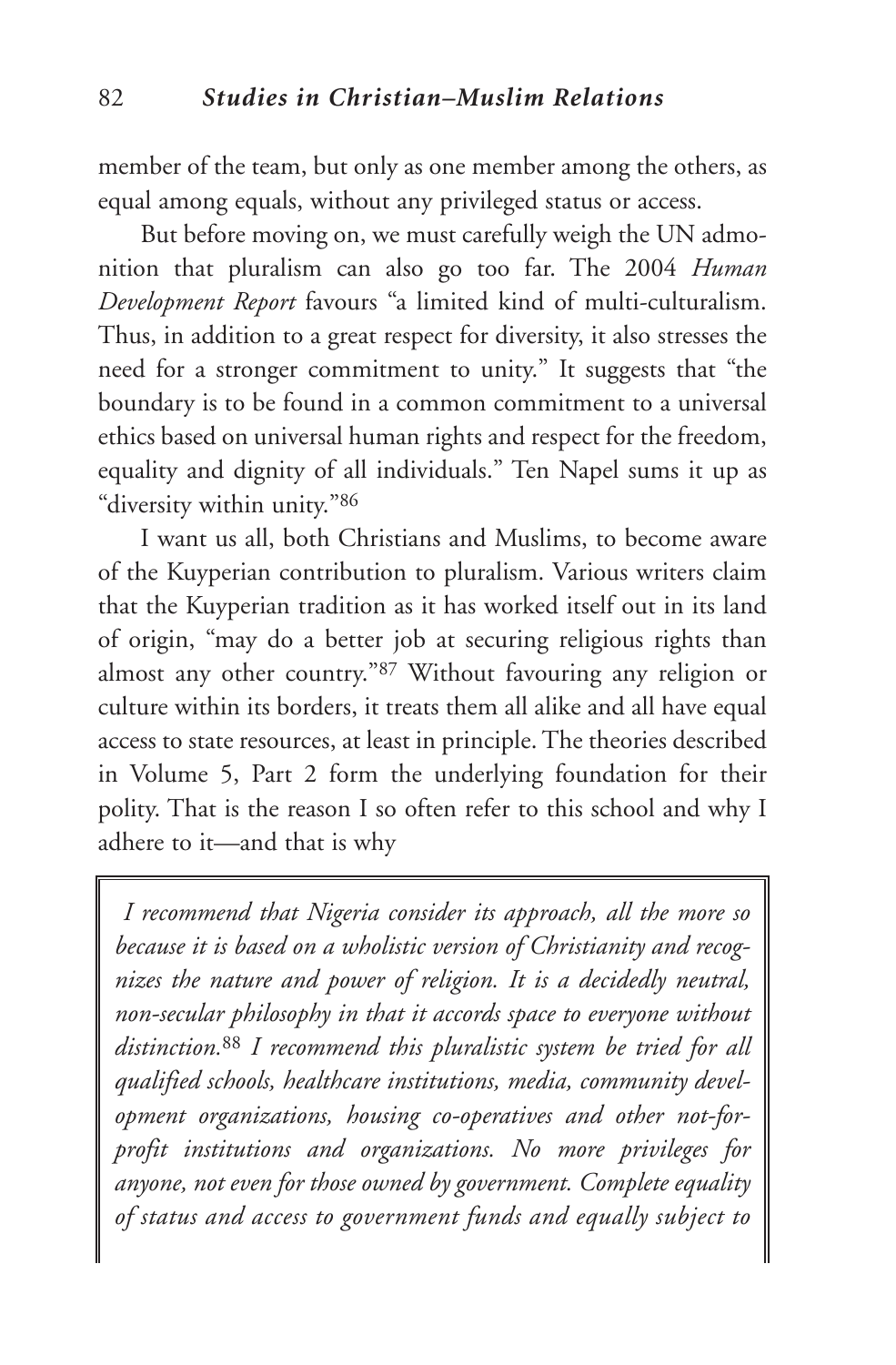member of the team, but only as one member among the others, as equal among equals, without any privileged status or access.

But before moving on, we must carefully weigh the UN admonition that pluralism can also go too far. The 2004 *Human Development Report* favours "a limited kind of multi-culturalism. Thus, in addition to a great respect for diversity, it also stresses the need for a stronger commitment to unity." It suggests that "the boundary is to be found in a common commitment to a universal ethics based on universal human rights and respect for the freedom, equality and dignity of all individuals." Ten Napel sums it up as "diversity within unity."86

I want us all, both Christians and Muslims, to become aware of the Kuyperian contribution to pluralism. Various writers claim that the Kuyperian tradition as it has worked itself out in its land of origin, "may do a better job at securing religious rights than almost any other country."87 Without favouring any religion or culture within its borders, it treats them all alike and all have equal access to state resources, at least in principle. The theories described in Volume 5, Part 2 form the underlying foundation for their polity. That is the reason I so often refer to this school and why I adhere to it—and that is why

*I recommend that Nigeria consider its approach, all the more so because it is based on a wholistic version of Christianity and recognizes the nature and power of religion. It is a decidedly neutral, non-secular philosophy in that it accords space to everyone without distinction.*<sup>88</sup> *I recommend this pluralistic system be tried for all qualified schools, healthcare institutions, media, community development organizations, housing co-operatives and other not-forprofit institutions and organizations. No more privileges for anyone, not even for those owned by government. Complete equality of status and access to government funds and equally subject to*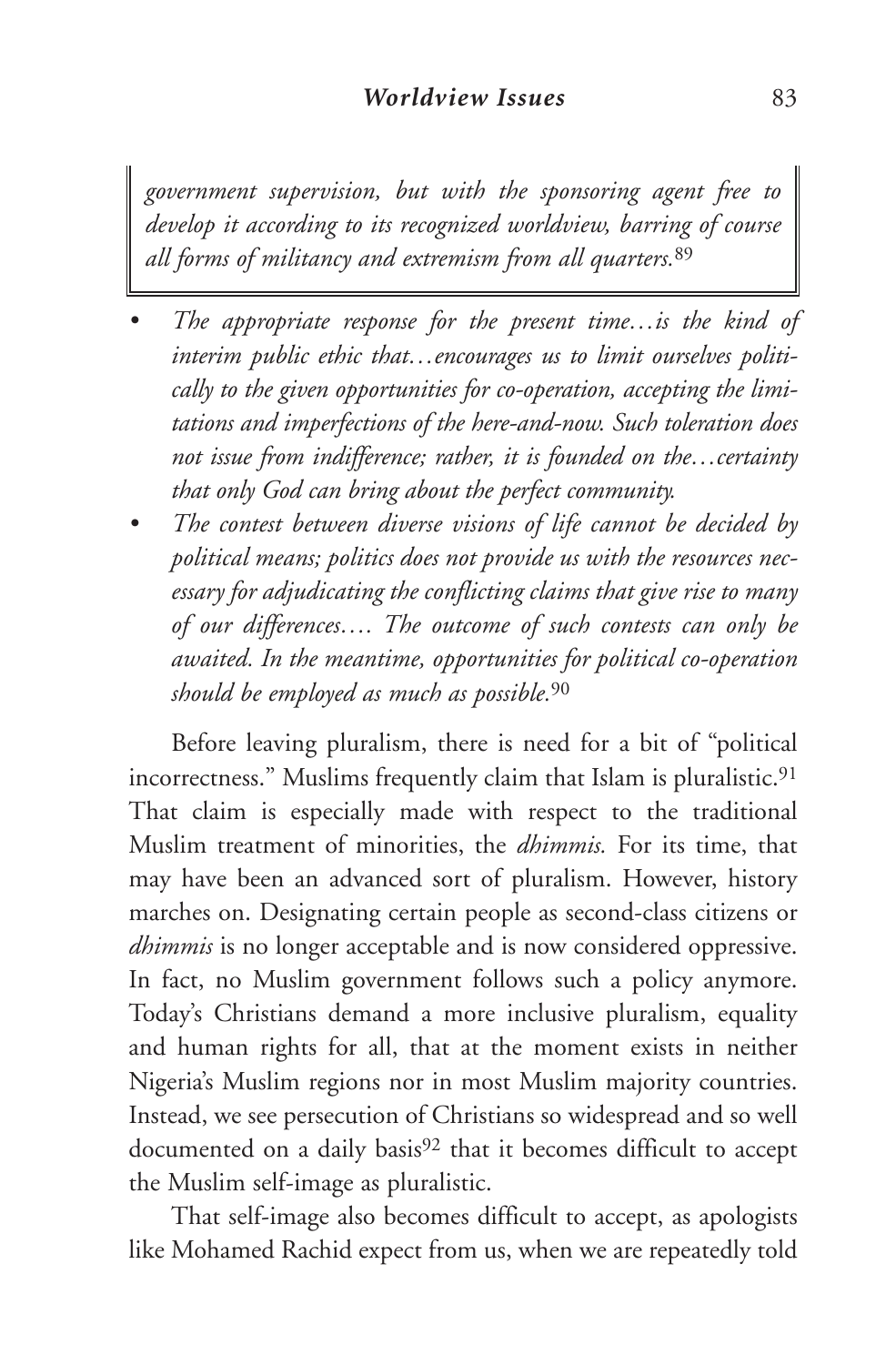*government supervision, but with the sponsoring agent free to develop it according to its recognized worldview, barring of course all forms of militancy and extremism from all quarters.*<sup>89</sup>

- *• The appropriate response for the present time…is the kind of interim public ethic that…encourages us to limit ourselves politically to the given opportunities for co-operation, accepting the limitations and imperfections of the here-and-now. Such toleration does not issue from indifference; rather, it is founded on the…certainty that only God can bring about the perfect community.*
- *• The contest between diverse visions of life cannot be decided by political means; politics does not provide us with the resources necessary for adjudicating the conflicting claims that give rise to many of our differences…. The outcome of such contests can only be awaited. In the meantime, opportunities for political co-operation should be employed as much as possible.*<sup>90</sup>

Before leaving pluralism, there is need for a bit of "political incorrectness." Muslims frequently claim that Islam is pluralistic.<sup>91</sup> That claim is especially made with respect to the traditional Muslim treatment of minorities, the *dhimmis.* For its time, that may have been an advanced sort of pluralism. However, history marches on. Designating certain people as second-class citizens or *dhimmis* is no longer acceptable and is now considered oppressive. In fact, no Muslim government follows such a policy anymore. Today's Christians demand a more inclusive pluralism, equality and human rights for all, that at the moment exists in neither Nigeria's Muslim regions nor in most Muslim majority countries. Instead, we see persecution of Christians so widespread and so well documented on a daily basis<sup>92</sup> that it becomes difficult to accept the Muslim self-image as pluralistic.

That self-image also becomes difficult to accept, as apologists like Mohamed Rachid expect from us, when we are repeatedly told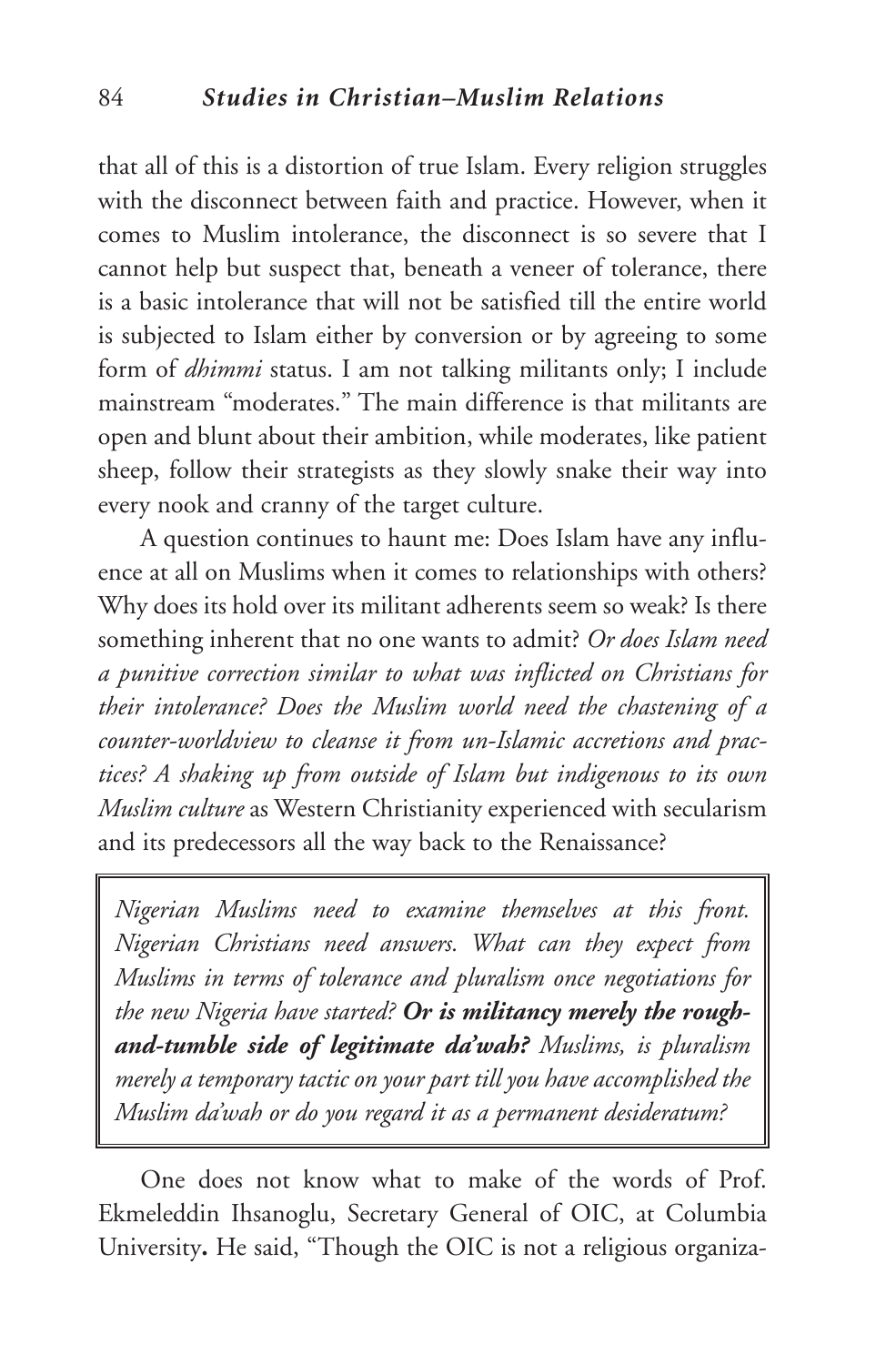that all of this is a distortion of true Islam. Every religion struggles with the disconnect between faith and practice. However, when it comes to Muslim intolerance, the disconnect is so severe that I cannot help but suspect that, beneath a veneer of tolerance, there is a basic intolerance that will not be satisfied till the entire world is subjected to Islam either by conversion or by agreeing to some form of *dhimmi* status. I am not talking militants only; I include mainstream "moderates." The main difference is that militants are open and blunt about their ambition, while moderates, like patient sheep, follow their strategists as they slowly snake their way into every nook and cranny of the target culture.

A question continues to haunt me: Does Islam have any influence at all on Muslims when it comes to relationships with others? Why does its hold over its militant adherents seem so weak? Is there something inherent that no one wants to admit? *Or does Islam need a punitive correction similar to what was inflicted on Christians for their intolerance? Does the Muslim world need the chastening of a counter-worldview to cleanse it from un-Islamic accretions and practices? A shaking up from outside of Islam but indigenous to its own Muslim culture* as Western Christianity experienced with secularism and its predecessors all the way back to the Renaissance?

*Nigerian Muslims need to examine themselves at this front. Nigerian Christians need answers. What can they expect from Muslims in terms of tolerance and pluralism once negotiations for the new Nigeria have started? Or is militancy merely the roughand-tumble side of legitimate da'wah? Muslims, is pluralism merely a temporary tactic on your part till you have accomplished the Muslim da'wah or do you regard it as a permanent desideratum?*

One does not know what to make of the words of Prof. Ekmeleddin Ihsanoglu, Secretary General of OIC, at Columbia University**.** He said, "Though the OIC is not a religious organiza-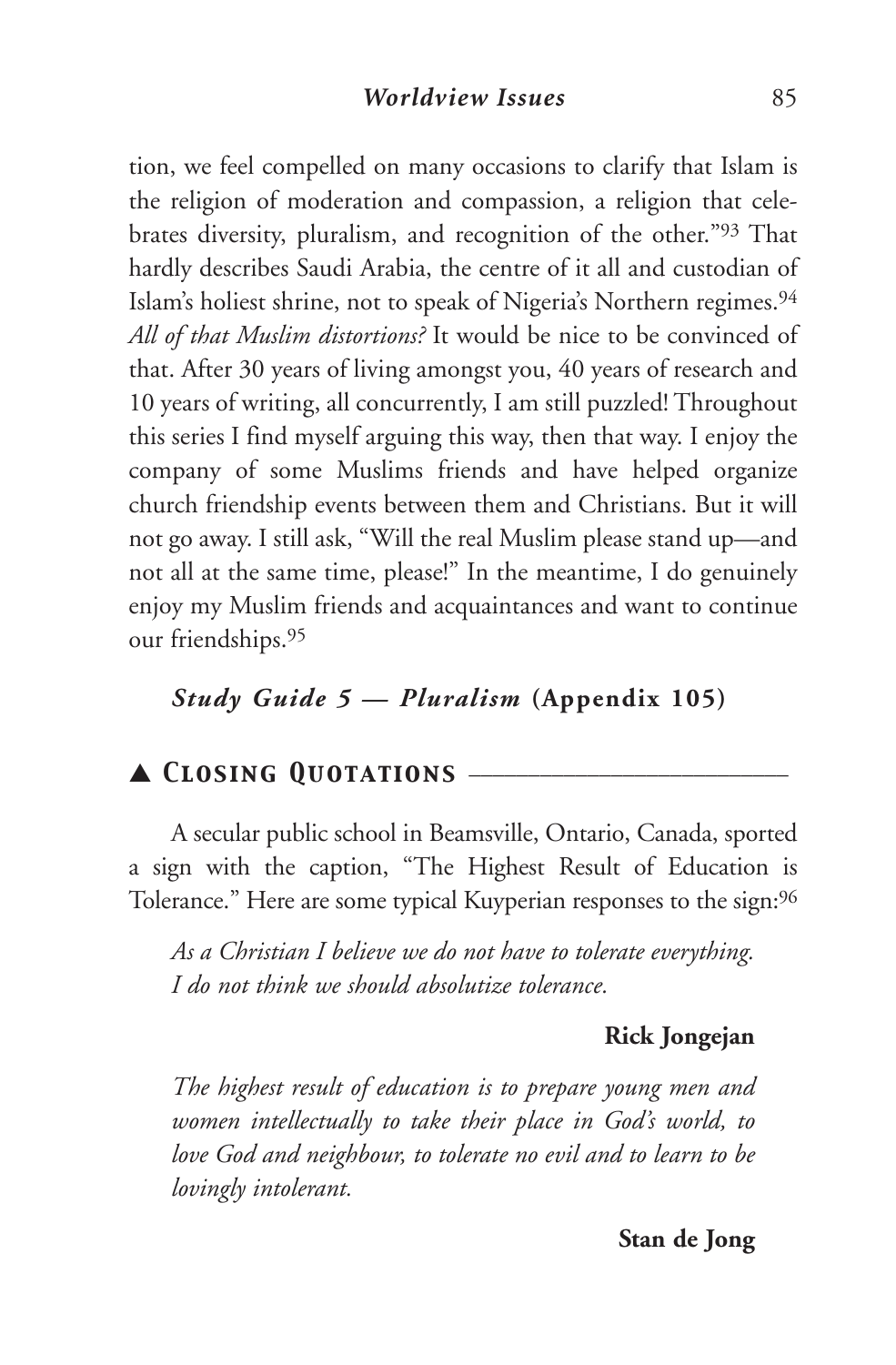tion, we feel compelled on many occasions to clarify that Islam is the religion of moderation and compassion, a religion that celebrates diversity, pluralism, and recognition of the other."93 That hardly describes Saudi Arabia, the centre of it all and custodian of Islam's holiest shrine, not to speak of Nigeria's Northern regimes.94 *All of that Muslim distortions?* It would be nice to be convinced of that. After 30 years of living amongst you, 40 years of research and 10 years of writing, all concurrently, I am still puzzled! Throughout this series I find myself arguing this way, then that way. I enjoy the company of some Muslims friends and have helped organize church friendship events between them and Christians. But it will not go away. I still ask, "Will the real Muslim please stand up—and not all at the same time, please!" In the meantime, I do genuinely enjoy my Muslim friends and acquaintances and want to continue our friendships.95

# *Study Guide 5 — Pluralism* **(Appendix 105)**

## ▲ *Closing Quotations* \_\_\_\_\_\_\_\_\_\_\_\_\_\_\_\_\_\_\_\_\_\_\_\_\_\_\_

A secular public school in Beamsville, Ontario, Canada, sported a sign with the caption, "The Highest Result of Education is Tolerance." Here are some typical Kuyperian responses to the sign: $\rm{^{96}}$ 

*As a Christian I believe we do not have to tolerate everything. I do not think we should absolutize tolerance.*

#### **Rick Jongejan**

*The highest result of education is to prepare young men and women intellectually to take their place in God's world, to love God and neighbour, to tolerate no evil and to learn to be lovingly intolerant.*

## **Stan de Jong**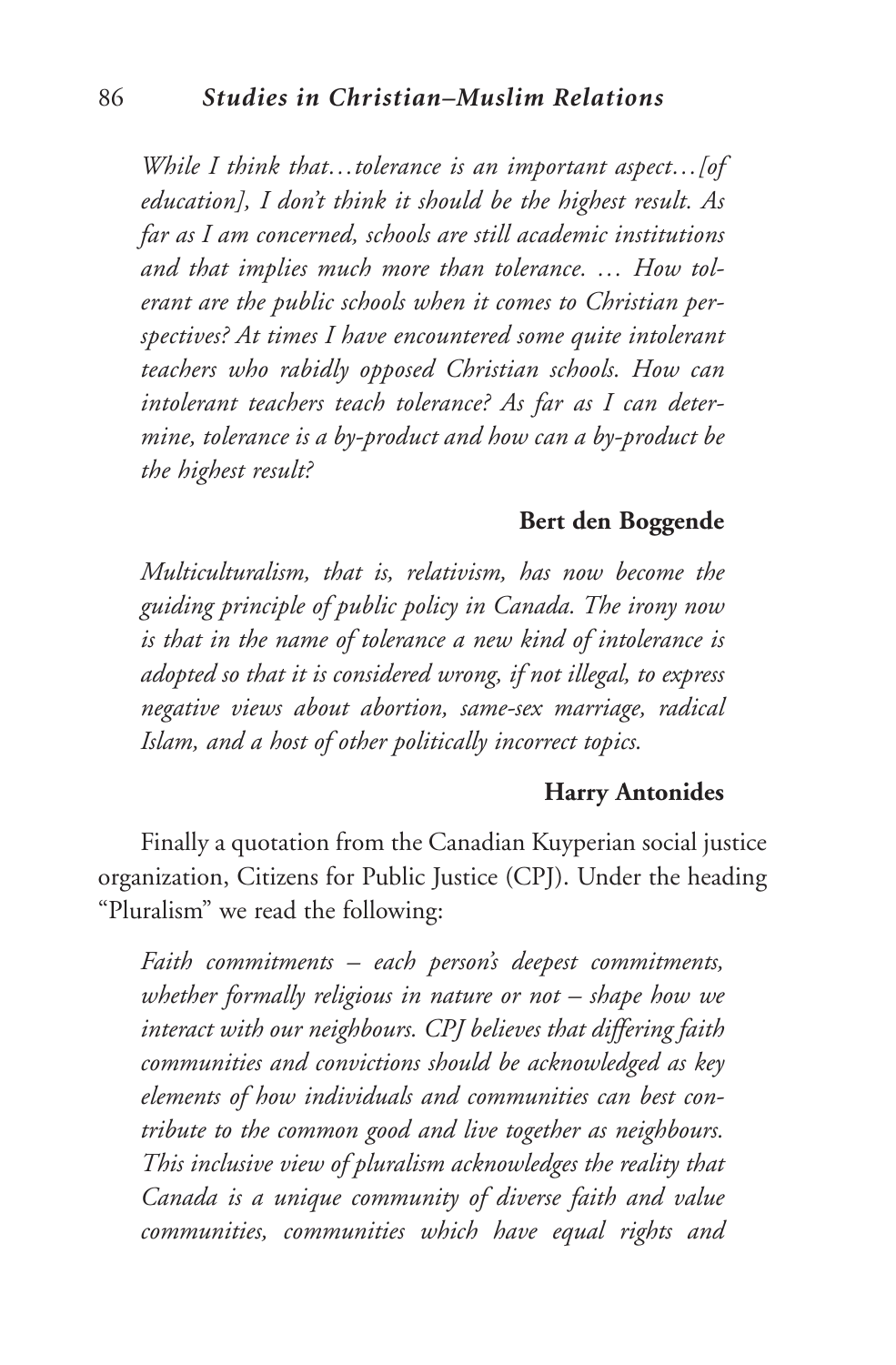*While I think that…tolerance is an important aspect…[of education], I don't think it should be the highest result. As far as I am concerned, schools are still academic institutions and that implies much more than tolerance. … How tolerant are the public schools when it comes to Christian perspectives? At times I have encountered some quite intolerant teachers who rabidly opposed Christian schools. How can intolerant teachers teach tolerance? As far as I can determine, tolerance is a by-product and how can a by-product be the highest result?*

#### **Bert den Boggende**

*Multiculturalism, that is, relativism, has now become the guiding principle of public policy in Canada. The irony now is that in the name of tolerance a new kind of intolerance is adopted so that it is considered wrong, if not illegal, to express negative views about abortion, same-sex marriage, radical Islam, and a host of other politically incorrect topics.*

#### **Harry Antonides**

Finally a quotation from the Canadian Kuyperian social justice organization, Citizens for Public Justice (CPJ). Under the heading "Pluralism" we read the following:

*Faith commitments – each person's deepest commitments, whether formally religious in nature or not – shape how we interact with our neighbours. CPJ believes that differing faith communities and convictions should be acknowledged as key elements of how individuals and communities can best contribute to the common good and live together as neighbours. This inclusive view of pluralism acknowledges the reality that Canada is a unique community of diverse faith and value communities, communities which have equal rights and*